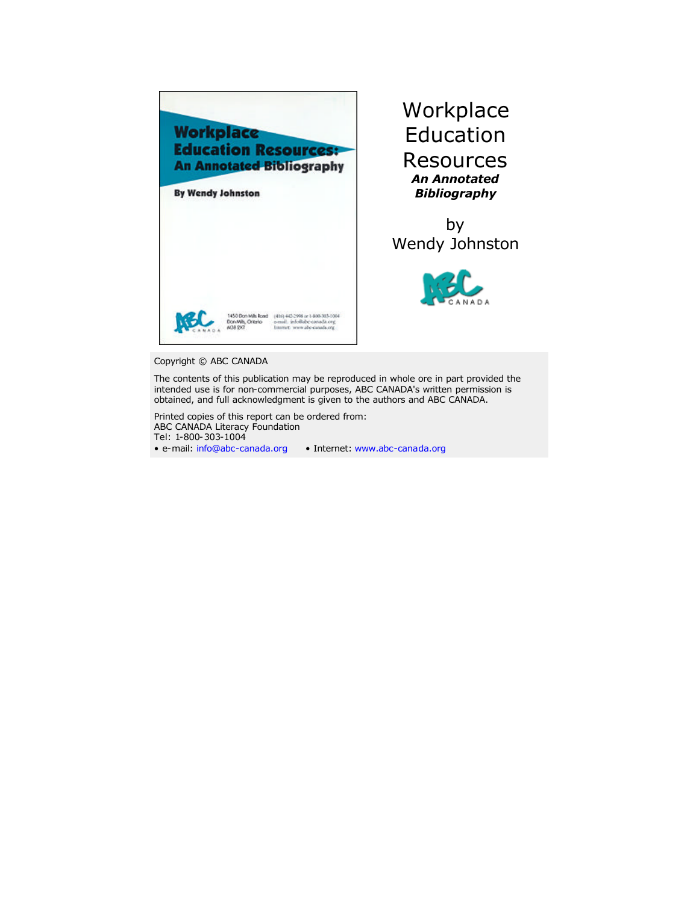

**Workplace** Education Resources *An Annotated Bibliography*

by Wendy Johnston



#### Copyright © ABC CANADA

The contents of this publication may be reproduced in whole ore in part provided the intended use is for non-commercial purposes, ABC CANADA's written permission is obtained, and full acknowledgment is given to the authors and ABC CANADA.

Printed copies of this report can be ordered from: ABC CANADA Literacy Foundation Tel: 1-800-303-1004

• e-mail: [info@abc-canada.org](mailto:info@abc-canada.org) • Internet: [www.abc-canada.org](http://www.abc-canada.org)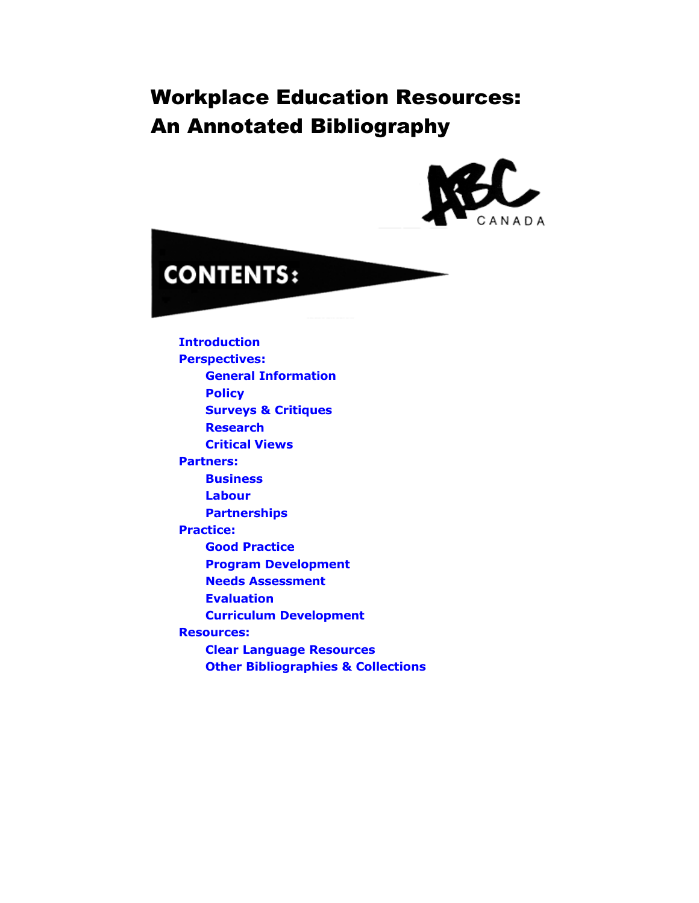# Workplace Education Resources: An Annotated Bibliography





**[Introduction](#page-2-0) [Perspectives:](#page-4-0) [General Information](#page-4-0) [Policy](#page-10-0) [Surveys & Critiques](#page-15-0) [Research](#page-24-0) [Critical Views](#page-29-0) [Partners:](#page-39-0) [Business](#page-39-0) [Labour](#page-43-0) [Partnerships](#page-51-0) [Practice:](#page-58-0) [Good Practice](#page-58-0) [Program Development](#page-62-0) [Needs Assessment](#page-65-0) [Evaluation](#page-70-0) [Curriculum Development](#page-73-0) [Resources:](#page-78-0) [Clear Language Resources](#page-78-0) [Other Bibliographies & Collections](#page-80-0)**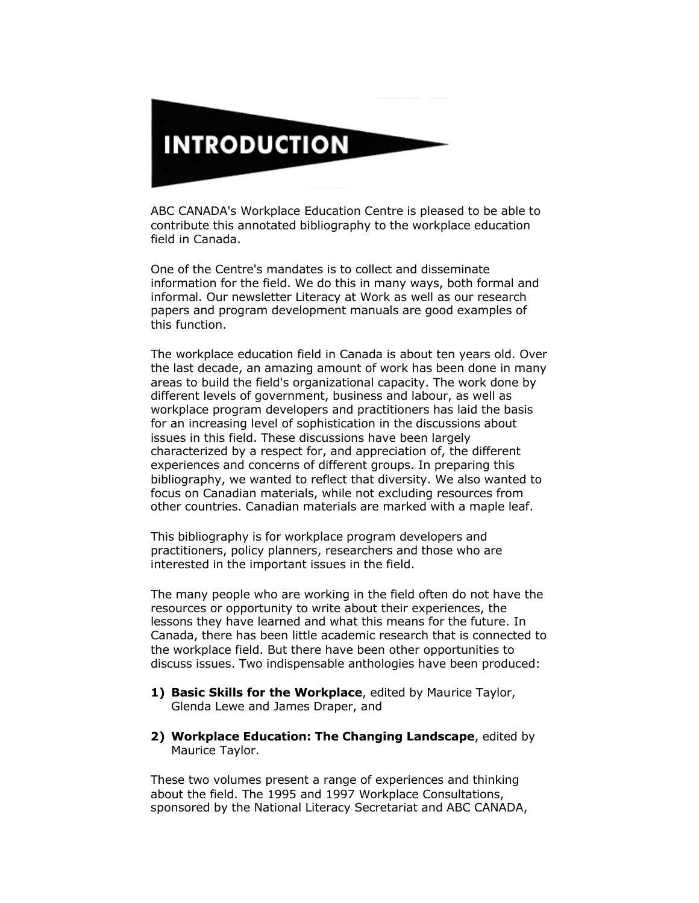<span id="page-2-0"></span>

ABC CANADA's Workplace Education Centre is pleased to be able to contribute this annotated bibliography to the workplace education field in Canada.

One of the Centre's mandates is to collect and disseminate information for the field. We do this in many ways, both formal and informal. Our newsletter Literacy at Work as well as our research papers and program development manuals are good examples of this function.

The workplace education field in Canada is about ten years old. Over the last decade, an amazing amount of work has been done in many areas to build the field's organizational capacity. The work done by different levels of government, business and labour, as well as workplace program developers and practitioners has laid the basis for an increasing level of sophistication in the discussions about issues in this field. These discussions have been largely characterized by a respect for, and appreciation of, the different experiences and concerns of different groups. In preparing this bibliography, we wanted to reflect that diversity. We also wanted to focus on Canadian materials, while not excluding resources from other countries. Canadian materials are marked with a maple leaf.

This bibliography is for workplace program developers and practitioners, policy planners, researchers and those who are interested in the important issues in the field.

The many people who are working in the field often do not have the resources or opportunity to write about their experiences, the lessons they have learned and what this means for the future. In Canada, there has been little academic research that is connected to the workplace field. But there have been other opportunities to discuss issues. Two indispensable anthologies have been produced:

- **1) Basic Skills for the Workplace**, edited by Maurice Taylor, Glenda Lewe and James Draper, and
- **2) Workplace Education: The Changing Landscape**, edited by Maurice Taylor.

These two volumes present a range of experiences and thinking about the field. The 1995 and 1997 Workplace Consultations, sponsored by the National Literacy Secretariat and ABC CANADA,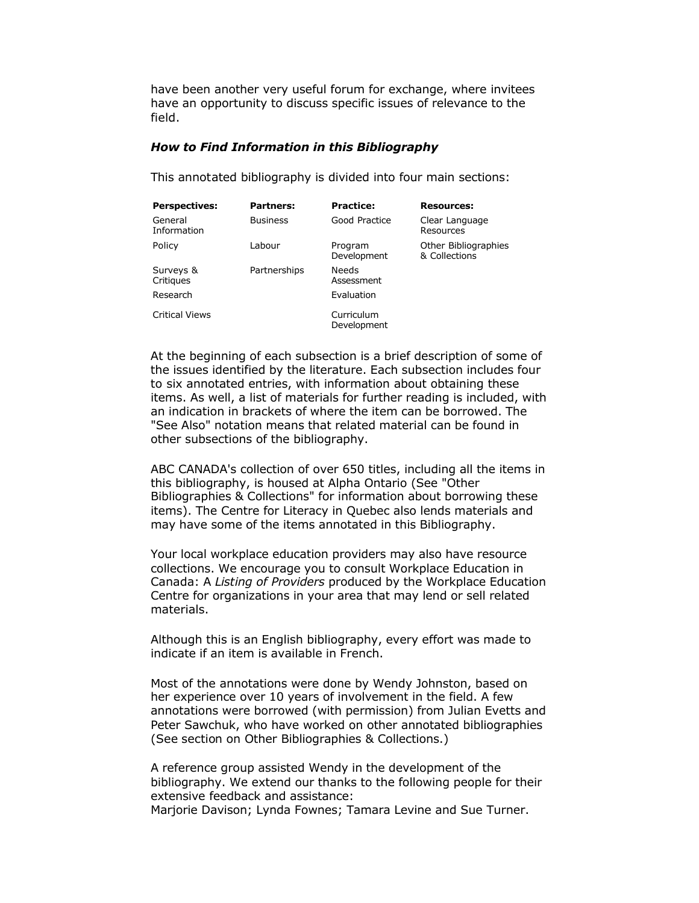have been another very useful forum for exchange, where invitees have an opportunity to discuss specific issues of relevance to the field.

#### *How to Find Information in this Bibliography*

This annotated bibliography is divided into four main sections:

| <b>Perspectives:</b>   | Partners:       | <b>Practice:</b>          | <b>Resources:</b>                     |
|------------------------|-----------------|---------------------------|---------------------------------------|
| General<br>Information | <b>Business</b> | Good Practice             | Clear Language<br>Resources           |
| Policy                 | Labour          | Program<br>Development    | Other Bibliographies<br>& Collections |
| Surveys &<br>Critiques | Partnerships    | Needs<br>Assessment       |                                       |
| Research               |                 | Evaluation                |                                       |
| <b>Critical Views</b>  |                 | Curriculum<br>Development |                                       |

At the beginning of each subsection is a brief description of some of the issues identified by the literature. Each subsection includes four to six annotated entries, with information about obtaining these items. As well, a list of materials for further reading is included, with an indication in brackets of where the item can be borrowed. The "See Also" notation means that related material can be found in other subsections of the bibliography.

ABC CANADA's collection of over 650 titles, including all the items in this bibliography, is housed at Alpha Ontario (See "Other Bibliographies & Collections" for information about borrowing these items). The Centre for Literacy in Quebec also lends materials and may have some of the items annotated in this Bibliography.

Your local workplace education providers may also have resource collections. We encourage you to consult Workplace Education in Canada: A *Listing of Providers* produced by the Workplace Education Centre for organizations in your area that may lend or sell related materials.

Although this is an English bibliography, every effort was made to indicate if an item is available in French.

Most of the annotations were done by Wendy Johnston, based on her experience over 10 years of involvement in the field. A few annotations were borrowed (with permission) from Julian Evetts and Peter Sawchuk, who have worked on other annotated bibliographies (See section on Other Bibliographies & Collections.)

A reference group assisted Wendy in the development of the bibliography. We extend our thanks to the following people for their extensive feedback and assistance:

Marjorie Davison; Lynda Fownes; Tamara Levine and Sue Turner.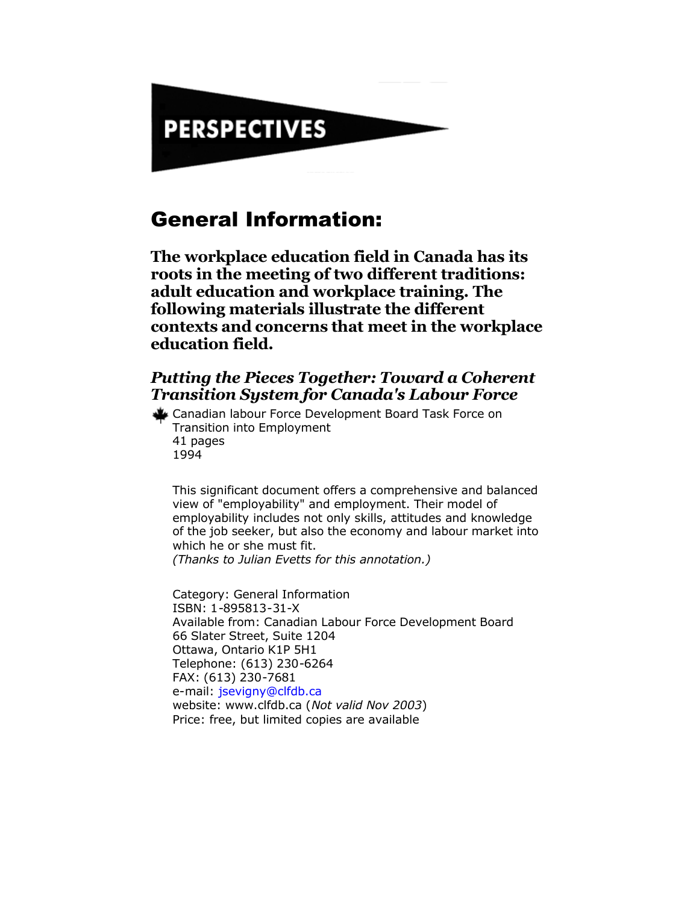# <span id="page-4-0"></span>**PERSPECTIVES**

### General Information:

**The workplace education field in Canada has its roots in the meeting of two different traditions: adult education and workplace training. The following materials illustrate the different contexts and concerns that meet in the workplace education field.**

#### *Putting the Pieces Together: Toward a Coherent Transition System for Canada's Labour Force*

Canadian labour Force Development Board Task Force on Transition into Employment 41 pages 1994

This significant document offers a comprehensive and balanced view of "employability" and employment. Their model of employability includes not only skills, attitudes and knowledge of the job seeker, but also the economy and labour market into which he or she must fit. *(Thanks to Julian Evetts for this annotation.)*

Category: General Information ISBN: 1-895813-31-X Available from: Canadian Labour Force Development Board 66 Slater Street, Suite 1204 Ottawa, Ontario K1P 5H1 Telephone: (613) 230-6264 FAX: (613) 230-7681 e-mail: [jsevigny@clfdb.ca](mailto:jsevigny@clfdb.ca) website: www.clfdb.ca (*Not valid Nov 2003*) Price: free, but limited copies are available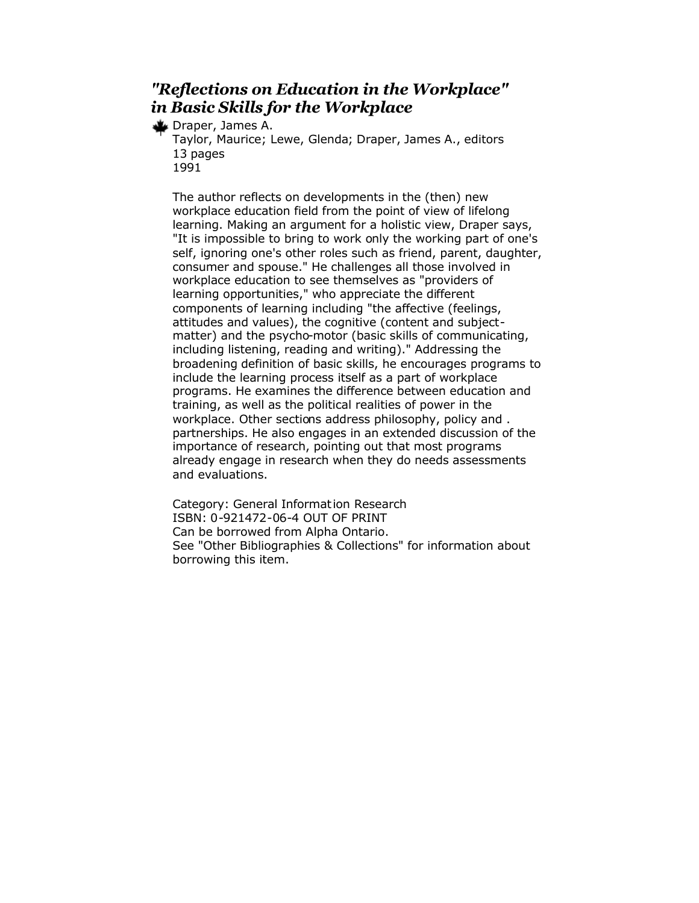#### *"Reflections on Education in the Workplace" in Basic Skills for the Workplace*

Draper, James A.

Taylor, Maurice; Lewe, Glenda; Draper, James A., editors 13 pages 1991

The author reflects on developments in the (then) new workplace education field from the point of view of lifelong learning. Making an argument for a holistic view, Draper says, "It is impossible to bring to work only the working part of one's self, ignoring one's other roles such as friend, parent, daughter, consumer and spouse." He challenges all those involved in workplace education to see themselves as "providers of learning opportunities," who appreciate the different components of learning including "the affective (feelings, attitudes and values), the cognitive (content and subjectmatter) and the psycho-motor (basic skills of communicating, including listening, reading and writing)." Addressing the broadening definition of basic skills, he encourages programs to include the learning process itself as a part of workplace programs. He examines the difference between education and training, as well as the political realities of power in the workplace. Other sections address philosophy, policy and . partnerships. He also engages in an extended discussion of the importance of research, pointing out that most programs already engage in research when they do needs assessments and evaluations.

Category: General Information Research ISBN: 0-921472-06-4 OUT OF PRINT Can be borrowed from Alpha Ontario. See "Other Bibliographies & Collections" for information about borrowing this item.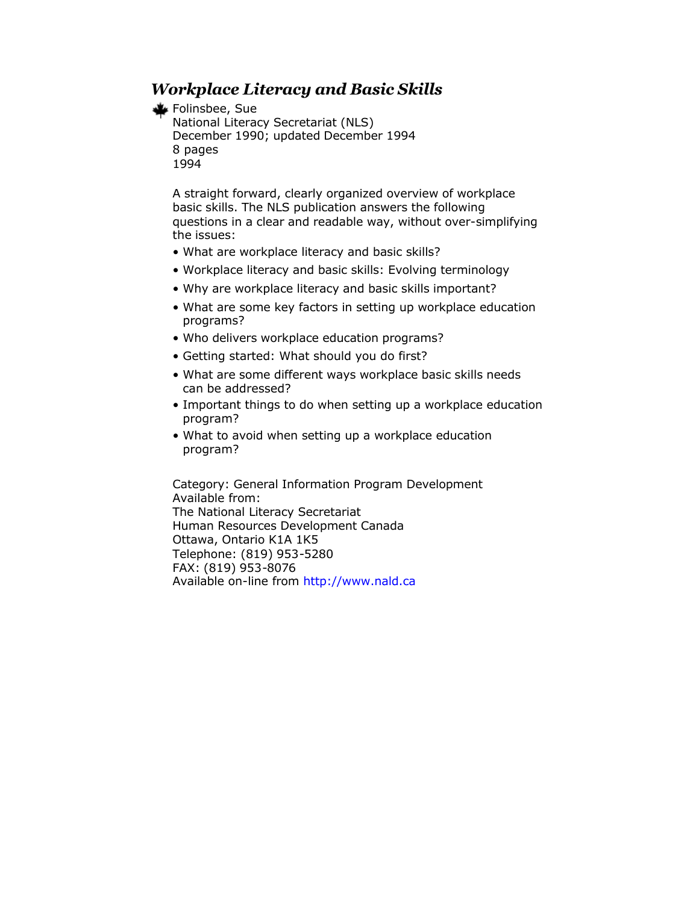#### *Workplace Literacy and Basic Skills*

#### Folinsbee, Sue

```
National Literacy Secretariat (NLS)
December 1990; updated December 1994
8 pages
1994
```
A straight forward, clearly organized overview of workplace basic skills. The NLS publication answers the following questions in a clear and readable way, without over-simplifying the issues:

- What are workplace literacy and basic skills?
- Workplace literacy and basic skills: Evolving terminology
- Why are workplace literacy and basic skills important?
- What are some key factors in setting up workplace education programs?
- Who delivers workplace education programs?
- Getting started: What should you do first?
- What are some different ways workplace basic skills needs can be addressed?
- Important things to do when setting up a workplace education program?
- What to avoid when setting up a workplace education program?

Category: General Information Program Development Available from: The National Literacy Secretariat Human Resources Development Canada Ottawa, Ontario K1A 1K5 Telephone: (819) 953-5280 FAX: (819) 953-8076 Available on-line from <http://www.nald.ca>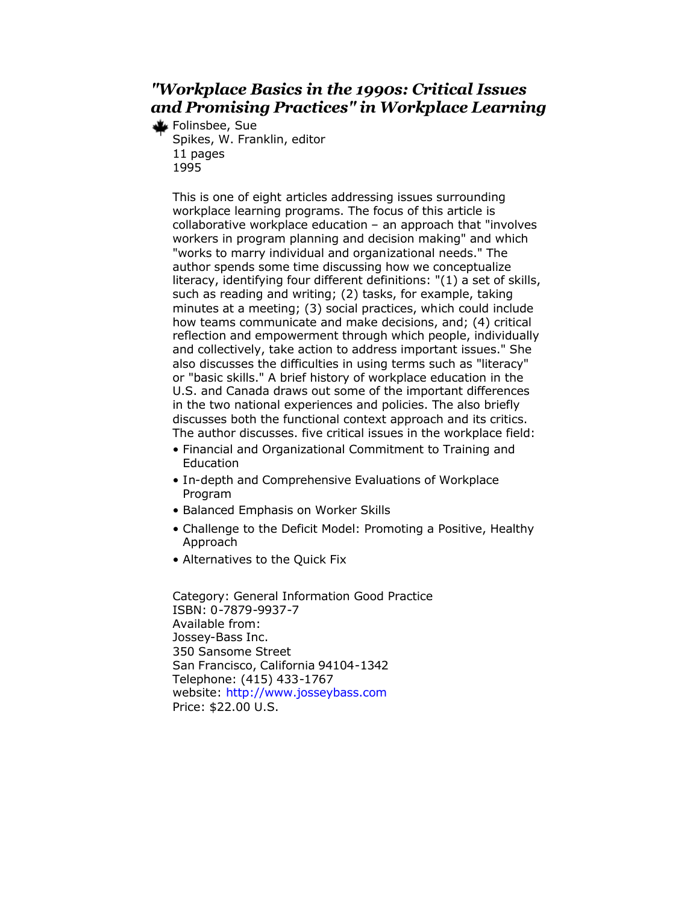#### *"Workplace Basics in the 1990s: Critical Issues and Promising Practices" in Workplace Learning*

Folinsbee, Sue Spikes, W. Franklin, editor 11 pages 1995

> This is one of eight articles addressing issues surrounding workplace learning programs. The focus of this article is collaborative workplace education – an approach that "involves workers in program planning and decision making" and which "works to marry individual and organizational needs." The author spends some time discussing how we conceptualize literacy, identifying four different definitions: "(1) a set of skills, such as reading and writing; (2) tasks, for example, taking minutes at a meeting; (3) social practices, which could include how teams communicate and make decisions, and; (4) critical reflection and empowerment through which people, individually and collectively, take action to address important issues." She also discusses the difficulties in using terms such as "literacy" or "basic skills." A brief history of workplace education in the U.S. and Canada draws out some of the important differences in the two national experiences and policies. The also briefly discusses both the functional context approach and its critics. The author discusses. five critical issues in the workplace field:

- Financial and Organizational Commitment to Training and **Education**
- In-depth and Comprehensive Evaluations of Workplace Program
- Balanced Emphasis on Worker Skills
- Challenge to the Deficit Model: Promoting a Positive, Healthy Approach
- Alternatives to the Quick Fix

Category: General Information Good Practice ISBN: 0-7879-9937-7 Available from: Jossey-Bass Inc. 350 Sansome Street San Francisco, California 94104-1342 Telephone: (415) 433-1767 website: <http://www.josseybass.com> Price: \$22.00 U.S.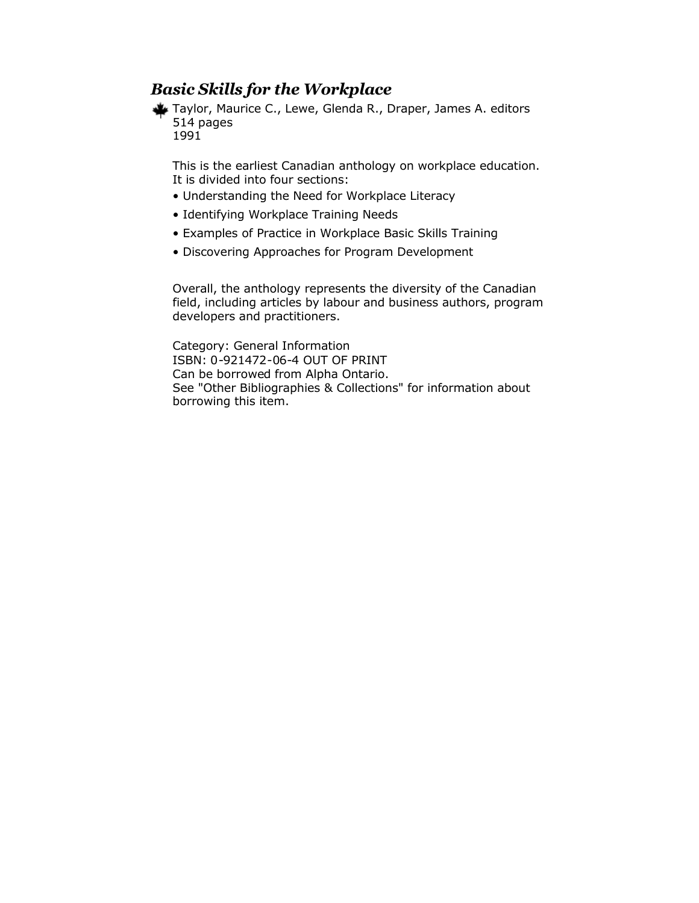#### *Basic Skills for the Workplace*

Taylor, Maurice C., Lewe, Glenda R., Draper, James A. editors 514 pages 1991

This is the earliest Canadian anthology on workplace education. It is divided into four sections:

- Understanding the Need for Workplace Literacy
- Identifying Workplace Training Needs
- Examples of Practice in Workplace Basic Skills Training
- Discovering Approaches for Program Development

Overall, the anthology represents the diversity of the Canadian field, including articles by labour and business authors, program developers and practitioners.

Category: General Information ISBN: 0-921472-06-4 OUT OF PRINT Can be borrowed from Alpha Ontario. See "Other Bibliographies & Collections" for information about borrowing this item.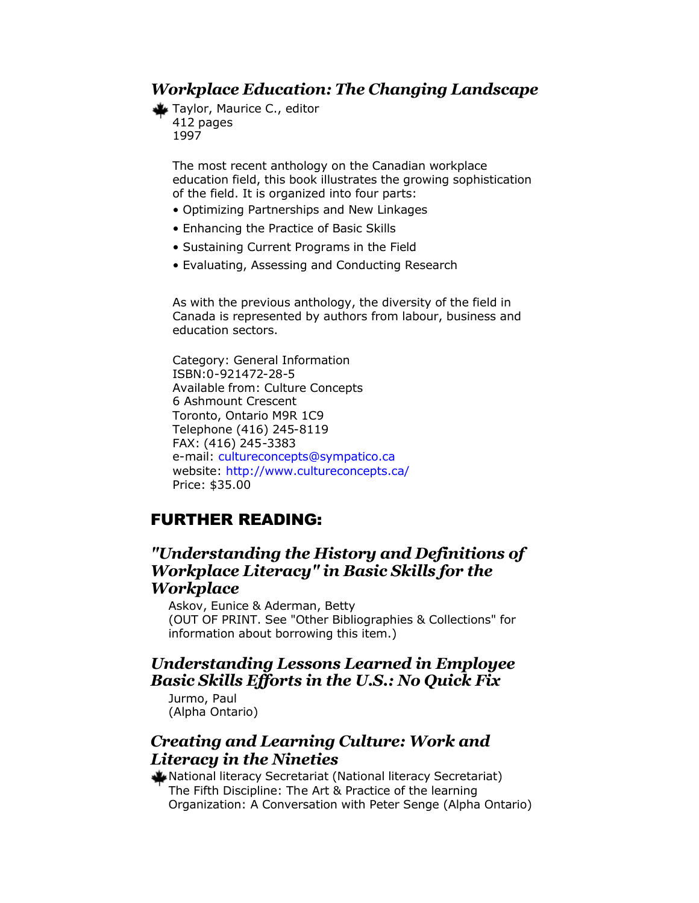#### *Workplace Education: The Changing Landscape*

Taylor, Maurice C., editor 412 pages 1997

> The most recent anthology on the Canadian workplace education field, this book illustrates the growing sophistication of the field. It is organized into four parts:

- Optimizing Partnerships and New Linkages
- Enhancing the Practice of Basic Skills
- Sustaining Current Programs in the Field
- Evaluating, Assessing and Conducting Research

As with the previous anthology, the diversity of the field in Canada is represented by authors from labour, business and education sectors.

Category: General Information ISBN:0-921472-28-5 Available from: Culture Concepts 6 Ashmount Crescent Toronto, Ontario M9R 1C9 Telephone (416) 245-8119 FAX: (416) 245-3383 e-mail: [cultureconcepts@sympatico.ca](mailto:cultureconcepts@sympatico.ca) website: <http://www.cultureconcepts.ca/> Price: \$35.00

### FURTHER READING:

#### *"Understanding the History and Definitions of Workplace Literacy" in Basic Skills for the Workplace*

Askov, Eunice & Aderman, Betty (OUT OF PRINT. See "Other Bibliographies & Collections" for information about borrowing this item.)

#### *Understanding Lessons Learned in Employee Basic Skills Efforts in the U.S.: No Quick Fix*

Jurmo, Paul (Alpha Ontario)

#### *Creating and Learning Culture: Work and Literacy in the Nineties*

National literacy Secretariat (National literacy Secretariat) The Fifth Discipline: The Art & Practice of the learning Organization: A Conversation with Peter Senge (Alpha Ontario)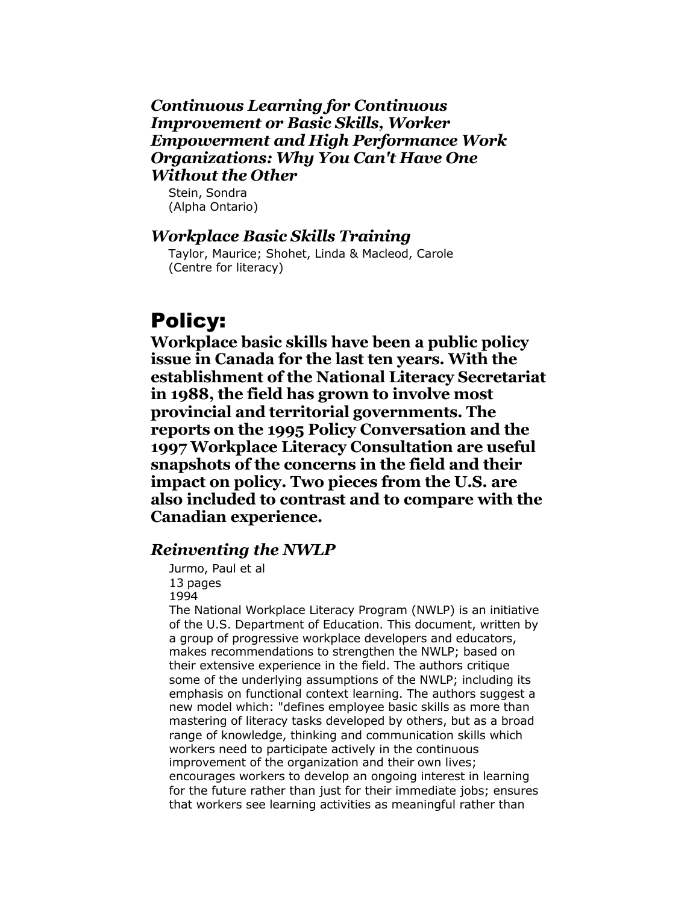#### <span id="page-10-0"></span>*Continuous Learning for Continuous Improvement or Basic Skills, Worker Empowerment and High Performance Work Organizations: Why You Can't Have One Without the Other*

Stein, Sondra (Alpha Ontario)

#### *Workplace Basic Skills Training*

Taylor, Maurice; Shohet, Linda & Macleod, Carole (Centre for literacy)

## Policy:

**Workplace basic skills have been a public policy issue in Canada for the last ten years. With the establishment of the National Literacy Secretariat in 1988, the field has grown to involve most provincial and territorial governments. The reports on the 1995 Policy Conversation and the 1997 Workplace Literacy Consultation are useful snapshots of the concerns in the field and their impact on policy. Two pieces from the U.S. are also included to contrast and to compare with the Canadian experience.** 

#### *Reinventing the NWLP*

Jurmo, Paul et al 13 pages 1994

The National Workplace Literacy Program (NWLP) is an initiative of the U.S. Department of Education. This document, written by a group of progressive workplace developers and educators, makes recommendations to strengthen the NWLP; based on their extensive experience in the field. The authors critique some of the underlying assumptions of the NWLP; including its emphasis on functional context learning. The authors suggest a new model which: "defines employee basic skills as more than mastering of literacy tasks developed by others, but as a broad range of knowledge, thinking and communication skills which workers need to participate actively in the continuous improvement of the organization and their own lives; encourages workers to develop an ongoing interest in learning for the future rather than just for their immediate jobs; ensures that workers see learning activities as meaningful rather than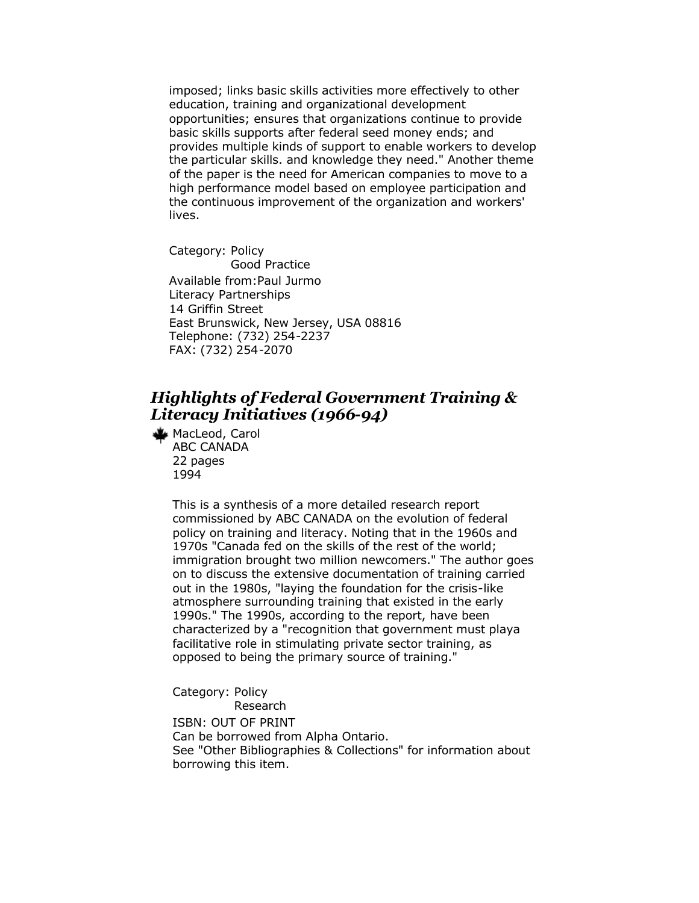imposed; links basic skills activities more effectively to other education, training and organizational development opportunities; ensures that organizations continue to provide basic skills supports after federal seed money ends; and provides multiple kinds of support to enable workers to develop the particular skills. and knowledge they need." Another theme of the paper is the need for American companies to move to a high performance model based on employee participation and the continuous improvement of the organization and workers' lives.

Category: Policy Good Practice Available from:Paul Jurmo Literacy Partnerships 14 Griffin Street East Brunswick, New Jersey, USA 08816 Telephone: (732) 254-2237 FAX: (732) 254-2070

#### *Highlights of Federal Government Training & Literacy Initiatives (1966-94)*

MacLeod, Carol ABC CANADA 22 pages 1994

> This is a synthesis of a more detailed research report commissioned by ABC CANADA on the evolution of federal policy on training and literacy. Noting that in the 1960s and 1970s "Canada fed on the skills of the rest of the world; immigration brought two million newcomers." The author goes on to discuss the extensive documentation of training carried out in the 1980s, "laying the foundation for the crisis-like atmosphere surrounding training that existed in the early 1990s." The 1990s, according to the report, have been characterized by a "recognition that government must playa facilitative role in stimulating private sector training, as opposed to being the primary source of training."

Category: Policy Research ISBN: OUT OF PRINT Can be borrowed from Alpha Ontario. See "Other Bibliographies & Collections" for information about borrowing this item.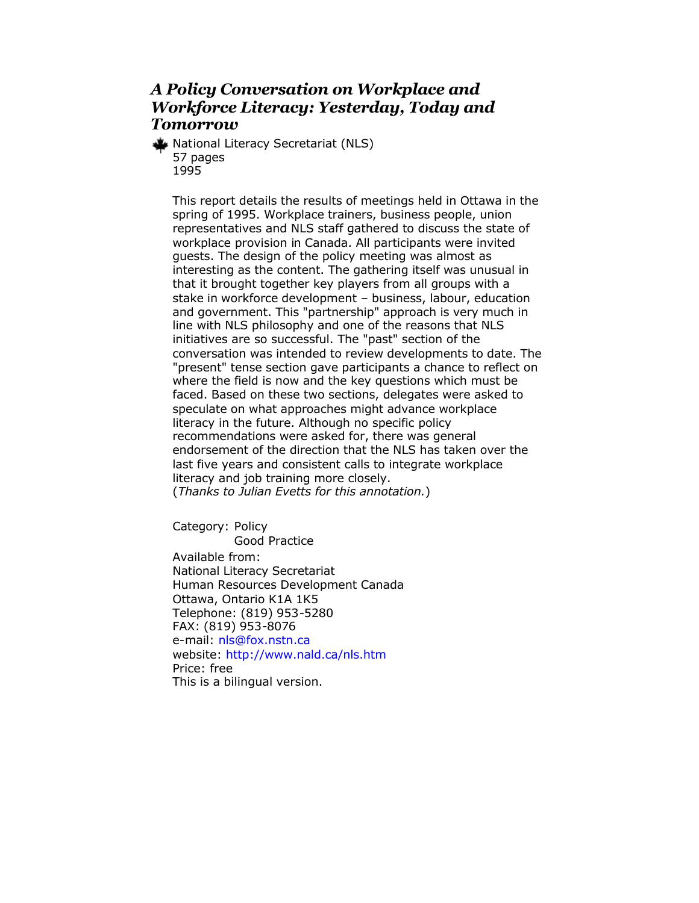#### *A Policy Conversation on Workplace and Workforce Literacy: Yesterday, Today and Tomorrow*

National Literacy Secretariat (NLS) 57 pages 1995

This report details the results of meetings held in Ottawa in the spring of 1995. Workplace trainers, business people, union representatives and NLS staff gathered to discuss the state of workplace provision in Canada. All participants were invited guests. The design of the policy meeting was almost as interesting as the content. The gathering itself was unusual in that it brought together key players from all groups with a stake in workforce development – business, labour, education and government. This "partnership" approach is very much in line with NLS philosophy and one of the reasons that NLS initiatives are so successful. The "past" section of the conversation was intended to review developments to date. The "present" tense section gave participants a chance to reflect on where the field is now and the key questions which must be faced. Based on these two sections, delegates were asked to speculate on what approaches might advance workplace literacy in the future. Although no specific policy recommendations were asked for, there was general endorsement of the direction that the NLS has taken over the last five years and consistent calls to integrate workplace literacy and job training more closely. (*Thanks to Julian Evetts for this annotation.*)

Category: Policy Good Practice Available from: National Literacy Secretariat Human Resources Development Canada Ottawa, Ontario K1A 1K5 Telephone: (819) 953-5280 FAX: (819) 953-8076 e-mail: [nls@fox.nstn.ca](mailto:nls@fox.nstn.ca) website: <http://www.nald.ca/nls.htm> Price: free This is a bilingual version.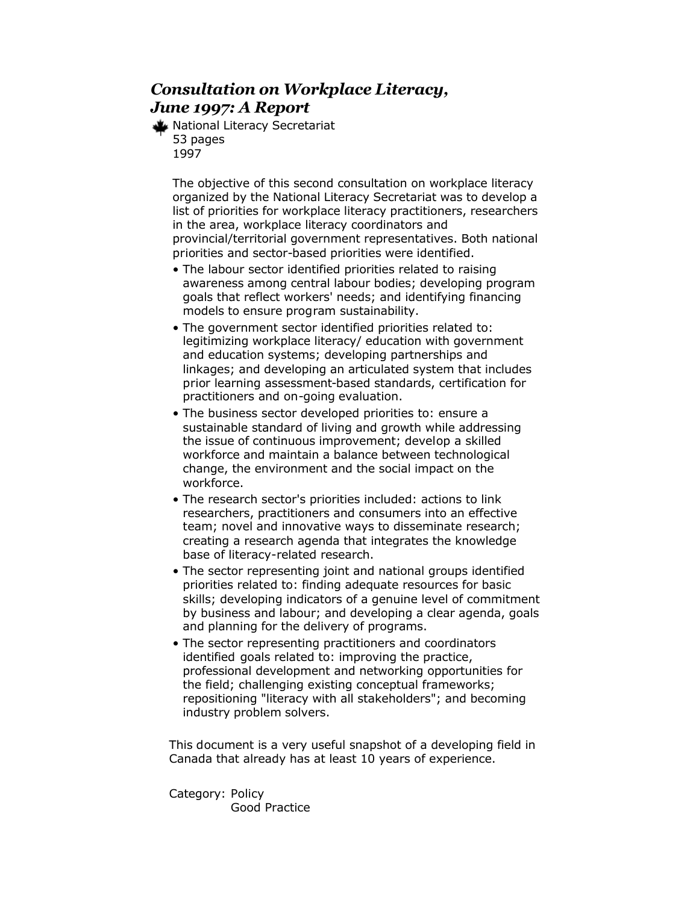### *Consultation on Workplace Literacy, June 1997: A Report*

National Literacy Secretariat 53 pages 1997

> The objective of this second consultation on workplace literacy organized by the National Literacy Secretariat was to develop a list of priorities for workplace literacy practitioners, researchers in the area, workplace literacy coordinators and provincial/territorial government representatives. Both national priorities and sector-based priorities were identified.

- The labour sector identified priorities related to raising awareness among central labour bodies; developing program goals that reflect workers' needs; and identifying financing models to ensure program sustainability.
- The government sector identified priorities related to: legitimizing workplace literacy/ education with government and education systems; developing partnerships and linkages; and developing an articulated system that includes prior learning assessment-based standards, certification for practitioners and on-going evaluation.
- The business sector developed priorities to: ensure a sustainable standard of living and growth while addressing the issue of continuous improvement; develop a skilled workforce and maintain a balance between technological change, the environment and the social impact on the workforce.
- The research sector's priorities included: actions to link researchers, practitioners and consumers into an effective team; novel and innovative ways to disseminate research; creating a research agenda that integrates the knowledge base of literacy-related research.
- The sector representing joint and national groups identified priorities related to: finding adequate resources for basic skills; developing indicators of a genuine level of commitment by business and labour; and developing a clear agenda, goals and planning for the delivery of programs.
- The sector representing practitioners and coordinators identified goals related to: improving the practice, professional development and networking opportunities for the field; challenging existing conceptual frameworks; repositioning "literacy with all stakeholders"; and becoming industry problem solvers.

This document is a very useful snapshot of a developing field in Canada that already has at least 10 years of experience.

Category: Policy Good Practice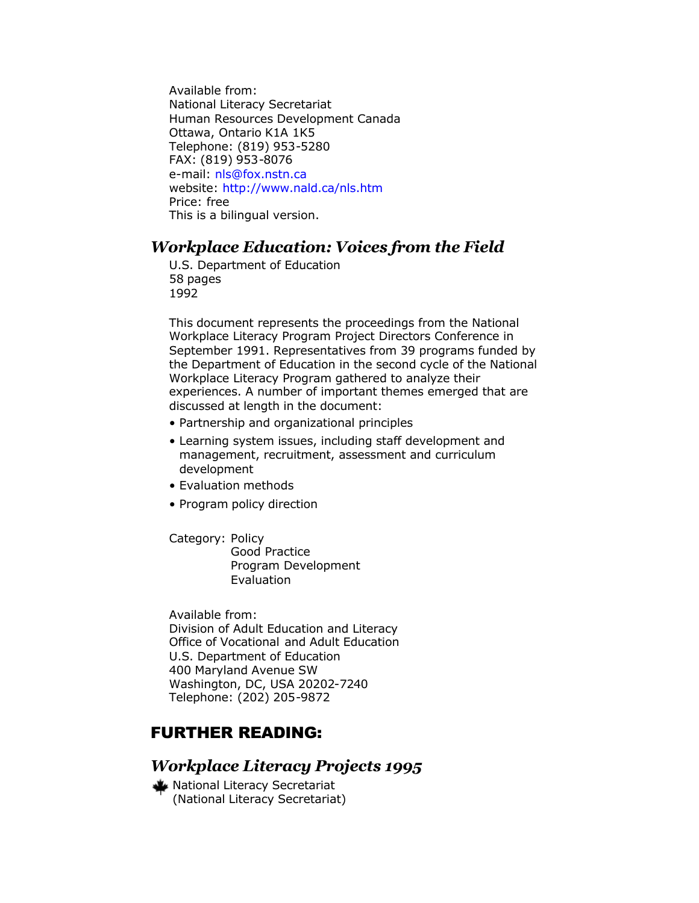Available from: National Literacy Secretariat Human Resources Development Canada Ottawa, Ontario K1A 1K5 Telephone: (819) 953-5280 FAX: (819) 953-8076 e-mail: [nls@fox.nstn.ca](mailto:nls@fox.nstn.ca) website: <http://www.nald.ca/nls.htm> Price: free This is a bilingual version.

#### *Workplace Education: Voices from the Field*

U.S. Department of Education 58 pages 1992

This document represents the proceedings from the National Workplace Literacy Program Project Directors Conference in September 1991. Representatives from 39 programs funded by the Department of Education in the second cycle of the National Workplace Literacy Program gathered to analyze their experiences. A number of important themes emerged that are discussed at length in the document:

- Partnership and organizational principles
- Learning system issues, including staff development and management, recruitment, assessment and curriculum development
- Evaluation methods
- Program policy direction

Category: Policy Good Practice Program Development Evaluation

Available from: Division of Adult Education and Literacy Office of Vocational and Adult Education U.S. Department of Education 400 Maryland Avenue SW Washington, DC, USA 20202-7240 Telephone: (202) 205-9872

### FURTHER READING:

#### *Workplace Literacy Projects 1995*

National Literacy Secretariat (National Literacy Secretariat)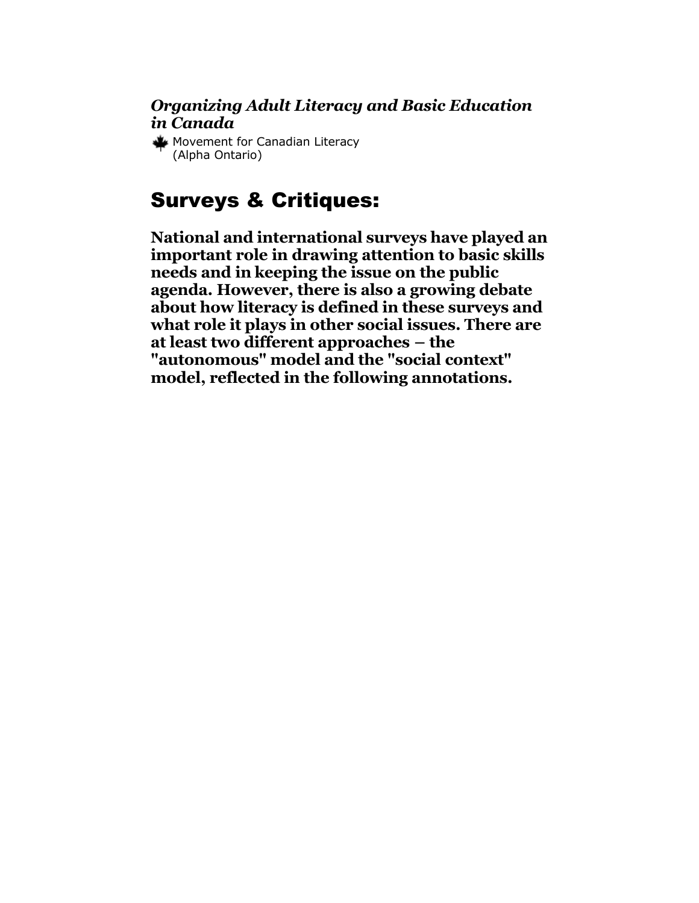#### <span id="page-15-0"></span>*Organizing Adult Literacy and Basic Education in Canada*

Movement for Canadian Literacy (Alpha Ontario)

## Surveys & Critiques:

**National and international surveys have played an important role in drawing attention to basic skills needs and in keeping the issue on the public agenda. However, there is also a growing debate about how literacy is defined in these surveys and what role it plays in other social issues. There are at least two different approaches – the "autonomous" model and the "social context" model, reflected in the following annotations.**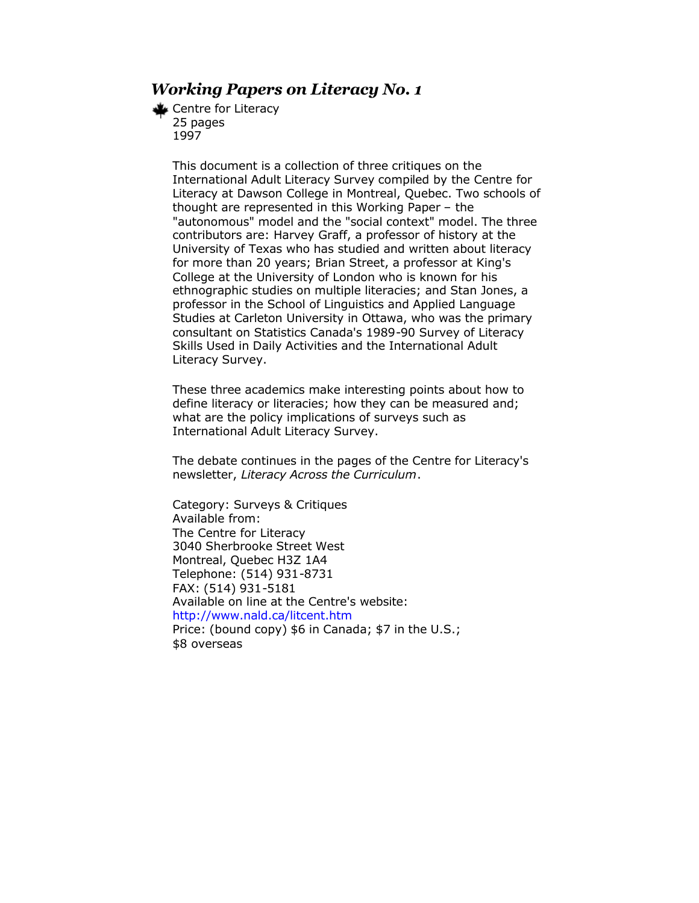#### *Working Papers on Literacy No. 1*

Centre for Literacy 25 pages 1997

> This document is a collection of three critiques on the International Adult Literacy Survey compiled by the Centre for Literacy at Dawson College in Montreal, Quebec. Two schools of thought are represented in this Working Paper – the "autonomous" model and the "social context" model. The three contributors are: Harvey Graff, a professor of history at the University of Texas who has studied and written about literacy for more than 20 years; Brian Street, a professor at King's College at the University of London who is known for his ethnographic studies on multiple literacies; and Stan Jones, a professor in the School of Linguistics and Applied Language Studies at Carleton University in Ottawa, who was the primary consultant on Statistics Canada's 1989-90 Survey of Literacy Skills Used in Daily Activities and the International Adult Literacy Survey.

These three academics make interesting points about how to define literacy or literacies; how they can be measured and; what are the policy implications of surveys such as International Adult Literacy Survey.

The debate continues in the pages of the Centre for Literacy's newsletter, *Literacy Across the Curriculum*.

Category: Surveys & Critiques Available from: The Centre for Literacy 3040 Sherbrooke Street West Montreal, Quebec H3Z 1A4 Telephone: (514) 931-8731 FAX: (514) 931-5181 Available on line at the Centre's website: <http://www.nald.ca/litcent.htm> Price: (bound copy) \$6 in Canada; \$7 in the U.S.; \$8 overseas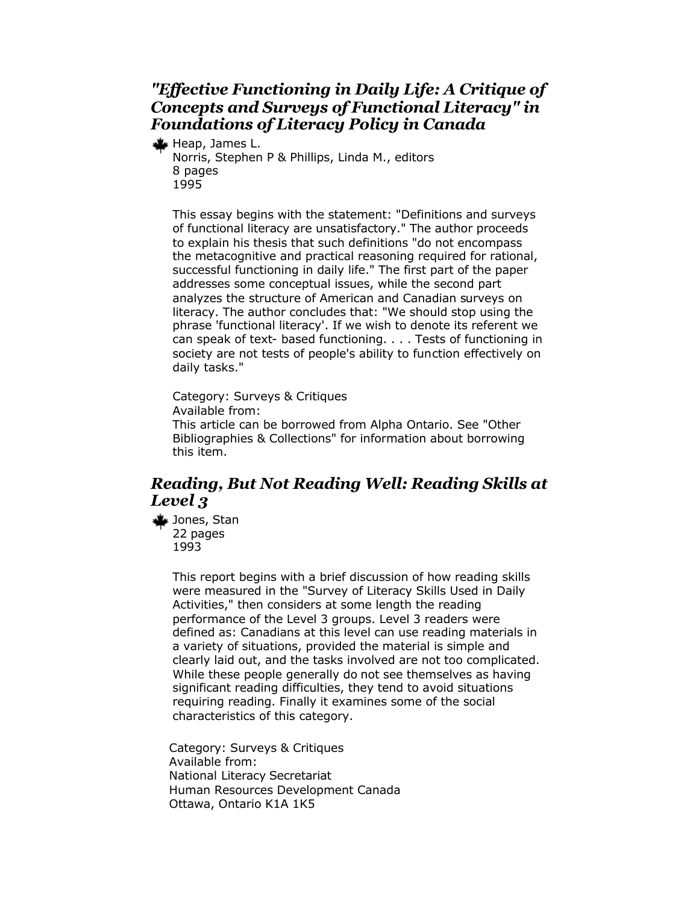#### *"Effective Functioning in Daily Life: A Critique of Concepts and Surveys of Functional Literacy" in Foundations of Literacy Policy in Canada*

Heap, James L. Norris, Stephen P & Phillips, Linda M., editors 8 pages 1995

This essay begins with the statement: "Definitions and surveys of functional literacy are unsatisfactory." The author proceeds to explain his thesis that such definitions "do not encompass the metacognitive and practical reasoning required for rational, successful functioning in daily life." The first part of the paper addresses some conceptual issues, while the second part analyzes the structure of American and Canadian surveys on literacy. The author concludes that: "We should stop using the phrase 'functional literacy'. If we wish to denote its referent we can speak of text- based functioning. . . . Tests of functioning in society are not tests of people's ability to function effectively on daily tasks."

Category: Surveys & Critiques Available from: This article can be borrowed from Alpha Ontario. See "Other Bibliographies & Collections" for information about borrowing this item.

#### *Reading, But Not Reading Well: Reading Skills at Level 3*

Jones, Stan 22 pages 1993

> This report begins with a brief discussion of how reading skills were measured in the "Survey of Literacy Skills Used in Daily Activities," then considers at some length the reading performance of the Level 3 groups. Level 3 readers were defined as: Canadians at this level can use reading materials in a variety of situations, provided the material is simple and clearly laid out, and the tasks involved are not too complicated. While these people generally do not see themselves as having significant reading difficulties, they tend to avoid situations requiring reading. Finally it examines some of the social characteristics of this category.

Category: Surveys & Critiques Available from: National Literacy Secretariat Human Resources Development Canada Ottawa, Ontario K1A 1K5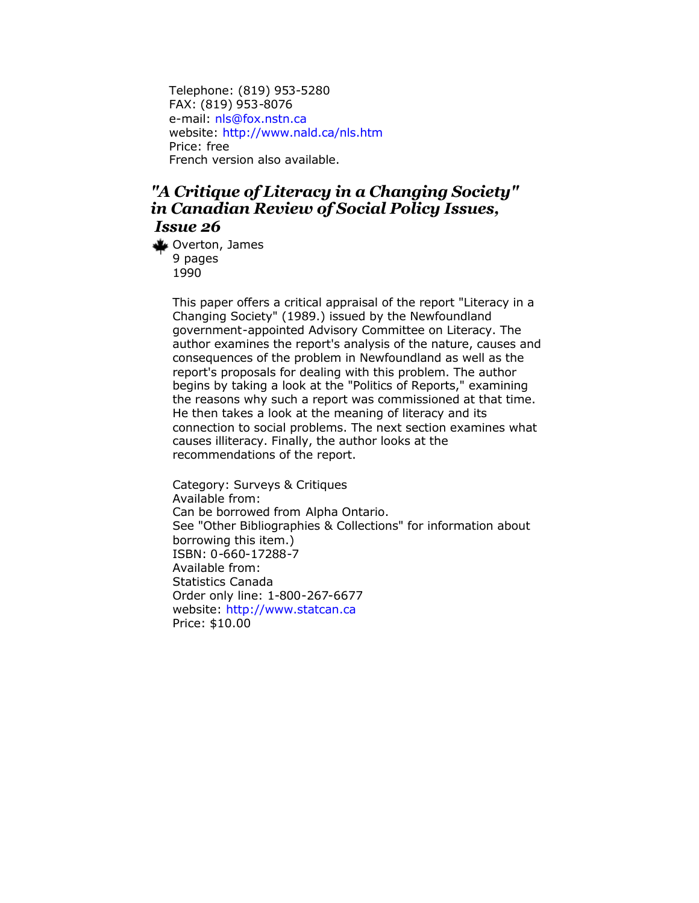Telephone: (819) 953-5280 FAX: (819) 953-8076 e-mail: [nls@fox.nstn.ca](mailto:nls@fox.nstn.ca) website: <http://www.nald.ca/nls.htm> Price: free French version also available.

#### *"A Critique of Literacy in a Changing Society" in Canadian Review of Social Policy Issues, Issue 26*

Overton, James 9 pages 1990

> This paper offers a critical appraisal of the report "Literacy in a Changing Society" (1989.) issued by the Newfoundland government-appointed Advisory Committee on Literacy. The author examines the report's analysis of the nature, causes and consequences of the problem in Newfoundland as well as the report's proposals for dealing with this problem. The author begins by taking a look at the "Politics of Reports," examining the reasons why such a report was commissioned at that time. He then takes a look at the meaning of literacy and its connection to social problems. The next section examines what causes illiteracy. Finally, the author looks at the recommendations of the report.

Category: Surveys & Critiques Available from: Can be borrowed from Alpha Ontario. See "Other Bibliographies & Collections" for information about borrowing this item.) ISBN: 0-660-17288-7 Available from: Statistics Canada Order only line: 1-800-267-6677 website: <http://www.statcan.ca> Price: \$10.00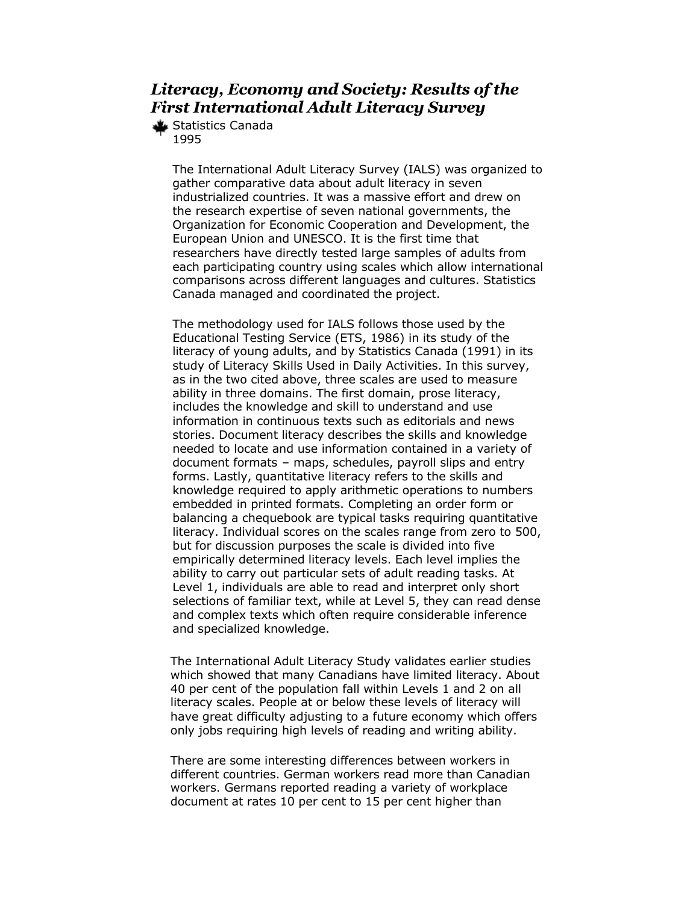#### *Literacy, Economy and Society: Results of the First International Adult Literacy Survey*

Statistics Canada 1995

> The International Adult Literacy Survey (IALS) was organized to gather comparative data about adult literacy in seven industrialized countries. It was a massive effort and drew on the research expertise of seven national governments, the Organization for Economic Cooperation and Development, the European Union and UNESCO. It is the first time that researchers have directly tested large samples of adults from each participating country using scales which allow international comparisons across different languages and cultures. Statistics Canada managed and coordinated the project.

> The methodology used for IALS follows those used by the Educational Testing Service (ETS, 1986) in its study of the literacy of young adults, and by Statistics Canada (1991) in its study of Literacy Skills Used in Daily Activities. In this survey, as in the two cited above, three scales are used to measure ability in three domains. The first domain, prose literacy, includes the knowledge and skill to understand and use information in continuous texts such as editorials and news stories. Document literacy describes the skills and knowledge needed to locate and use information contained in a variety of document formats – maps, schedules, payroll slips and entry forms. Lastly, quantitative literacy refers to the skills and knowledge required to apply arithmetic operations to numbers embedded in printed formats. Completing an order form or balancing a chequebook are typical tasks requiring quantitative literacy. Individual scores on the scales range from zero to 500, but for discussion purposes the scale is divided into five empirically determined literacy levels. Each level implies the ability to carry out particular sets of adult reading tasks. At Level 1, individuals are able to read and interpret only short selections of familiar text, while at Level 5, they can read dense and complex texts which often require considerable inference and specialized knowledge.

> The International Adult Literacy Study validates earlier studies which showed that many Canadians have limited literacy. About 40 per cent of the population fall within Levels 1 and 2 on all literacy scales. People at or below these levels of literacy will have great difficulty adjusting to a future economy which offers only jobs requiring high levels of reading and writing ability.

There are some interesting differences between workers in different countries. German workers read more than Canadian workers. Germans reported reading a variety of workplace document at rates 10 per cent to 15 per cent higher than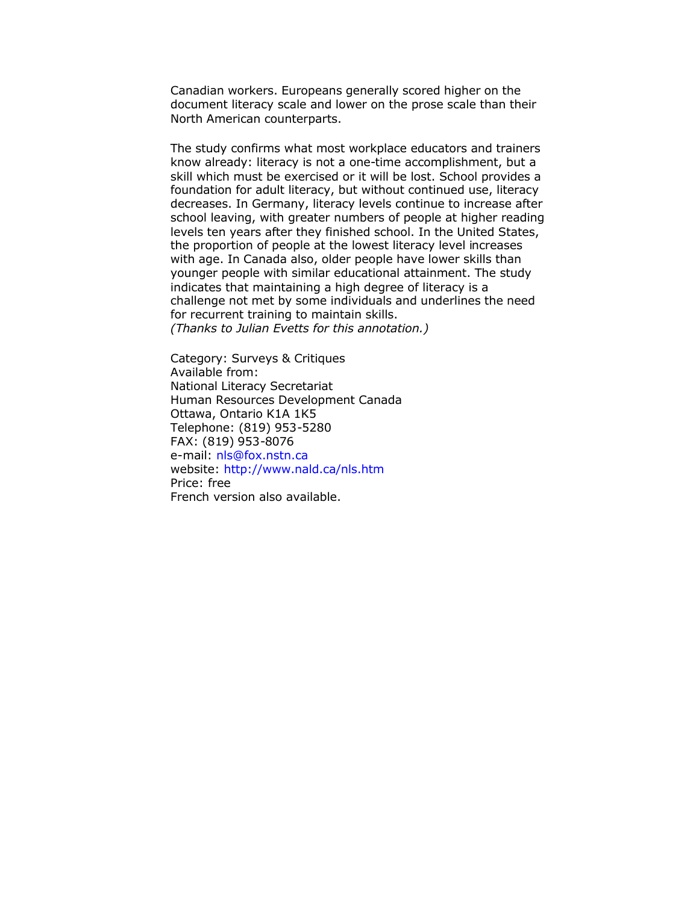Canadian workers. Europeans generally scored higher on the document literacy scale and lower on the prose scale than their North American counterparts.

The study confirms what most workplace educators and trainers know already: literacy is not a one-time accomplishment, but a skill which must be exercised or it will be lost. School provides a foundation for adult literacy, but without continued use, literacy decreases. In Germany, literacy levels continue to increase after school leaving, with greater numbers of people at higher reading levels ten years after they finished school. In the United States, the proportion of people at the lowest literacy level increases with age. In Canada also, older people have lower skills than younger people with similar educational attainment. The study indicates that maintaining a high degree of literacy is a challenge not met by some individuals and underlines the need for recurrent training to maintain skills. *(Thanks to Julian Evetts for this annotation.)*

Category: Surveys & Critiques Available from: National Literacy Secretariat Human Resources Development Canada Ottawa, Ontario K1A 1K5 Telephone: (819) 953-5280 FAX: (819) 953-8076 e-mail: [nls@fox.nstn.ca](mailto:nls@fox.nstn.ca) website:<http://www.nald.ca/nls.htm> Price: free French version also available.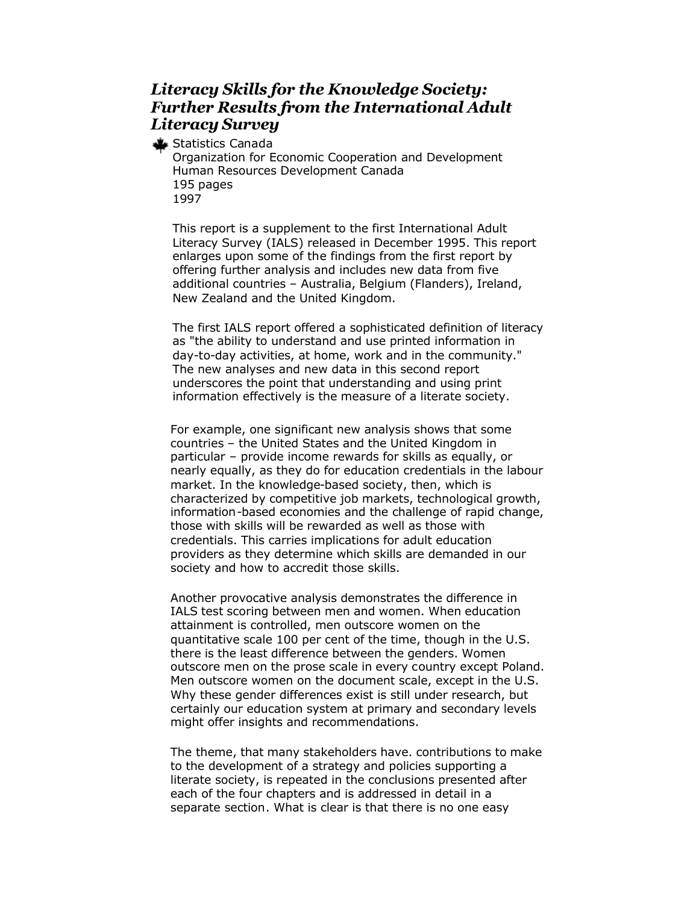#### *Literacy Skills for the Knowledge Society: Further Results from the International Adult Literacy Survey*

Statistics Canada

Organization for Economic Cooperation and Development Human Resources Development Canada 195 pages 1997

This report is a supplement to the first International Adult Literacy Survey (IALS) released in December 1995. This report enlarges upon some of the findings from the first report by offering further analysis and includes new data from five additional countries – Australia, Belgium (Flanders), Ireland, New Zealand and the United Kingdom.

The first IALS report offered a sophisticated definition of literacy as "the ability to understand and use printed information in day-to-day activities, at home, work and in the community." The new analyses and new data in this second report underscores the point that understanding and using print information effectively is the measure of a literate society.

For example, one significant new analysis shows that some countries – the United States and the United Kingdom in particular – provide income rewards for skills as equally, or nearly equally, as they do for education credentials in the labour market. In the knowledge-based society, then, which is characterized by competitive job markets, technological growth, information-based economies and the challenge of rapid change, those with skills will be rewarded as well as those with credentials. This carries implications for adult education providers as they determine which skills are demanded in our society and how to accredit those skills.

Another provocative analysis demonstrates the difference in IALS test scoring between men and women. When education attainment is controlled, men outscore women on the quantitative scale 100 per cent of the time, though in the U.S. there is the least difference between the genders. Women outscore men on the prose scale in every country except Poland. Men outscore women on the document scale, except in the U.S. Why these gender differences exist is still under research, but certainly our education system at primary and secondary levels might offer insights and recommendations.

The theme, that many stakeholders have. contributions to make to the development of a strategy and policies supporting a literate society, is repeated in the conclusions presented after each of the four chapters and is addressed in detail in a separate section. What is clear is that there is no one easy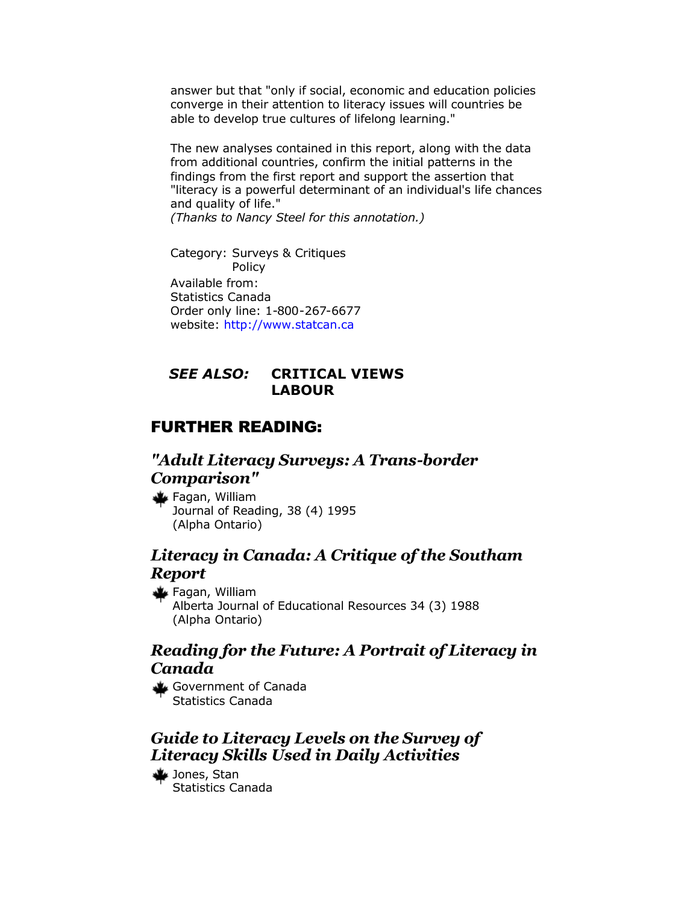answer but that "only if social, economic and education policies converge in their attention to literacy issues will countries be able to develop true cultures of lifelong learning."

The new analyses contained in this report, along with the data from additional countries, confirm the initial patterns in the findings from the first report and support the assertion that "literacy is a powerful determinant of an individual's life chances and quality of life."

*(Thanks to Nancy Steel for this annotation.)*

Category: Surveys & Critiques Policy Available from: Statistics Canada Order only line: 1-800-267-6677 website:<http://www.statcan.ca>

#### *SEE ALSO:* **CRITICAL VIEWS LABOUR**

#### FURTHER READING:

#### *"Adult Literacy Surveys: A Trans-border Comparison"*

Fagan, William Journal of Reading, 38 (4) 1995 (Alpha Ontario)

#### *Literacy in Canada: A Critique of the Southam Report*

Fagan, William Alberta Journal of Educational Resources 34 (3) 1988 (Alpha Ontario)

#### *Reading for the Future: A Portrait of Literacy in Canada*

Government of Canada Statistics Canada

#### *Guide to Literacy Levels on the Survey of Literacy Skills Used in Daily Activities*

Jones, Stan Statistics Canada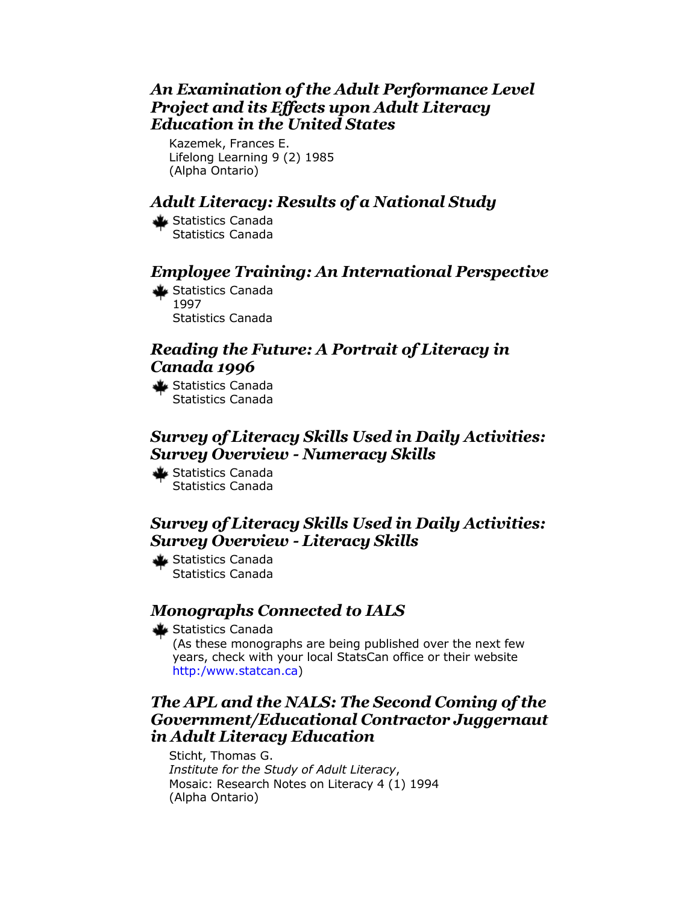#### *An Examination of the Adult Performance Level Project and its Effects upon Adult Literacy Education in the United States*

Kazemek, Frances E. Lifelong Learning 9 (2) 1985 (Alpha Ontario)

### *Adult Literacy: Results of a National Study*

Statistics Canada Statistics Canada

#### *Employee Training: An International Perspective*

Statistics Canada 1997 Statistics Canada

#### *Reading the Future: A Portrait of Literacy in Canada 1996*

Statistics Canada Statistics Canada

#### *Survey of Literacy Skills Used in Daily Activities: Survey Overview - Numeracy Skills*

Statistics Canada Statistics Canada

#### *Survey of Literacy Skills Used in Daily Activities: Survey Overview - Literacy Skills*

Statistics Canada Statistics Canada

#### *Monographs Connected to IALS*

Statistics Canada

(As these monographs are being published over the next few years, check with your local StatsCan office or their website [http:/www.statcan.ca\)](http://www.statcan.ca) 

#### *The APL and the NALS: The Second Coming of the Government/Educational Contractor Juggernaut in Adult Literacy Education*

Sticht, Thomas G. *Institute for the Study of Adult Literacy*, Mosaic: Research Notes on Literacy 4 (1) 1994 (Alpha Ontario)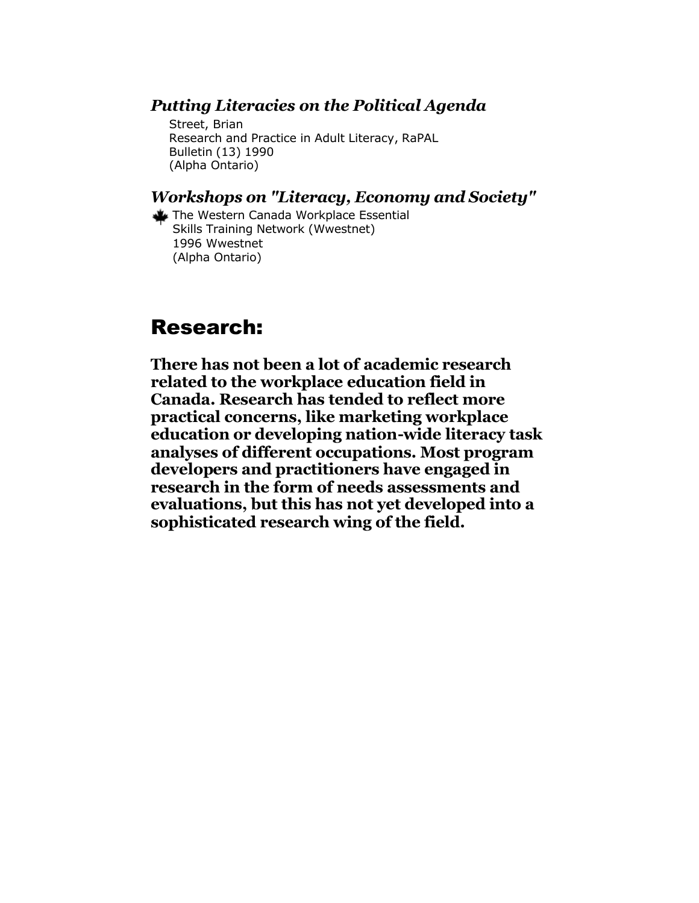#### <span id="page-24-0"></span>*Putting Literacies on the Political Agenda*

Street, Brian Research and Practice in Adult Literacy, RaPAL Bulletin (13) 1990 (Alpha Ontario)

#### *Workshops on "Literacy, Economy and Society"*

The Western Canada Workplace Essential Skills Training Network (Wwestnet) 1996 Wwestnet (Alpha Ontario)

### Research:

**There has not been a lot of academic research related to the workplace education field in Canada. Research has tended to reflect more practical concerns, like marketing workplace education or developing nation-wide literacy task analyses of different occupations. Most program developers and practitioners have engaged in research in the form of needs assessments and evaluations, but this has not yet developed into a sophisticated research wing of the field.**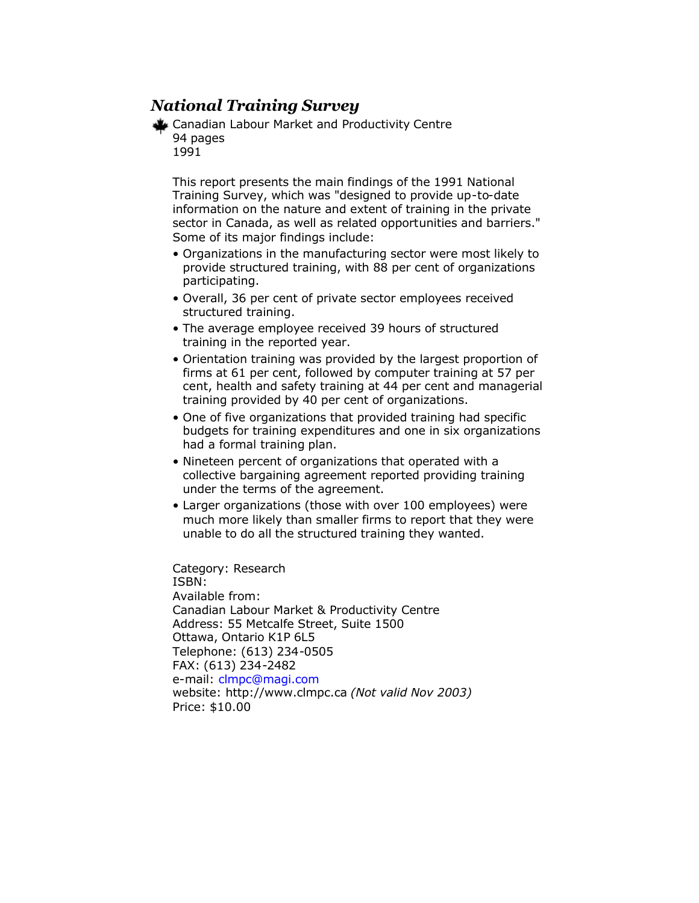#### *National Training Survey*

Canadian Labour Market and Productivity Centre 94 pages 1991

This report presents the main findings of the 1991 National Training Survey, which was "designed to provide up-to-date information on the nature and extent of training in the private sector in Canada, as well as related opportunities and barriers." Some of its major findings include:

- Organizations in the manufacturing sector were most likely to provide structured training, with 88 per cent of organizations participating.
- Overall, 36 per cent of private sector employees received structured training.
- The average employee received 39 hours of structured training in the reported year.
- Orientation training was provided by the largest proportion of firms at 61 per cent, followed by computer training at 57 per cent, health and safety training at 44 per cent and managerial training provided by 40 per cent of organizations.
- One of five organizations that provided training had specific budgets for training expenditures and one in six organizations had a formal training plan.
- Nineteen percent of organizations that operated with a collective bargaining agreement reported providing training under the terms of the agreement.
- Larger organizations (those with over 100 employees) were much more likely than smaller firms to report that they were unable to do all the structured training they wanted.

Category: Research ISBN: Available from: Canadian Labour Market & Productivity Centre Address: 55 Metcalfe Street, Suite 1500 Ottawa, Ontario K1P 6L5 Telephone: (613) 234-0505 FAX: (613) 234-2482 e-mail: [clmpc@magi.com](mailto:clmpc@magi.com) website: http://www.clmpc.ca *(Not valid Nov 2003)* Price: \$10.00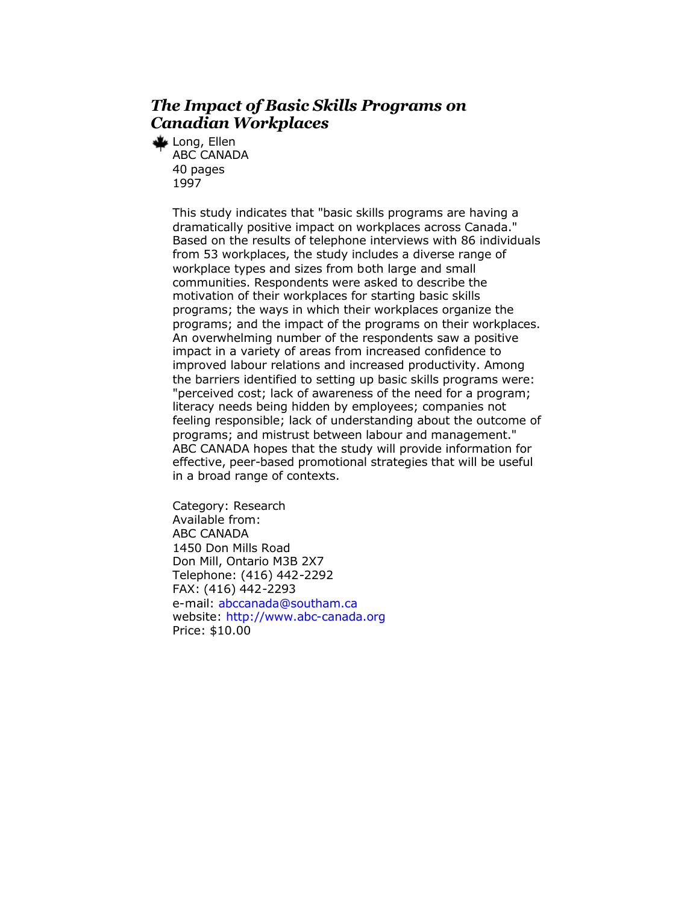#### *The Impact of Basic Skills Programs on Canadian Workplaces*

Long, Ellen ABC CANADA 40 pages 1997

> This study indicates that "basic skills programs are having a dramatically positive impact on workplaces across Canada." Based on the results of telephone interviews with 86 individuals from 53 workplaces, the study includes a diverse range of workplace types and sizes from both large and small communities. Respondents were asked to describe the motivation of their workplaces for starting basic skills programs; the ways in which their workplaces organize the programs; and the impact of the programs on their workplaces. An overwhelming number of the respondents saw a positive impact in a variety of areas from increased confidence to improved labour relations and increased productivity. Among the barriers identified to setting up basic skills programs were: "perceived cost; lack of awareness of the need for a program; literacy needs being hidden by employees; companies not feeling responsible; lack of understanding about the outcome of programs; and mistrust between labour and management." ABC CANADA hopes that the study will provide information for effective, peer-based promotional strategies that will be useful in a broad range of contexts.

Category: Research Available from: ABC CANADA 1450 Don Mills Road Don Mill, Ontario M3B 2X7 Telephone: (416) 442-2292 FAX: (416) 442-2293 e-mail: [abccanada@southam.ca](mailto:abccanada@southam.ca) website: <http://www.abc-canada.org> Price: \$10.00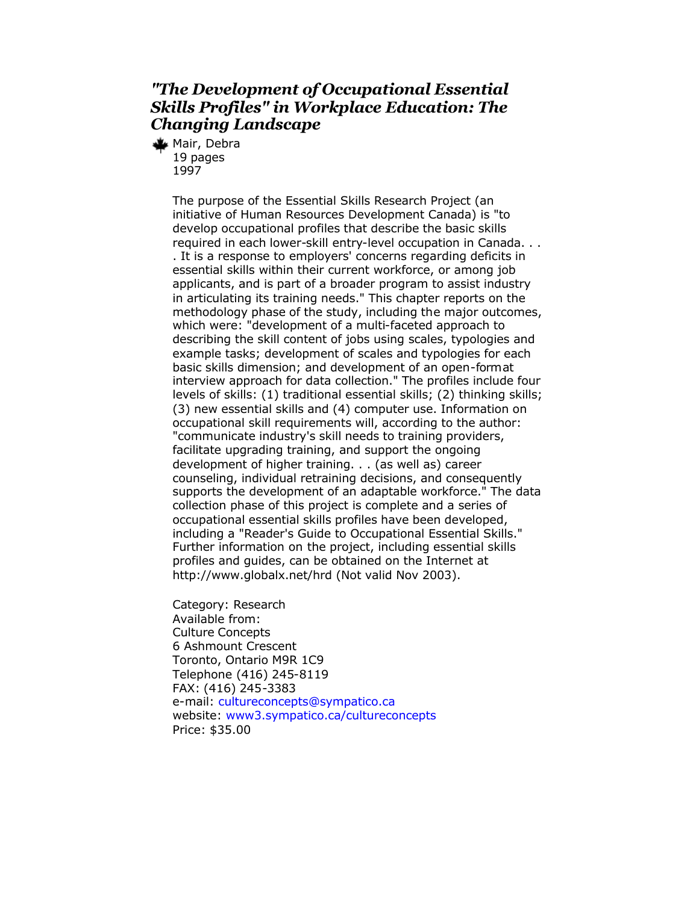#### *"The Development of Occupational Essential Skills Profiles" in Workplace Education: The Changing Landscape*

Mair, Debra 19 pages 1997

> The purpose of the Essential Skills Research Project (an initiative of Human Resources Development Canada) is "to develop occupational profiles that describe the basic skills required in each lower-skill entry-level occupation in Canada. . . . It is a response to employers' concerns regarding deficits in essential skills within their current workforce, or among job applicants, and is part of a broader program to assist industry in articulating its training needs." This chapter reports on the methodology phase of the study, including the major outcomes, which were: "development of a multi-faceted approach to describing the skill content of jobs using scales, typologies and example tasks; development of scales and typologies for each basic skills dimension; and development of an open-format interview approach for data collection." The profiles include four levels of skills: (1) traditional essential skills; (2) thinking skills; (3) new essential skills and (4) computer use. Information on occupational skill requirements will, according to the author: "communicate industry's skill needs to training providers, facilitate upgrading training, and support the ongoing development of higher training. . . (as well as) career counseling, individual retraining decisions, and consequently supports the development of an adaptable workforce." The data collection phase of this project is complete and a series of occupational essential skills profiles have been developed, including a "Reader's Guide to Occupational Essential Skills." Further information on the project, including essential skills profiles and guides, can be obtained on the Internet at http://www.globalx.net/hrd (Not valid Nov 2003).

Category: Research Available from: Culture Concepts 6 Ashmount Crescent Toronto, Ontario M9R 1C9 Telephone (416) 245-8119 FAX: (416) 245-3383 e-mail: [cultureconcepts@sympatico.ca](mailto:cultureconcepts@sympatico.ca) website: [www3.sympatico.ca/cultureconcepts](http://www.cultureconcepts.ca/) Price: \$35.00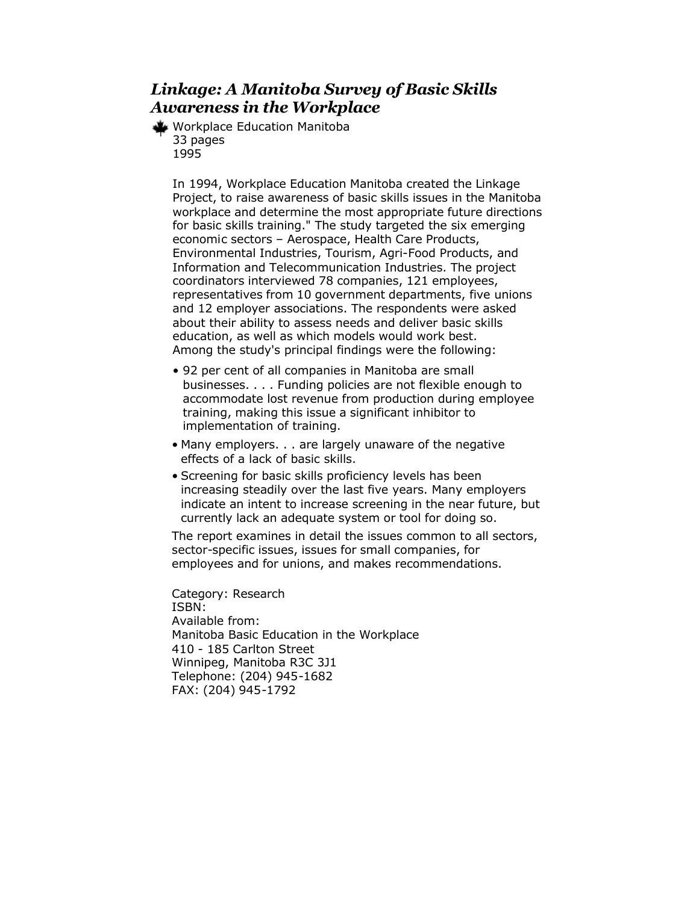#### *Linkage: A Manitoba Survey of Basic Skills Awareness in the Workplace*

Workplace Education Manitoba 33 pages 1995

In 1994, Workplace Education Manitoba created the Linkage Project, to raise awareness of basic skills issues in the Manitoba workplace and determine the most appropriate future directions for basic skills training." The study targeted the six emerging economic sectors – Aerospace, Health Care Products, Environmental Industries, Tourism, Agri-Food Products, and Information and Telecommunication Industries. The project coordinators interviewed 78 companies, 121 employees, representatives from 10 government departments, five unions and 12 employer associations. The respondents were asked about their ability to assess needs and deliver basic skills education, as well as which models would work best. Among the study's principal findings were the following:

- 92 per cent of all companies in Manitoba are small businesses. . . . Funding policies are not flexible enough to accommodate lost revenue from production during employee training, making this issue a significant inhibitor to implementation of training.
- Many employers. . . are largely unaware of the negative effects of a lack of basic skills.
- Screening for basic skills proficiency levels has been increasing steadily over the last five years. Many employers indicate an intent to increase screening in the near future, but currently lack an adequate system or tool for doing so.

The report examines in detail the issues common to all sectors, sector-specific issues, issues for small companies, for employees and for unions, and makes recommendations.

Category: Research ISBN: Available from: Manitoba Basic Education in the Workplace 410 - 185 Carlton Street Winnipeg, Manitoba R3C 3J1 Telephone: (204) 945-1682 FAX: (204) 945-1792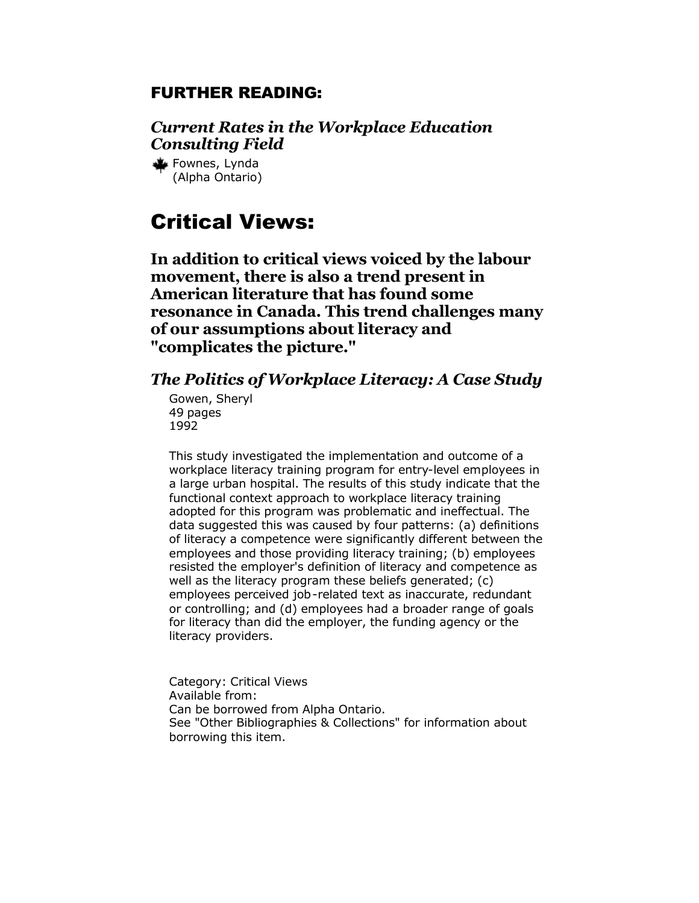#### <span id="page-29-0"></span>FURTHER READING:

*Current Rates in the Workplace Education Consulting Field*

Fownes, Lynda (Alpha Ontario)

## Critical Views:

**In addition to critical views voiced by the labour movement, there is also a trend present in American literature that has found some resonance in Canada. This trend challenges many of our assumptions about literacy and "complicates the picture."**

#### *The Politics of Workplace Literacy: A Case Study*

Gowen, Sheryl 49 pages 1992

This study investigated the implementation and outcome of a workplace literacy training program for entry-level employees in a large urban hospital. The results of this study indicate that the functional context approach to workplace literacy training adopted for this program was problematic and ineffectual. The data suggested this was caused by four patterns: (a) definitions of literacy a competence were significantly different between the employees and those providing literacy training; (b) employees resisted the employer's definition of literacy and competence as well as the literacy program these beliefs generated; (c) employees perceived job-related text as inaccurate, redundant or controlling; and (d) employees had a broader range of goals for literacy than did the employer, the funding agency or the literacy providers.

Category: Critical Views Available from: Can be borrowed from Alpha Ontario. See "Other Bibliographies & Collections" for information about borrowing this item.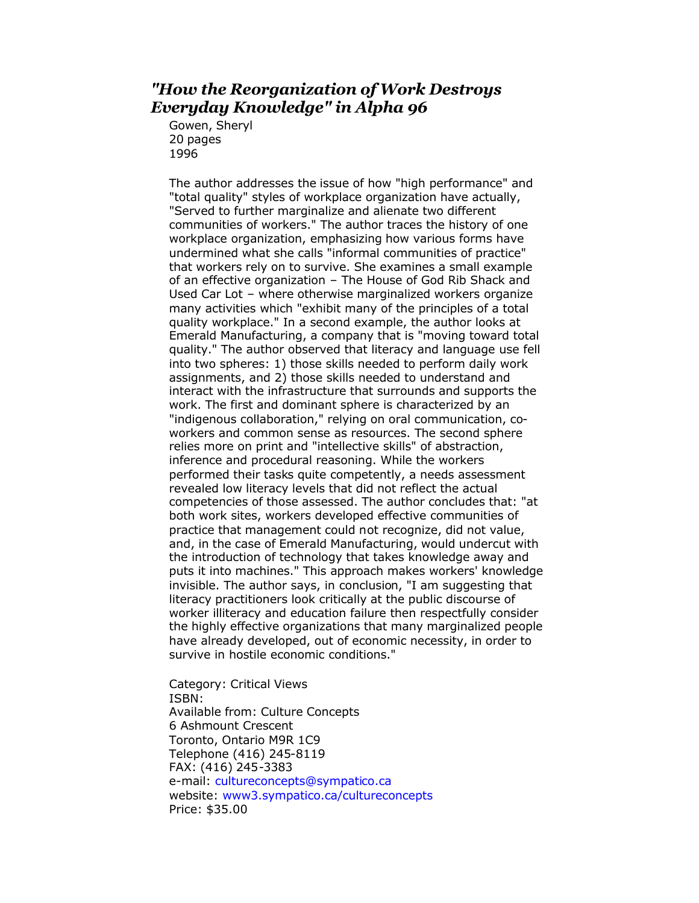#### *"How the Reorganization of Work Destroys Everyday Knowledge" in Alpha 96*

Gowen, Sheryl 20 pages 1996

The author addresses the issue of how "high performance" and "total quality" styles of workplace organization have actually, "Served to further marginalize and alienate two different communities of workers." The author traces the history of one workplace organization, emphasizing how various forms have undermined what she calls "informal communities of practice" that workers rely on to survive. She examines a small example of an effective organization – The House of God Rib Shack and Used Car Lot – where otherwise marginalized workers organize many activities which "exhibit many of the principles of a total quality workplace." In a second example, the author looks at Emerald Manufacturing, a company that is "moving toward total quality." The author observed that literacy and language use fell into two spheres: 1) those skills needed to perform daily work assignments, and 2) those skills needed to understand and interact with the infrastructure that surrounds and supports the work. The first and dominant sphere is characterized by an "indigenous collaboration," relying on oral communication, coworkers and common sense as resources. The second sphere relies more on print and "intellective skills" of abstraction, inference and procedural reasoning. While the workers performed their tasks quite competently, a needs assessment revealed low literacy levels that did not reflect the actual competencies of those assessed. The author concludes that: "at both work sites, workers developed effective communities of practice that management could not recognize, did not value, and, in the case of Emerald Manufacturing, would undercut with the introduction of technology that takes knowledge away and puts it into machines." This approach makes workers' knowledge invisible. The author says, in conclusion, "I am suggesting that literacy practitioners look critically at the public discourse of worker illiteracy and education failure then respectfully consider the highly effective organizations that many marginalized people have already developed, out of economic necessity, in order to survive in hostile economic conditions."

Category: Critical Views ISBN: Available from: Culture Concepts 6 Ashmount Crescent Toronto, Ontario M9R 1C9 Telephone (416) 245-8119 FAX: (416) 245-3383 e-mail: [cultureconcepts@sympatico.ca](mailto:cultureconcepts@sympatico.ca) website: [www3.sympatico.ca/cultureconcepts](http://www.cultureconcepts.ca/) Price: \$35.00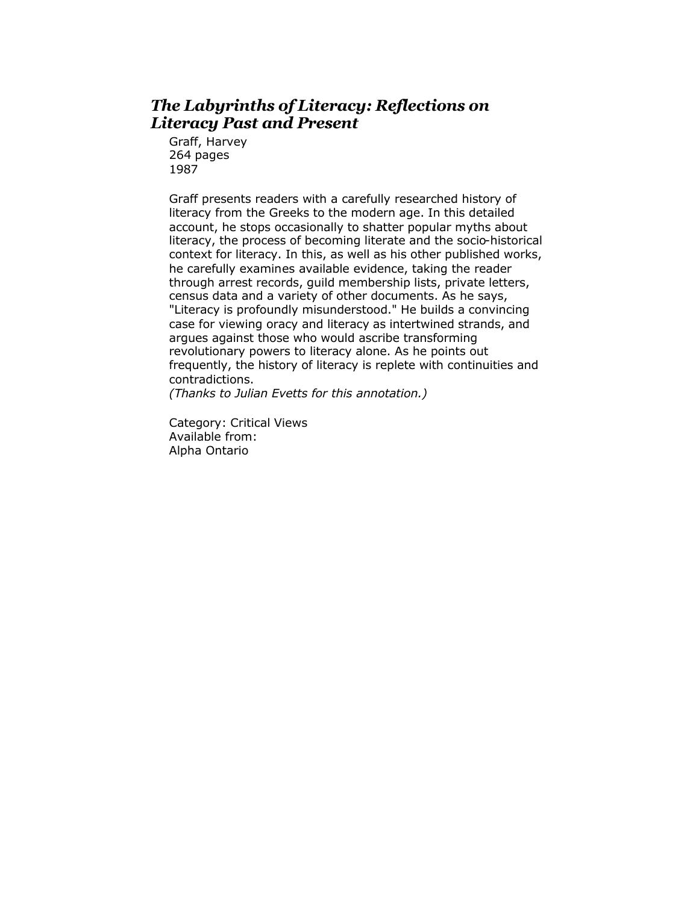#### *The Labyrinths of Literacy: Reflections on Literacy Past and Present*

Graff, Harvey 264 pages 1987

Graff presents readers with a carefully researched history of literacy from the Greeks to the modern age. In this detailed account, he stops occasionally to shatter popular myths about literacy, the process of becoming literate and the socio-historical context for literacy. In this, as well as his other published works, he carefully examines available evidence, taking the reader through arrest records, guild membership lists, private letters, census data and a variety of other documents. As he says, "Literacy is profoundly misunderstood." He builds a convincing case for viewing oracy and literacy as intertwined strands, and argues against those who would ascribe transforming revolutionary powers to literacy alone. As he points out frequently, the history of literacy is replete with continuities and contradictions.

*(Thanks to Julian Evetts for this annotation.)*

Category: Critical Views Available from: Alpha Ontario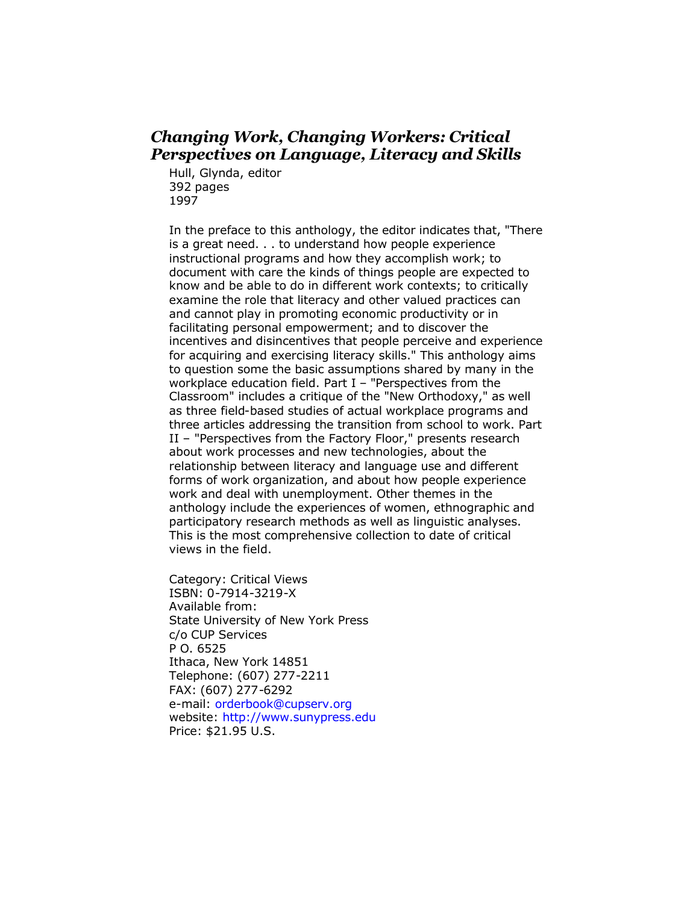#### *Changing Work, Changing Workers: Critical Perspectives on Language, Literacy and Skills*

Hull, Glynda, editor 392 pages 1997

In the preface to this anthology, the editor indicates that, "There is a great need. . . to understand how people experience instructional programs and how they accomplish work; to document with care the kinds of things people are expected to know and be able to do in different work contexts; to critically examine the role that literacy and other valued practices can and cannot play in promoting economic productivity or in facilitating personal empowerment; and to discover the incentives and disincentives that people perceive and experience for acquiring and exercising literacy skills." This anthology aims to question some the basic assumptions shared by many in the workplace education field. Part I – "Perspectives from the Classroom" includes a critique of the "New Orthodoxy," as well as three field-based studies of actual workplace programs and three articles addressing the transition from school to work. Part II – "Perspectives from the Factory Floor," presents research about work processes and new technologies, about the relationship between literacy and language use and different forms of work organization, and about how people experience work and deal with unemployment. Other themes in the anthology include the experiences of women, ethnographic and participatory research methods as well as linguistic analyses. This is the most comprehensive collection to date of critical views in the field.

Category: Critical Views ISBN: 0-7914-3219-X Available from: State University of New York Press c/o CUP Services P O. 6525 Ithaca, New York 14851 Telephone: (607) 277-2211 FAX: (607) 277-6292 e-mail: [orderbook@cupserv.org](mailto:orderbook@cupserv.org) website: <http://www.sunypress.edu> Price: \$21.95 U.S.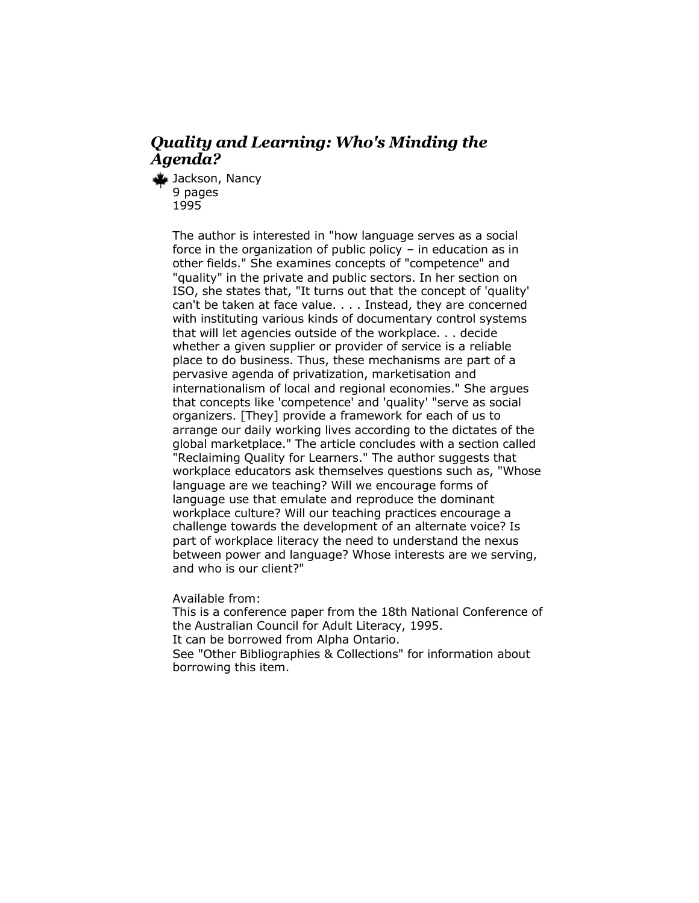#### *Quality and Learning: Who's Minding the Agenda?*

Jackson, Nancy 9 pages 1995

> The author is interested in "how language serves as a social force in the organization of public policy – in education as in other fields." She examines concepts of "competence" and "quality" in the private and public sectors. In her section on ISO, she states that, "It turns out that the concept of 'quality' can't be taken at face value. . . . Instead, they are concerned with instituting various kinds of documentary control systems that will let agencies outside of the workplace. . . decide whether a given supplier or provider of service is a reliable place to do business. Thus, these mechanisms are part of a pervasive agenda of privatization, marketisation and internationalism of local and regional economies." She argues that concepts like 'competence' and 'quality' "serve as social organizers. [They] provide a framework for each of us to arrange our daily working lives according to the dictates of the global marketplace." The article concludes with a section called "Reclaiming Quality for Learners." The author suggests that workplace educators ask themselves questions such as, "Whose language are we teaching? Will we encourage forms of language use that emulate and reproduce the dominant workplace culture? Will our teaching practices encourage a challenge towards the development of an alternate voice? Is part of workplace literacy the need to understand the nexus between power and language? Whose interests are we serving, and who is our client?"

Available from:

This is a conference paper from the 18th National Conference of the Australian Council for Adult Literacy, 1995. It can be borrowed from Alpha Ontario. See "Other Bibliographies & Collections" for information about borrowing this item.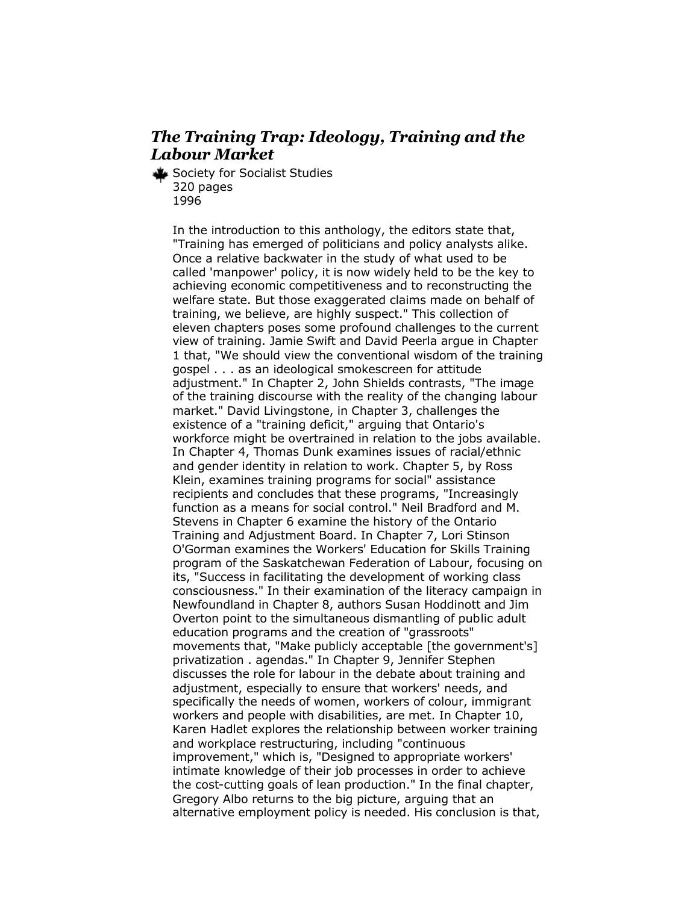#### *The Training Trap: Ideology, Training and the Labour Market*

Society for Socialist Studies 320 pages 1996

> In the introduction to this anthology, the editors state that, "Training has emerged of politicians and policy analysts alike. Once a relative backwater in the study of what used to be called 'manpower' policy, it is now widely held to be the key to achieving economic competitiveness and to reconstructing the welfare state. But those exaggerated claims made on behalf of training, we believe, are highly suspect." This collection of eleven chapters poses some profound challenges to the current view of training. Jamie Swift and David Peerla argue in Chapter 1 that, "We should view the conventional wisdom of the training gospel . . . as an ideological smokescreen for attitude adjustment." In Chapter 2, John Shields contrasts, "The image of the training discourse with the reality of the changing labour market." David Livingstone, in Chapter 3, challenges the existence of a "training deficit," arguing that Ontario's workforce might be overtrained in relation to the jobs available. In Chapter 4, Thomas Dunk examines issues of racial/ethnic and gender identity in relation to work. Chapter 5, by Ross Klein, examines training programs for social" assistance recipients and concludes that these programs, "Increasingly function as a means for social control." Neil Bradford and M. Stevens in Chapter 6 examine the history of the Ontario Training and Adjustment Board. In Chapter 7, Lori Stinson O'Gorman examines the Workers' Education for Skills Training program of the Saskatchewan Federation of Labour, focusing on its, "Success in facilitating the development of working class consciousness." In their examination of the literacy campaign in Newfoundland in Chapter 8, authors Susan Hoddinott and Jim Overton point to the simultaneous dismantling of public adult education programs and the creation of "grassroots" movements that, "Make publicly acceptable [the government's] privatization . agendas." In Chapter 9, Jennifer Stephen discusses the role for labour in the debate about training and adjustment, especially to ensure that workers' needs, and specifically the needs of women, workers of colour, immigrant workers and people with disabilities, are met. In Chapter 10, Karen Hadlet explores the relationship between worker training and workplace restructuring, including "continuous improvement," which is, "Designed to appropriate workers' intimate knowledge of their job processes in order to achieve the cost-cutting goals of lean production." In the final chapter, Gregory Albo returns to the big picture, arguing that an alternative employment policy is needed. His conclusion is that,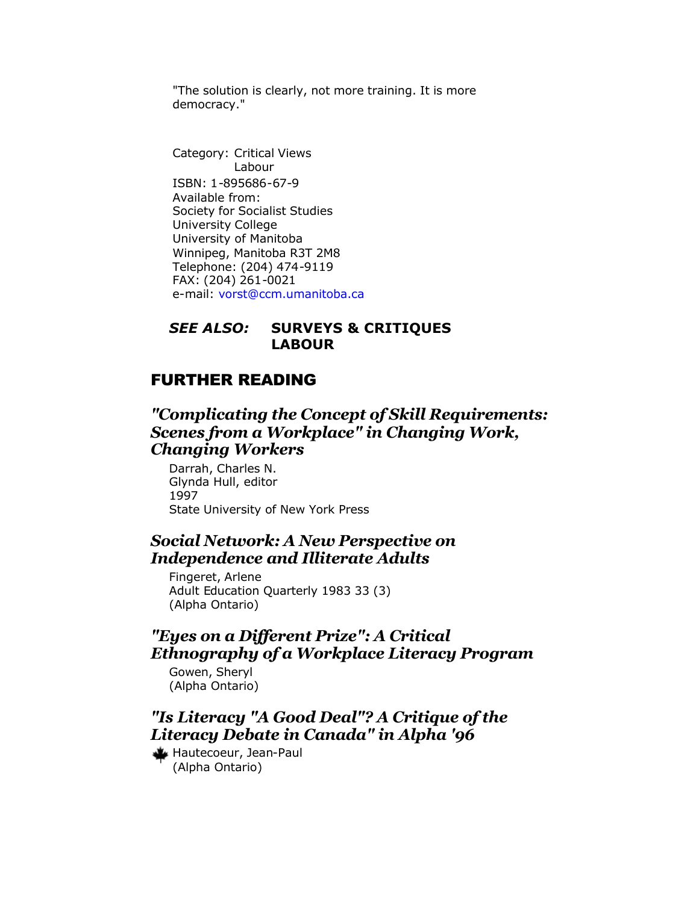"The solution is clearly, not more training. It is more democracy."

Category: Critical Views Labour ISBN: 1-895686-67-9 Available from: Society for Socialist Studies University College University of Manitoba Winnipeg, Manitoba R3T 2M8 Telephone: (204) 474-9119 FAX: (204) 261-0021 e-mail: [vorst@ccm.umanitoba.ca](mailto:vorst@ccm.umanitoba.ca)

#### *SEE ALSO:* **SURVEYS & CRITIQUES LABOUR**

#### FURTHER READING

#### *"Complicating the Concept of Skill Requirements: Scenes from a Workplace" in Changing Work, Changing Workers*

Darrah, Charles N. Glynda Hull, editor 1997 State University of New York Press

#### *Social Network: A New Perspective on Independence and Illiterate Adults*

Fingeret, Arlene Adult Education Quarterly 1983 33 (3) (Alpha Ontario)

#### *"Eyes on a Different Prize": A Critical Ethnography of a Workplace Literacy Program*

Gowen, Sheryl (Alpha Ontario)

### *"Is Literacy "A Good Deal"? A Critique of the Literacy Debate in Canada" in Alpha '96*

Hautecoeur, Jean-Paul (Alpha Ontario)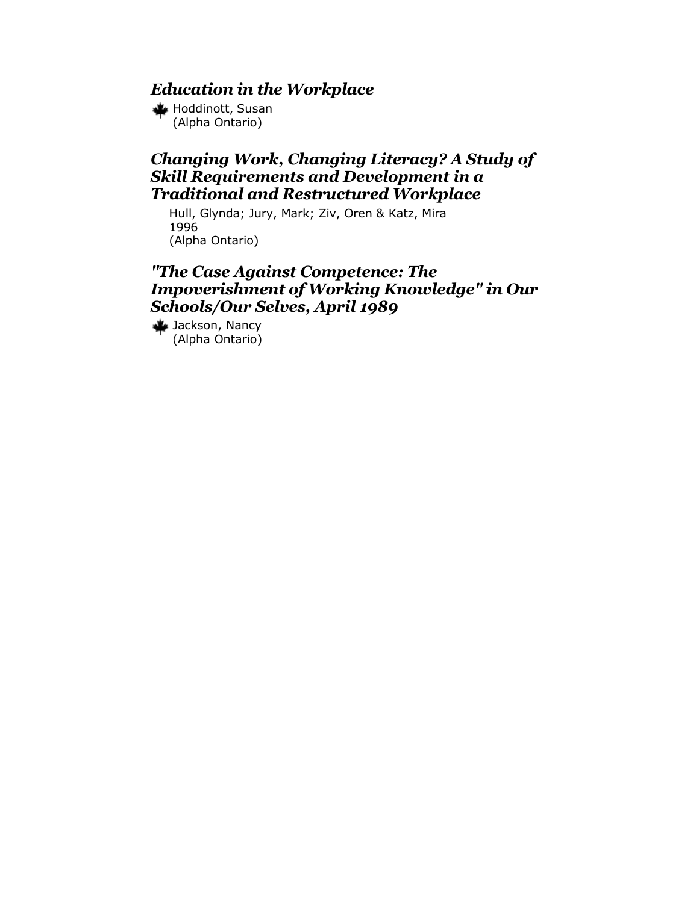# *Education in the Workplace*

Hoddinott, Susan (Alpha Ontario)

# *Changing Work, Changing Literacy? A Study of Skill Requirements and Development in a Traditional and Restructured Workplace*

Hull, Glynda; Jury, Mark; Ziv, Oren & Katz, Mira 1996 (Alpha Ontario)

# *"The Case Against Competence: The Impoverishment of Working Knowledge" in Our Schools/Our Selves, April 1989*

Jackson, Nancy (Alpha Ontario)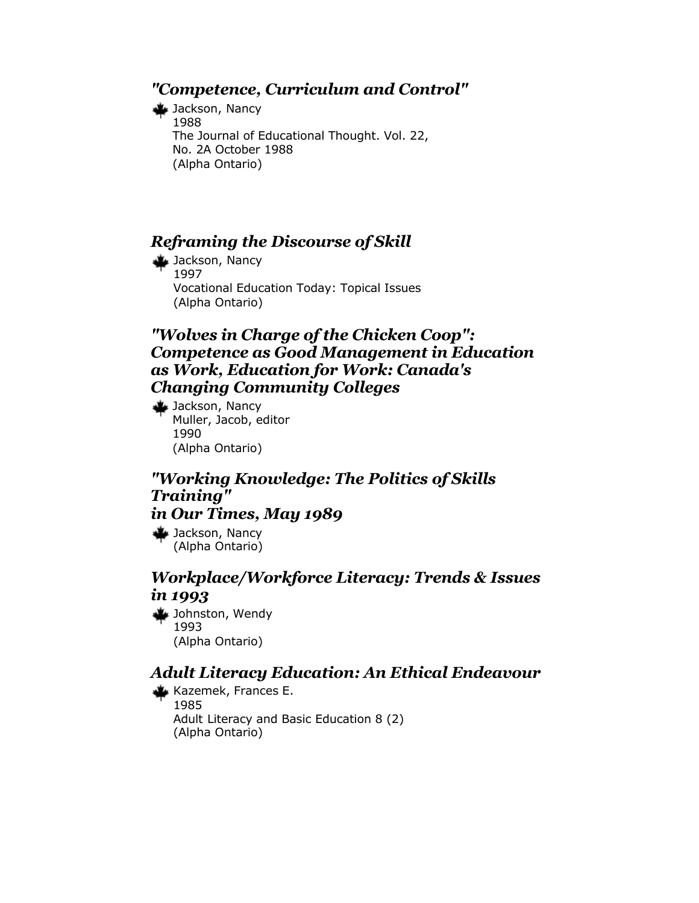## *"Competence, Curriculum and Control"*

Jackson, Nancy 1988 The Journal of Educational Thought. Vol. 22, No. 2A October 1988 (Alpha Ontario)

# *Reframing the Discourse of Skill*

Jackson, Nancy 1997 Vocational Education Today: Topical Issues (Alpha Ontario)

# *"Wolves in Charge of the Chicken Coop": Competence as Good Management in Education as Work, Education for Work: Canada's Changing Community Colleges*

Jackson, Nancy Muller, Jacob, editor 1990 (Alpha Ontario)

### *"Working Knowledge: The Politics of Skills Training" in Our Times, May 1989*

Jackson, Nancy (Alpha Ontario)

# *Workplace/Workforce Literacy: Trends & Issues in 1993*

Johnston, Wendy 1993 (Alpha Ontario)

# *Adult Literacy Education: An Ethical Endeavour*

Kazemek, Frances E. 1985 Adult Literacy and Basic Education 8 (2) (Alpha Ontario)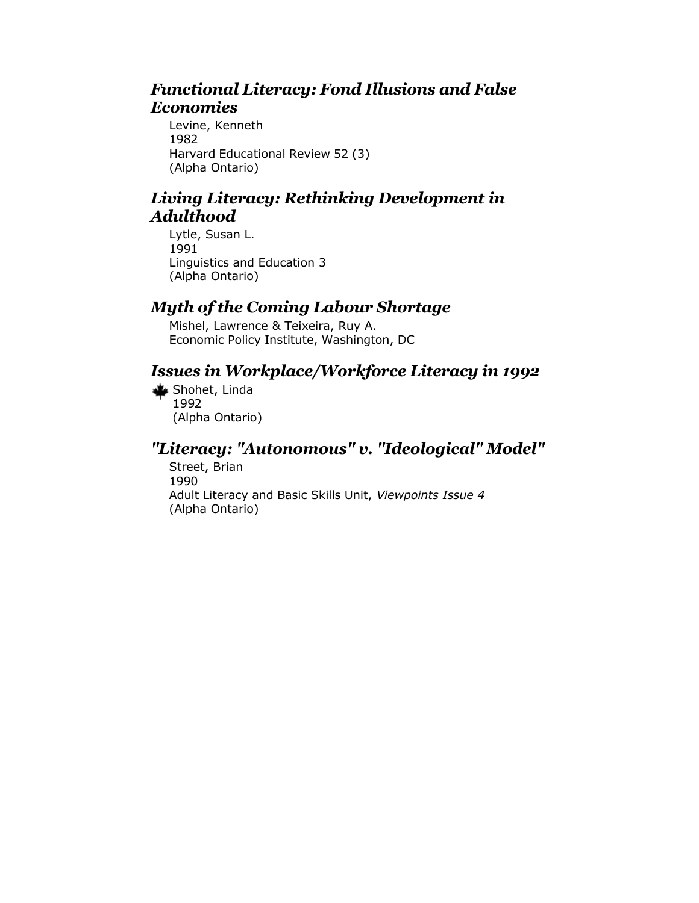# *Functional Literacy: Fond Illusions and False Economies*

Levine, Kenneth 1982 Harvard Educational Review 52 (3) (Alpha Ontario)

# *Living Literacy: Rethinking Development in Adulthood*

Lytle, Susan L. 1991 Linguistics and Education 3 (Alpha Ontario)

# *Myth of the Coming Labour Shortage*

Mishel, Lawrence & Teixeira, Ruy A. Economic Policy Institute, Washington, DC

# *Issues in Workplace/Workforce Literacy in 1992*

Shohet, Linda 1992 (Alpha Ontario)

# *"Literacy: "Autonomous" v. "Ideological" Model"*

Street, Brian 1990 Adult Literacy and Basic Skills Unit, *Viewpoints Issue 4* (Alpha Ontario)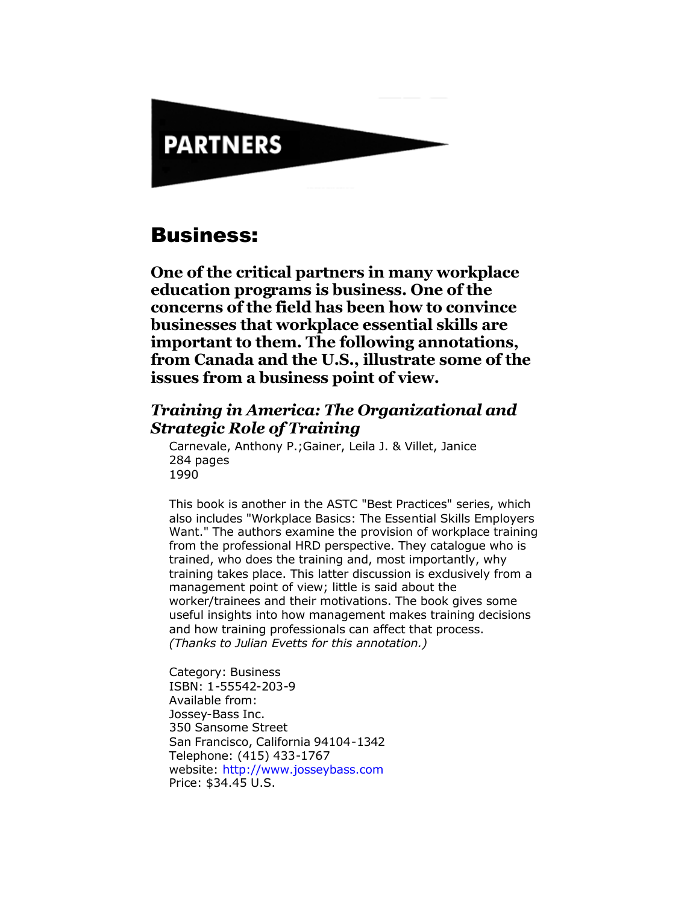# **PARTNERS**

# Business:

**One of the critical partners in many workplace education programs is business. One of the concerns of the field has been how to convince businesses that workplace essential skills are important to them. The following annotations, from Canada and the U.S., illustrate some of the issues from a business point of view.** 

# *Training in America: The Organizational and Strategic Role of Training*

Carnevale, Anthony P.;Gainer, Leila J. & Villet, Janice 284 pages 1990

This book is another in the ASTC "Best Practices" series, which also includes "Workplace Basics: The Essential Skills Employers Want." The authors examine the provision of workplace training from the professional HRD perspective. They catalogue who is trained, who does the training and, most importantly, why training takes place. This latter discussion is exclusively from a management point of view; little is said about the worker/trainees and their motivations. The book gives some useful insights into how management makes training decisions and how training professionals can affect that process. *(Thanks to Julian Evetts for this annotation.)*

Category: Business ISBN: 1-55542-203-9 Available from: Jossey-Bass Inc. 350 Sansome Street San Francisco, California 94104-1342 Telephone: (415) 433-1767 website: <http://www.josseybass.com> Price: \$34.45 U.S.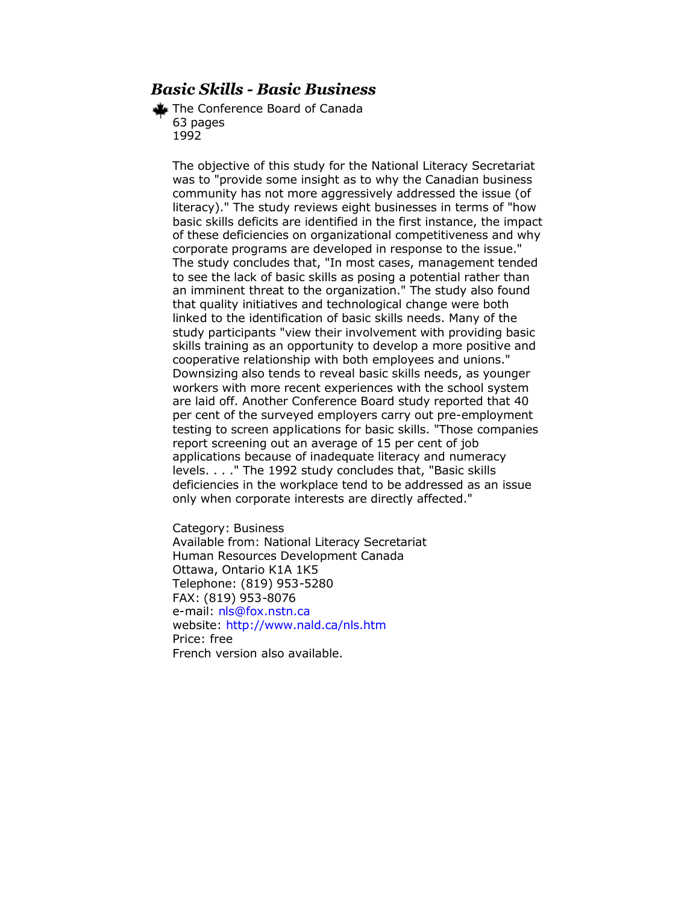# *Basic Skills - Basic Business*

The Conference Board of Canada 63 pages 1992

The objective of this study for the National Literacy Secretariat was to "provide some insight as to why the Canadian business community has not more aggressively addressed the issue (of literacy)." The study reviews eight businesses in terms of "how basic skills deficits are identified in the first instance, the impact of these deficiencies on organizational competitiveness and why corporate programs are developed in response to the issue." The study concludes that, "In most cases, management tended to see the lack of basic skills as posing a potential rather than an imminent threat to the organization." The study also found that quality initiatives and technological change were both linked to the identification of basic skills needs. Many of the study participants "view their involvement with providing basic skills training as an opportunity to develop a more positive and cooperative relationship with both employees and unions." Downsizing also tends to reveal basic skills needs, as younger workers with more recent experiences with the school system are laid off. Another Conference Board study reported that 40 per cent of the surveyed employers carry out pre-employment testing to screen applications for basic skills. "Those companies report screening out an average of 15 per cent of job applications because of inadequate literacy and numeracy levels. . . ." The 1992 study concludes that, "Basic skills deficiencies in the workplace tend to be addressed as an issue only when corporate interests are directly affected."

Category: Business Available from: National Literacy Secretariat Human Resources Development Canada Ottawa, Ontario K1A 1K5 Telephone: (819) 953-5280 FAX: (819) 953-8076 e-mail: [nls@fox.nstn.ca](mailto:nls@fox.nstn.ca) website: <http://www.nald.ca/nls.htm> Price: free French version also available.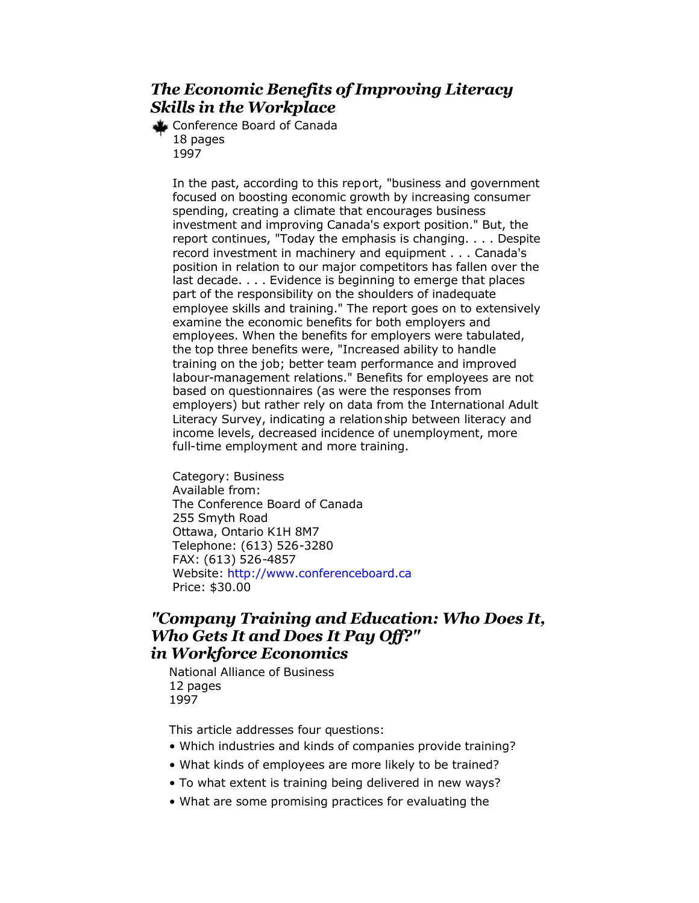# *The Economic Benefits of Improving Literacy Skills in the Workplace*

Conference Board of Canada 18 pages 1997

> In the past, according to this report, "business and government focused on boosting economic growth by increasing consumer spending, creating a climate that encourages business investment and improving Canada's export position." But, the report continues, "Today the emphasis is changing. . . . Despite record investment in machinery and equipment . . . Canada's position in relation to our major competitors has fallen over the last decade. . . . Evidence is beginning to emerge that places part of the responsibility on the shoulders of inadequate employee skills and training." The report goes on to extensively examine the economic benefits for both employers and employees. When the benefits for employers were tabulated, the top three benefits were, "Increased ability to handle training on the job; better team performance and improved labour-management relations." Benefits for employees are not based on questionnaires (as were the responses from employers) but rather rely on data from the International Adult Literacy Survey, indicating a relationship between literacy and income levels, decreased incidence of unemployment, more full-time employment and more training.

Category: Business Available from: The Conference Board of Canada 255 Smyth Road Ottawa, Ontario K1H 8M7 Telephone: (613) 526-3280 FAX: (613) 526-4857 Website:<http://www.conferenceboard.ca> Price: \$30.00

### *"Company Training and Education: Who Does It, Who Gets It and Does It Pay Off?" in Workforce Economics*

National Alliance of Business 12 pages 1997

This article addresses four questions:

- Which industries and kinds of companies provide training?
- What kinds of employees are more likely to be trained?
- To what extent is training being delivered in new ways?
- What are some promising practices for evaluating the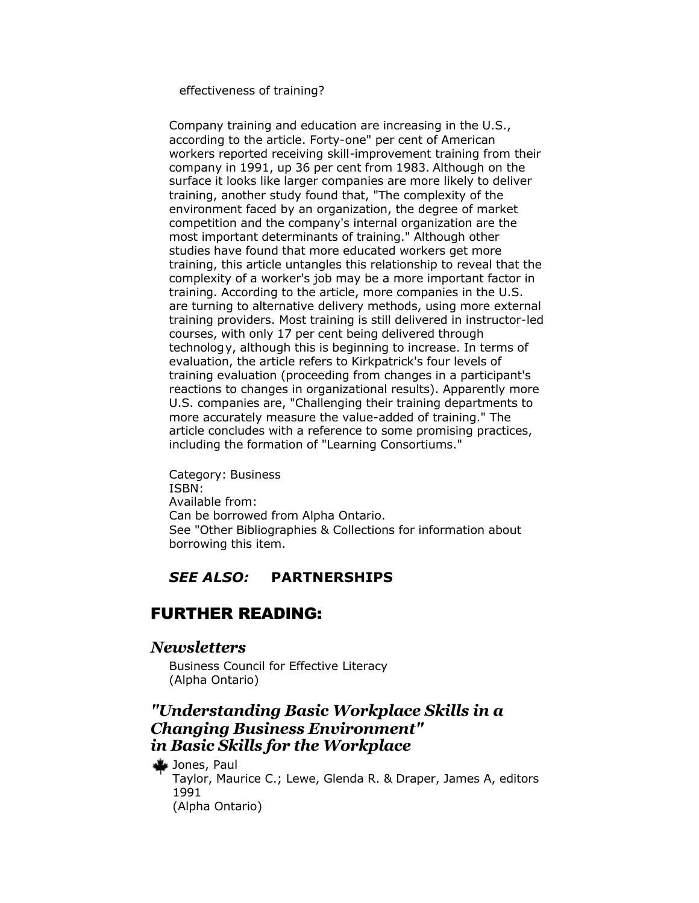effectiveness of training?

Company training and education are increasing in the U.S., according to the article. Forty-one" per cent of American workers reported receiving skill-improvement training from their company in 1991, up 36 per cent from 1983. Although on the surface it looks like larger companies are more likely to deliver training, another study found that, "The complexity of the environment faced by an organization, the degree of market competition and the company's internal organization are the most important determinants of training." Although other studies have found that more educated workers get more training, this article untangles this relationship to reveal that the complexity of a worker's job may be a more important factor in training. According to the article, more companies in the U.S. are turning to alternative delivery methods, using more external training providers. Most training is still delivered in instructor-led courses, with only 17 per cent being delivered through technology, although this is beginning to increase. In terms of evaluation, the article refers to Kirkpatrick's four levels of training evaluation (proceeding from changes in a participant's reactions to changes in organizational results). Apparently more U.S. companies are, "Challenging their training departments to more accurately measure the value-added of training." The article concludes with a reference to some promising practices, including the formation of "Learning Consortiums."

Category: Business ISBN: Available from: Can be borrowed from Alpha Ontario. See "Other Bibliographies & Collections for information about borrowing this item.

### *SEE ALSO:* **PARTNERSHIPS**

### FURTHER READING:

#### *Newsletters*

Business Council for Effective Literacy (Alpha Ontario)

# *"Understanding Basic Workplace Skills in a Changing Business Environment" in Basic Skills for the Workplace*

Jones, Paul

Taylor, Maurice C.; Lewe, Glenda R. & Draper, James A, editors 1991 (Alpha Ontario)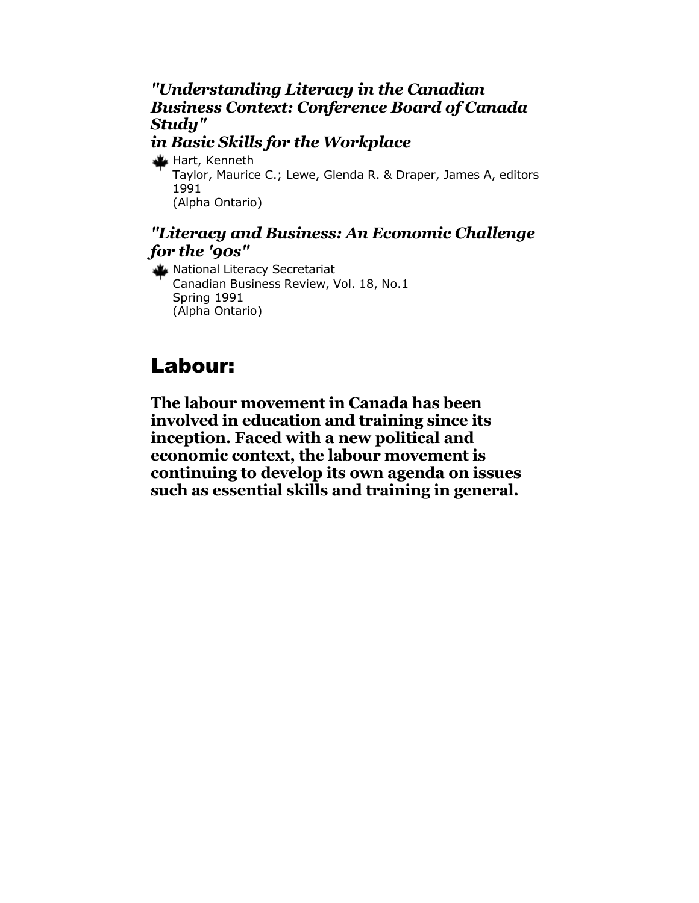# *"Understanding Literacy in the Canadian Business Context: Conference Board of Canada Study"*

# *in Basic Skills for the Workplace*

Hart, Kenneth

Taylor, Maurice C.; Lewe, Glenda R. & Draper, James A, editors 1991 (Alpha Ontario)

# *"Literacy and Business: An Economic Challenge for the '90s"*

National Literacy Secretariat Canadian Business Review, Vol. 18, No.1 Spring 1991 (Alpha Ontario)

# Labour:

**The labour movement in Canada has been involved in education and training since its inception. Faced with a new political and economic context, the labour movement is continuing to develop its own agenda on issues such as essential skills and training in general.**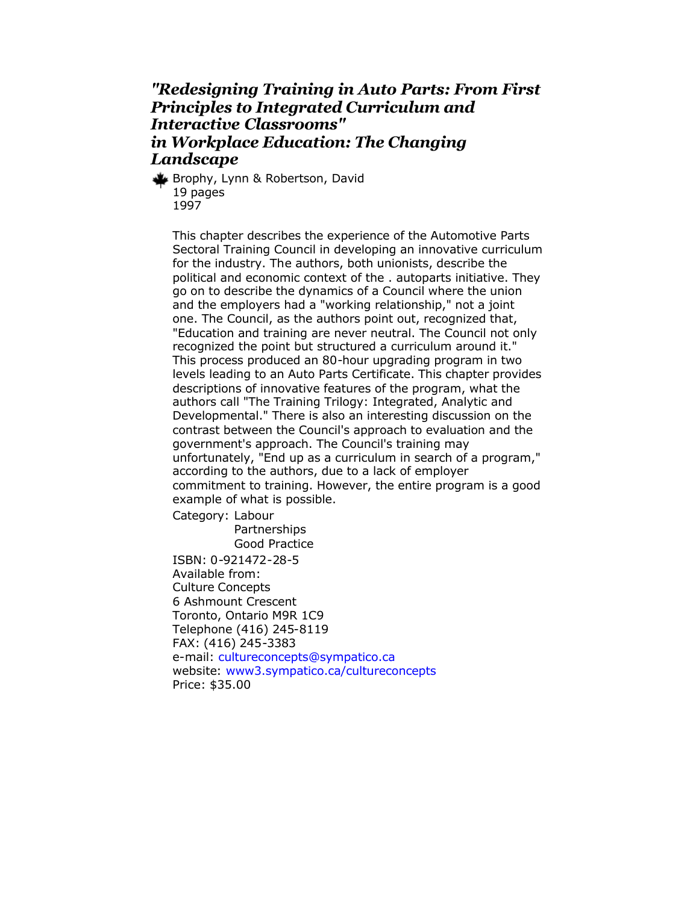# *"Redesigning Training in Auto Parts: From First Principles to Integrated Curriculum and Interactive Classrooms" in Workplace Education: The Changing Landscape*

Brophy, Lynn & Robertson, David 19 pages 1997

This chapter describes the experience of the Automotive Parts Sectoral Training Council in developing an innovative curriculum for the industry. The authors, both unionists, describe the political and economic context of the . autoparts initiative. They go on to describe the dynamics of a Council where the union and the employers had a "working relationship," not a joint one. The Council, as the authors point out, recognized that, "Education and training are never neutral. The Council not only recognized the point but structured a curriculum around it." This process produced an 80-hour upgrading program in two levels leading to an Auto Parts Certificate. This chapter provides descriptions of innovative features of the program, what the authors call "The Training Trilogy: Integrated, Analytic and Developmental." There is also an interesting discussion on the contrast between the Council's approach to evaluation and the government's approach. The Council's training may unfortunately, "End up as a curriculum in search of a program," according to the authors, due to a lack of employer commitment to training. However, the entire program is a good example of what is possible.

Category: Labour

**Partnerships** Good Practice ISBN: 0-921472-28-5 Available from: Culture Concepts 6 Ashmount Crescent Toronto, Ontario M9R 1C9 Telephone (416) 245-8119 FAX: (416) 245-3383 e-mail: [cultureconcepts@sympatico.ca](mailto:cultureconcepts@sympatico.ca) website: [www3.sympatico.ca/cultureconcepts](http://www.cultureconcepts.ca/) Price: \$35.00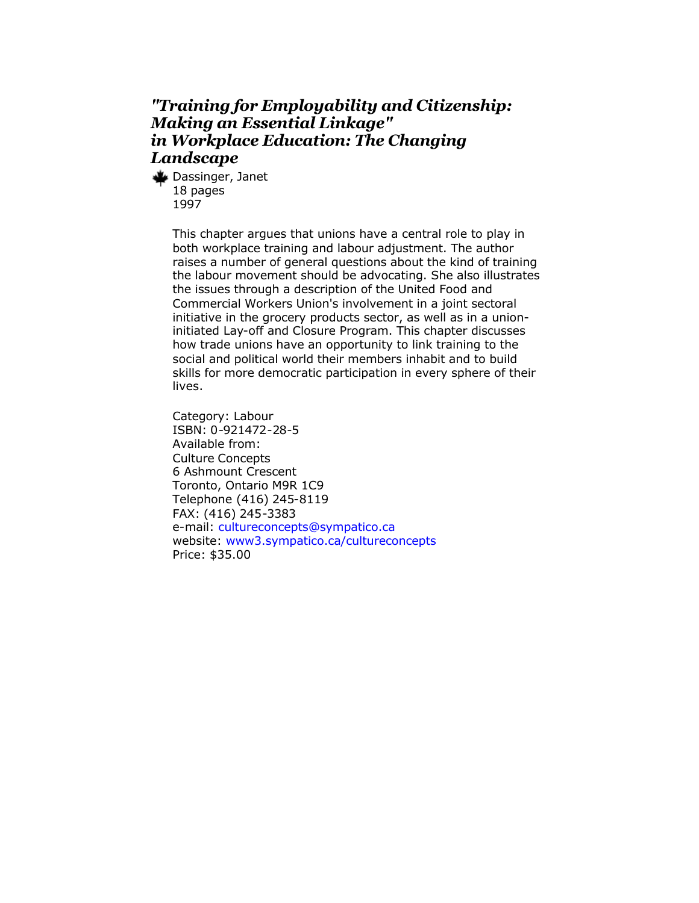# *"Training for Employability and Citizenship: Making an Essential Linkage" in Workplace Education: The Changing Landscape*

Dassinger, Janet 18 pages 1997

> This chapter argues that unions have a central role to play in both workplace training and labour adjustment. The author raises a number of general questions about the kind of training the labour movement should be advocating. She also illustrates the issues through a description of the United Food and Commercial Workers Union's involvement in a joint sectoral initiative in the grocery products sector, as well as in a unioninitiated Lay-off and Closure Program. This chapter discusses how trade unions have an opportunity to link training to the social and political world their members inhabit and to build skills for more democratic participation in every sphere of their lives.

Category: Labour ISBN: 0-921472-28-5 Available from: Culture Concepts 6 Ashmount Crescent Toronto, Ontario M9R 1C9 Telephone (416) 245-8119 FAX: (416) 245-3383 e-mail: [cultureconcepts@sympatico.ca](mailto:cultureconcepts@sympatico.ca) website: [www3.sympatico.ca/cultureconcepts](http://www.cultureconcepts.ca/) Price: \$35.00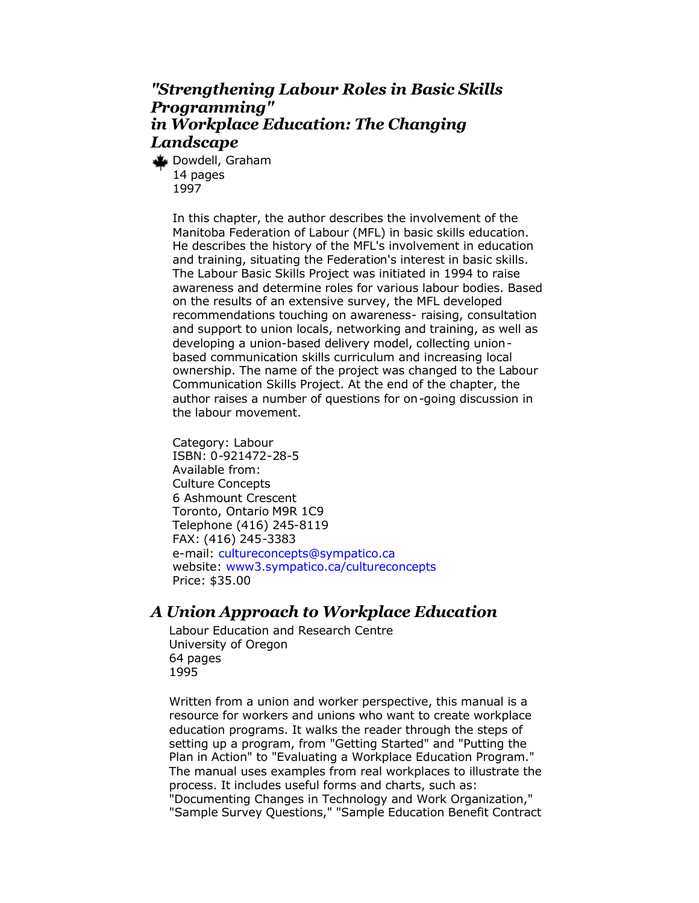# *"Strengthening Labour Roles in Basic Skills Programming" in Workplace Education: The Changing Landscape*

Dowdell, Graham 14 pages 1997

> In this chapter, the author describes the involvement of the Manitoba Federation of Labour (MFL) in basic skills education. He describes the history of the MFL's involvement in education and training, situating the Federation's interest in basic skills. The Labour Basic Skills Project was initiated in 1994 to raise awareness and determine roles for various labour bodies. Based on the results of an extensive survey, the MFL developed recommendations touching on awareness- raising, consultation and support to union locals, networking and training, as well as developing a union-based delivery model, collecting unionbased communication skills curriculum and increasing local ownership. The name of the project was changed to the Labour Communication Skills Project. At the end of the chapter, the author raises a number of questions for on-going discussion in the labour movement.

Category: Labour ISBN: 0-921472-28-5 Available from: Culture Concepts 6 Ashmount Crescent Toronto, Ontario M9R 1C9 Telephone (416) 245-8119 FAX: (416) 245-3383 e-mail: [cultureconcepts@sympatico.ca](mailto:cultureconcepts@sympatico.ca) website: [www3.sympatico.ca/cultureconcepts](http://www.cultureconcepts.ca/) Price: \$35.00

# *A Union Approach to Workplace Education*

Labour Education and Research Centre University of Oregon 64 pages 1995

Written from a union and worker perspective, this manual is a resource for workers and unions who want to create workplace education programs. It walks the reader through the steps of setting up a program, from "Getting Started" and "Putting the Plan in Action" to "Evaluating a Workplace Education Program." The manual uses examples from real workplaces to illustrate the process. It includes useful forms and charts, such as: "Documenting Changes in Technology and Work Organization,"

"Sample Survey Questions," "Sample Education Benefit Contract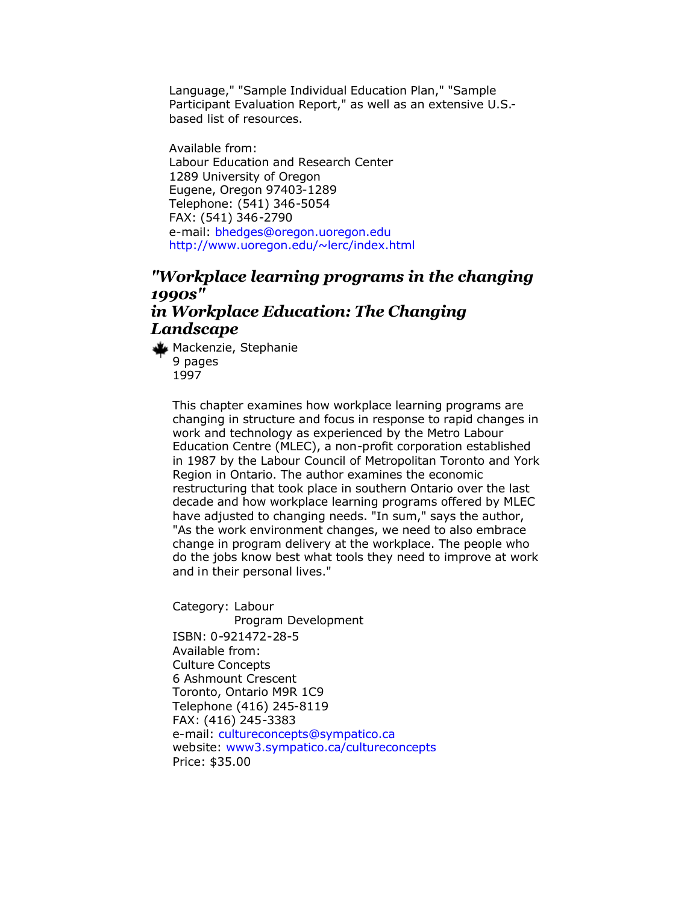Language," "Sample Individual Education Plan," "Sample Participant Evaluation Report," as well as an extensive U.S. based list of resources.

Available from: Labour Education and Research Center 1289 University of Oregon Eugene, Oregon 97403-1289 Telephone: (541) 346-5054 FAX: (541) 346-2790 e-mail: [bhedges@oregon.uoregon.edu](mailto:bhedges@oregon.uoregon.edu) <http://www.uoregon.edu/~lerc/index.html>

### *"Workplace learning programs in the changing 1990s" in Workplace Education: The Changing Landscape*

Mackenzie, Stephanie 9 pages 1997

> This chapter examines how workplace learning programs are changing in structure and focus in response to rapid changes in work and technology as experienced by the Metro Labour Education Centre (MLEC), a non-profit corporation established in 1987 by the Labour Council of Metropolitan Toronto and York Region in Ontario. The author examines the economic restructuring that took place in southern Ontario over the last decade and how workplace learning programs offered by MLEC have adjusted to changing needs. "In sum," says the author, "As the work environment changes, we need to also embrace change in program delivery at the workplace. The people who do the jobs know best what tools they need to improve at work and in their personal lives."

Category: Labour Program Development ISBN: 0-921472-28-5 Available from: Culture Concepts 6 Ashmount Crescent Toronto, Ontario M9R 1C9 Telephone (416) 245-8119 FAX: (416) 245-3383 e-mail:<cultureconcepts@sympatico.ca> website: [www3.sympatico.ca/cultureconcepts](http://www.cultureconcepts.ca/) Price: \$35.00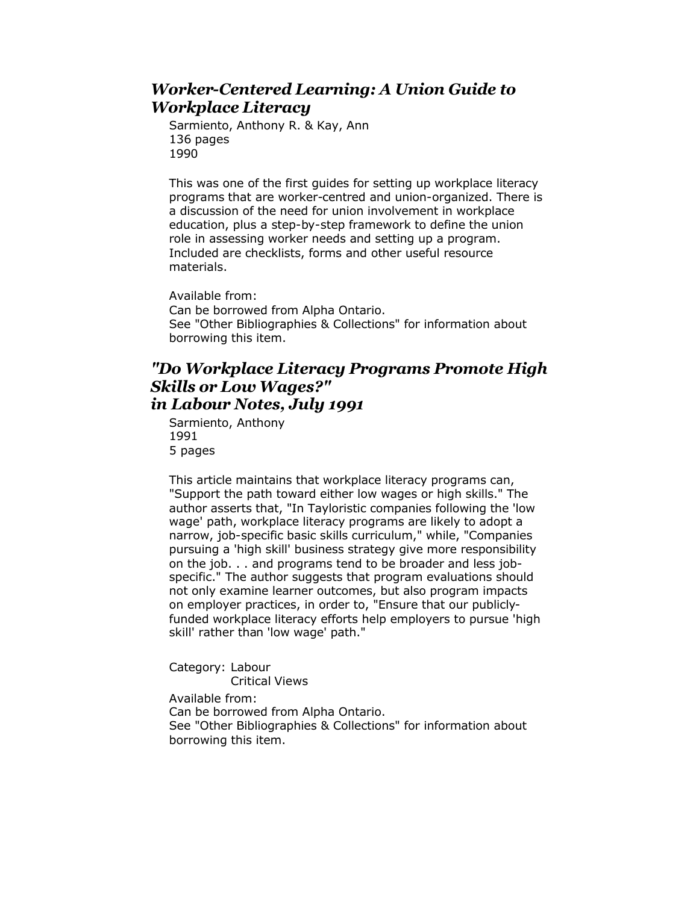# *Worker-Centered Learning: A Union Guide to Workplace Literacy*

Sarmiento, Anthony R. & Kay, Ann 136 pages 1990

This was one of the first guides for setting up workplace literacy programs that are worker-centred and union-organized. There is a discussion of the need for union involvement in workplace education, plus a step-by-step framework to define the union role in assessing worker needs and setting up a program. Included are checklists, forms and other useful resource materials.

Available from: Can be borrowed from Alpha Ontario. See "Other Bibliographies & Collections" for information about borrowing this item.

# *"Do Workplace Literacy Programs Promote High Skills or Low Wages?" in Labour Notes, July 1991*

Sarmiento, Anthony 1991 5 pages

This article maintains that workplace literacy programs can, "Support the path toward either low wages or high skills." The author asserts that, "In Tayloristic companies following the 'low wage' path, workplace literacy programs are likely to adopt a narrow, job-specific basic skills curriculum," while, "Companies pursuing a 'high skill' business strategy give more responsibility on the job. . . and programs tend to be broader and less jobspecific." The author suggests that program evaluations should not only examine learner outcomes, but also program impacts on employer practices, in order to, "Ensure that our publiclyfunded workplace literacy efforts help employers to pursue 'high skill' rather than 'low wage' path."

Category: Labour Critical Views Available from:

Can be borrowed from Alpha Ontario. See "Other Bibliographies & Collections" for information about borrowing this item.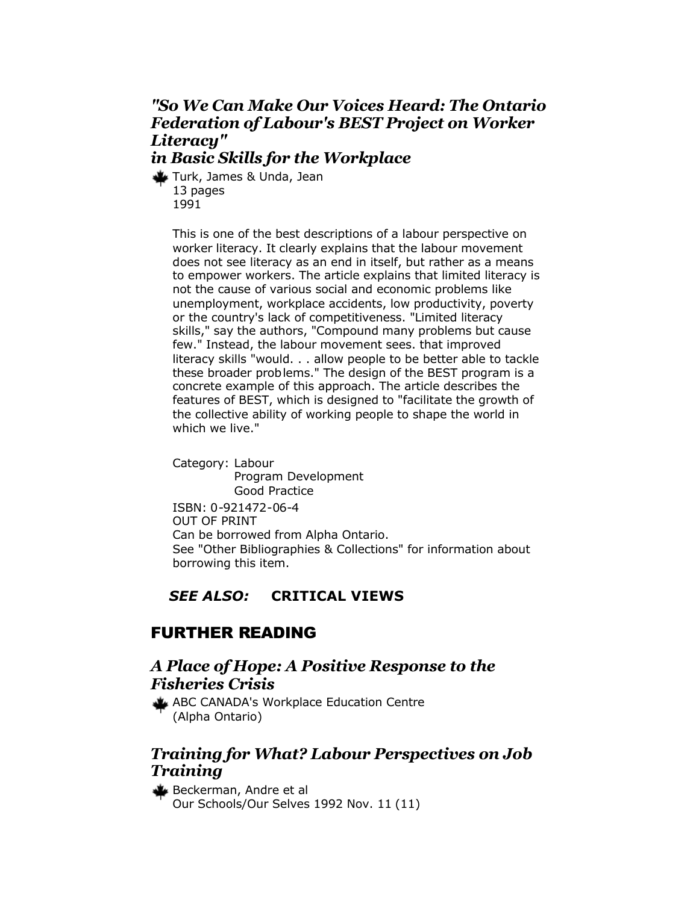# *"So We Can Make Our Voices Heard: The Ontario Federation of Labour's BEST Project on Worker Literacy"*

# *in Basic Skills for the Workplace*

Turk, James & Unda, Jean 13 pages 1991

> This is one of the best descriptions of a labour perspective on worker literacy. It clearly explains that the labour movement does not see literacy as an end in itself, but rather as a means to empower workers. The article explains that limited literacy is not the cause of various social and economic problems like unemployment, workplace accidents, low productivity, poverty or the country's lack of competitiveness. "Limited literacy skills," say the authors, "Compound many problems but cause few." Instead, the labour movement sees. that improved literacy skills "would. . . allow people to be better able to tackle these broader problems." The design of the BEST program is a concrete example of this approach. The article describes the features of BEST, which is designed to "facilitate the growth of the collective ability of working people to shape the world in which we live."

Category: Labour Program Development Good Practice ISBN: 0-921472-06-4 OUT OF PRINT Can be borrowed from Alpha Ontario. See "Other Bibliographies & Collections" for information about borrowing this item.

# *SEE ALSO:* **CRITICAL VIEWS**

# FURTHER READING

# *A Place of Hope: A Positive Response to the Fisheries Crisis*

ABC CANADA's Workplace Education Centre (Alpha Ontario)

# *Training for What? Labour Perspectives on Job Training*

Beckerman, Andre et al Our Schools/Our Selves 1992 Nov. 11 (11)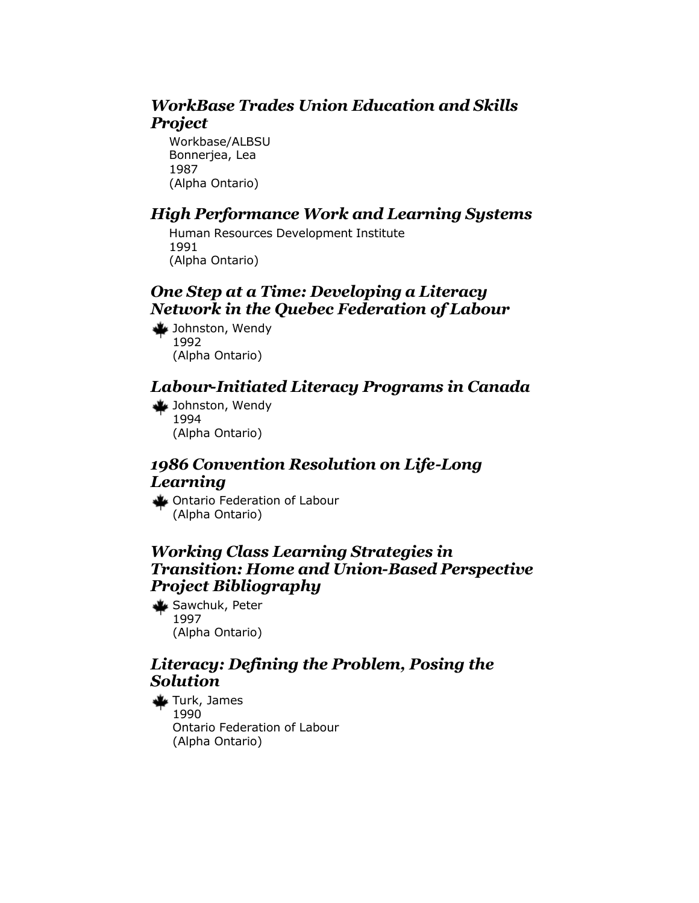# *WorkBase Trades Union Education and Skills Project*

Workbase/ALBSU Bonnerjea, Lea 1987 (Alpha Ontario)

# *High Performance Work and Learning Systems*

Human Resources Development Institute 1991 (Alpha Ontario)

# *One Step at a Time: Developing a Literacy Network in the Quebec Federation of Labour*

Johnston, Wendy 1992 (Alpha Ontario)

# *Labour-Initiated Literacy Programs in Canada*

Johnston, Wendy 1994 (Alpha Ontario)

# *1986 Convention Resolution on Life-Long Learning*

Ontario Federation of Labour (Alpha Ontario)

# *Working Class Learning Strategies in Transition: Home and Union-Based Perspective Project Bibliography*

**Sawchuk, Peter** 1997 (Alpha Ontario)

# *Literacy: Defining the Problem, Posing the Solution*

Turk, James 1990 Ontario Federation of Labour (Alpha Ontario)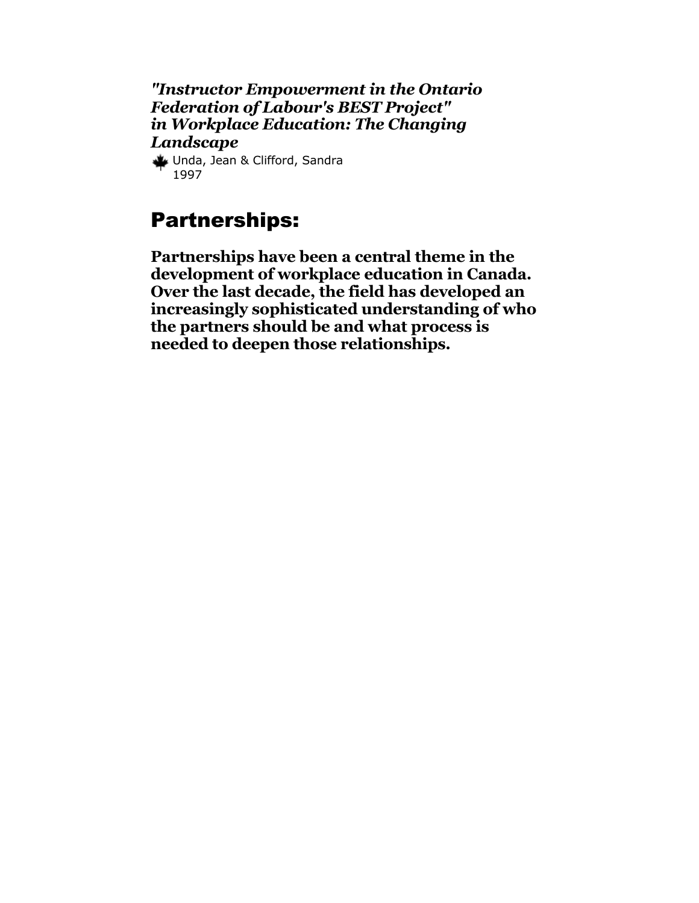*"Instructor Empowerment in the Ontario Federation of Labour's BEST Project" in Workplace Education: The Changing Landscape*

Unda, Jean & Clifford, Sandra 1997

# Partnerships:

**Partnerships have been a central theme in the development of workplace education in Canada. Over the last decade, the field has developed an increasingly sophisticated understanding of who the partners should be and what process is needed to deepen those relationships.**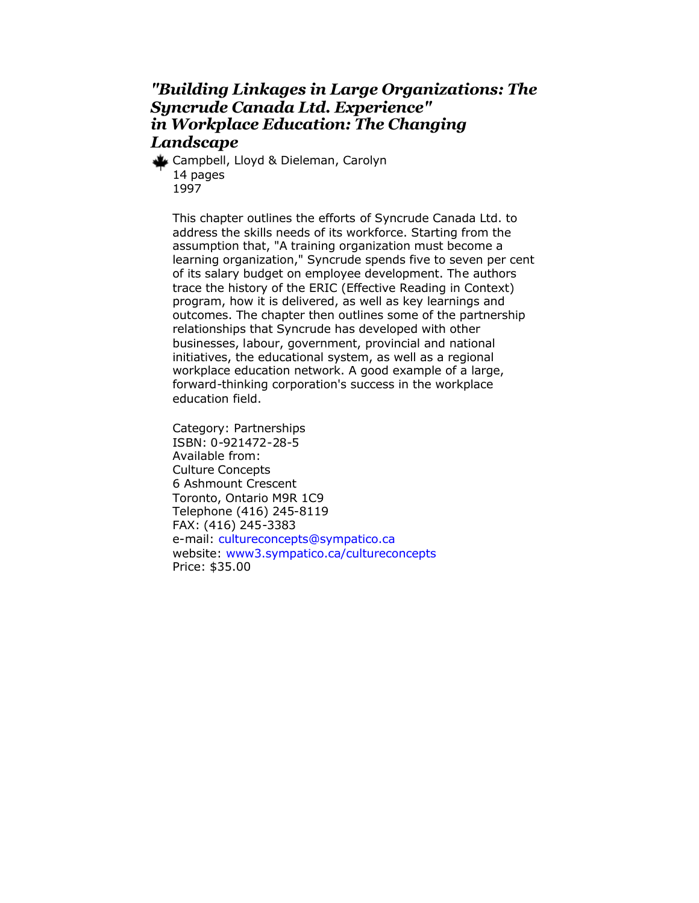# *"Building Linkages in Large Organizations: The Syncrude Canada Ltd. Experience" in Workplace Education: The Changing Landscape*

Campbell, Lloyd & Dieleman, Carolyn 14 pages 1997

This chapter outlines the efforts of Syncrude Canada Ltd. to address the skills needs of its workforce. Starting from the assumption that, "A training organization must become a learning organization," Syncrude spends five to seven per cent of its salary budget on employee development. The authors trace the history of the ERIC (Effective Reading in Context) program, how it is delivered, as well as key learnings and outcomes. The chapter then outlines some of the partnership relationships that Syncrude has developed with other businesses, labour, government, provincial and national initiatives, the educational system, as well as a regional workplace education network. A good example of a large, forward-thinking corporation's success in the workplace education field.

Category: Partnerships ISBN: 0-921472-28-5 Available from: Culture Concepts 6 Ashmount Crescent Toronto, Ontario M9R 1C9 Telephone (416) 245-8119 FAX: (416) 245-3383 e-mail: [cultureconcepts@sympatico.ca](mailto:cultureconcepts@sympatico.ca) website: [www3.sympatico.ca/cultureconcepts](http://www.cultureconcepts.ca/) Price: \$35.00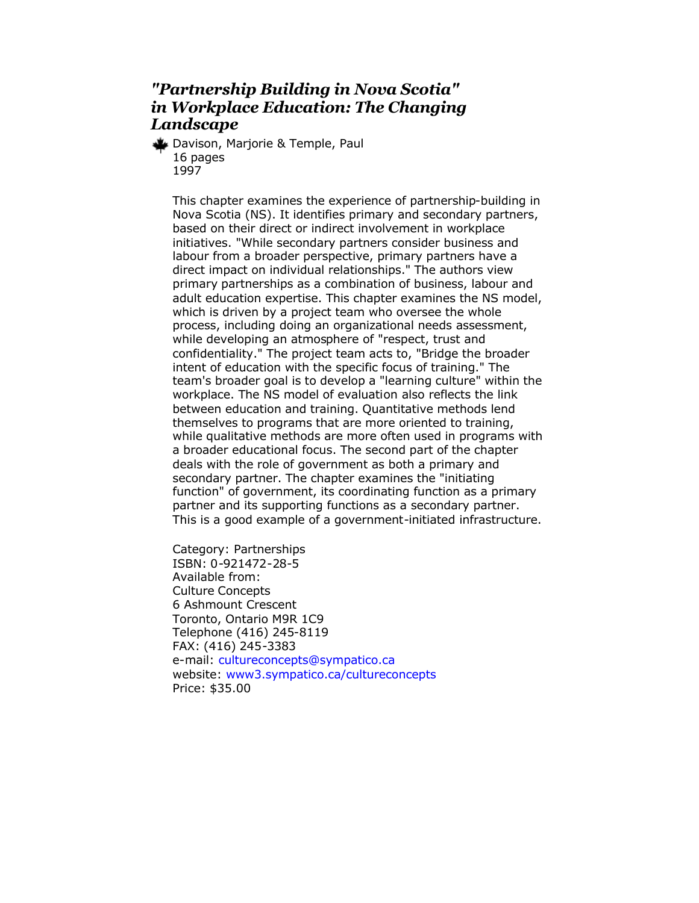# *"Partnership Building in Nova Scotia" in Workplace Education: The Changing Landscape*

Davison, Marjorie & Temple, Paul 16 pages 1997

This chapter examines the experience of partnership-building in Nova Scotia (NS). It identifies primary and secondary partners, based on their direct or indirect involvement in workplace initiatives. "While secondary partners consider business and labour from a broader perspective, primary partners have a direct impact on individual relationships." The authors view primary partnerships as a combination of business, labour and adult education expertise. This chapter examines the NS model, which is driven by a project team who oversee the whole process, including doing an organizational needs assessment, while developing an atmosphere of "respect, trust and confidentiality." The project team acts to, "Bridge the broader intent of education with the specific focus of training." The team's broader goal is to develop a "learning culture" within the workplace. The NS model of evaluation also reflects the link between education and training. Quantitative methods lend themselves to programs that are more oriented to training, while qualitative methods are more often used in programs with a broader educational focus. The second part of the chapter deals with the role of government as both a primary and secondary partner. The chapter examines the "initiating function" of government, its coordinating function as a primary partner and its supporting functions as a secondary partner. This is a good example of a government-initiated infrastructure.

Category: Partnerships ISBN: 0-921472-28-5 Available from: Culture Concepts 6 Ashmount Crescent Toronto, Ontario M9R 1C9 Telephone (416) 245-8119 FAX: (416) 245-3383 e-mail: [cultureconcepts@sympatico.ca](mailto:cultureconcepts@sympatico.ca) website: [www3.sympatico.ca/cultureconcepts](http://www.cultureconcepts.ca/) Price: \$35.00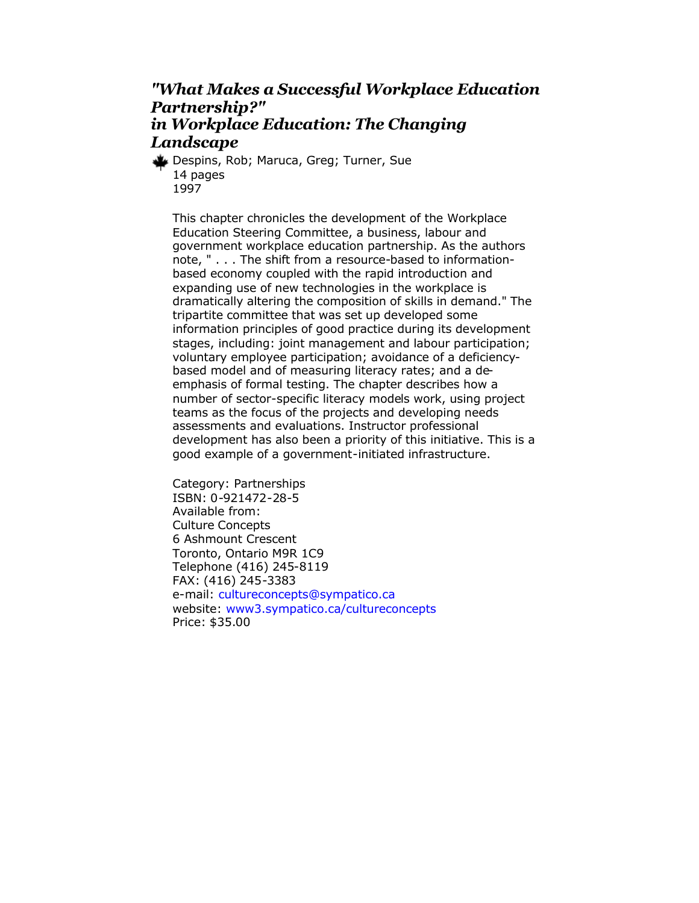# *"What Makes a Successful Workplace Education Partnership?" in Workplace Education: The Changing Landscape*

Despins, Rob; Maruca, Greg; Turner, Sue 14 pages 1997

This chapter chronicles the development of the Workplace Education Steering Committee, a business, labour and government workplace education partnership. As the authors note, " . . . The shift from a resource-based to informationbased economy coupled with the rapid introduction and expanding use of new technologies in the workplace is dramatically altering the composition of skills in demand." The tripartite committee that was set up developed some information principles of good practice during its development stages, including: joint management and labour participation; voluntary employee participation; avoidance of a deficiencybased model and of measuring literacy rates; and a deemphasis of formal testing. The chapter describes how a number of sector-specific literacy models work, using project teams as the focus of the projects and developing needs assessments and evaluations. Instructor professional development has also been a priority of this initiative. This is a good example of a government-initiated infrastructure.

Category: Partnerships ISBN: 0-921472-28-5 Available from: Culture Concepts 6 Ashmount Crescent Toronto, Ontario M9R 1C9 Telephone (416) 245-8119 FAX: (416) 245-3383 e-mail: [cultureconcepts@sympatico.ca](mailto:cultureconcepts@sympatico.ca) website: [www3.sympatico.ca/cultureconcepts](http://www.cultureconcepts.ca/) Price: \$35.00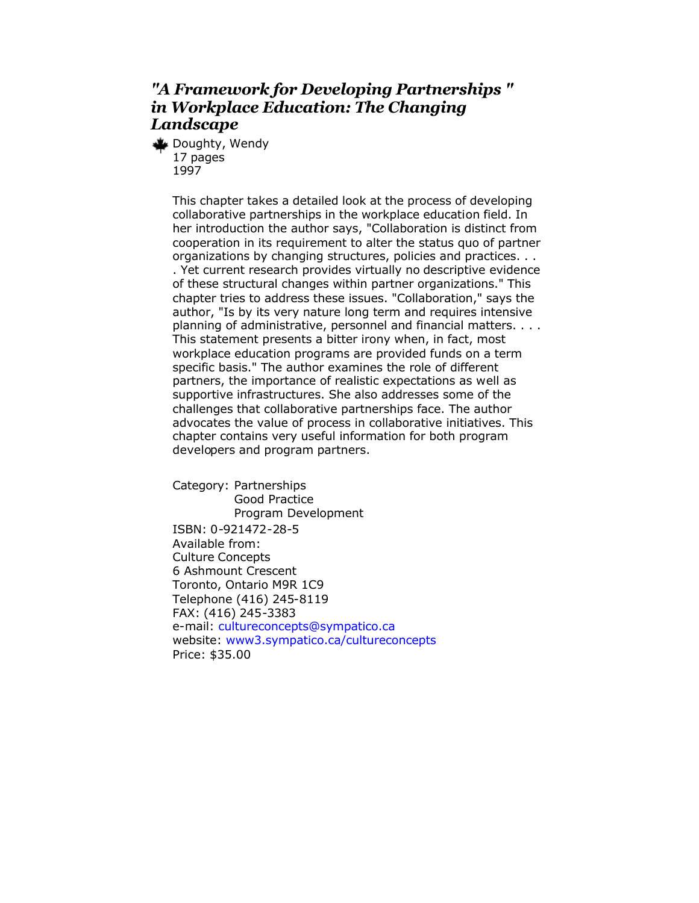# *"A Framework for Developing Partnerships " in Workplace Education: The Changing Landscape*

Doughty, Wendy 17 pages 1997

> This chapter takes a detailed look at the process of developing collaborative partnerships in the workplace education field. In her introduction the author says, "Collaboration is distinct from cooperation in its requirement to alter the status quo of partner organizations by changing structures, policies and practices. . .

> . Yet current research provides virtually no descriptive evidence of these structural changes within partner organizations." This chapter tries to address these issues. "Collaboration," says the author, "Is by its very nature long term and requires intensive planning of administrative, personnel and financial matters. . . . This statement presents a bitter irony when, in fact, most workplace education programs are provided funds on a term specific basis." The author examines the role of different partners, the importance of realistic expectations as well as supportive infrastructures. She also addresses some of the challenges that collaborative partnerships face. The author advocates the value of process in collaborative initiatives. This chapter contains very useful information for both program developers and program partners.

Category: Partnerships Good Practice Program Development ISBN: 0-921472-28-5 Available from: Culture Concepts 6 Ashmount Crescent Toronto, Ontario M9R 1C9 Telephone (416) 245-8119 FAX: (416) 245-3383 e-mail: [cultureconcepts@sympatico.ca](mailto:cultureconcepts@sympatico.ca) website: [www3.sympatico.ca/cultureconcepts](http://www.cultureconcepts.ca/) Price: \$35.00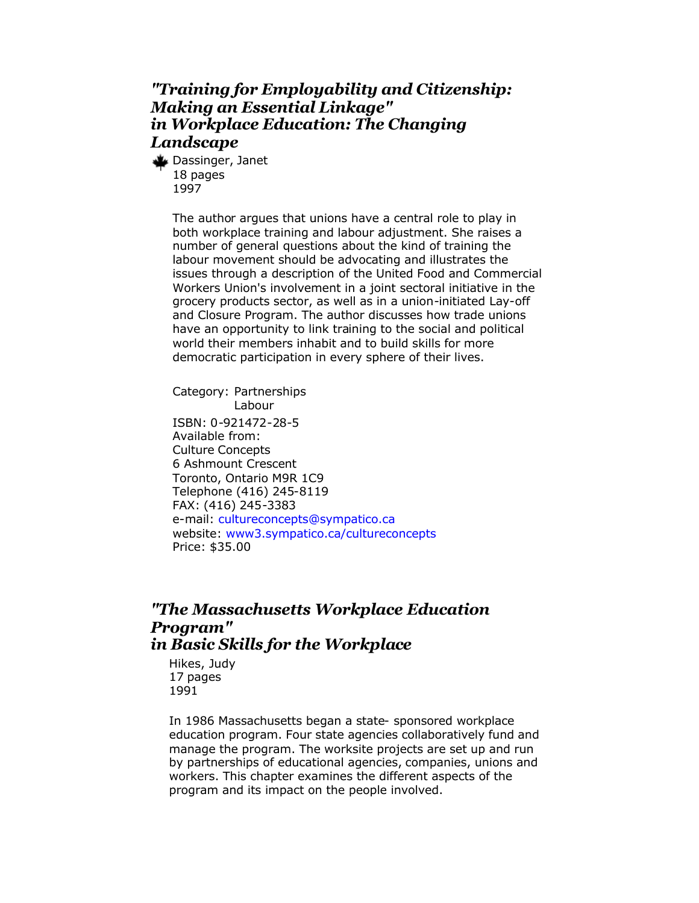# *"Training for Employability and Citizenship: Making an Essential Linkage" in Workplace Education: The Changing Landscape*

Dassinger, Janet 18 pages 1997

> The author argues that unions have a central role to play in both workplace training and labour adjustment. She raises a number of general questions about the kind of training the labour movement should be advocating and illustrates the issues through a description of the United Food and Commercial Workers Union's involvement in a joint sectoral initiative in the grocery products sector, as well as in a union-initiated Lay-off and Closure Program. The author discusses how trade unions have an opportunity to link training to the social and political world their members inhabit and to build skills for more democratic participation in every sphere of their lives.

Category: Partnerships Labour ISBN: 0-921472-28-5 Available from: Culture Concepts 6 Ashmount Crescent Toronto, Ontario M9R 1C9 Telephone (416) 245-8119 FAX: (416) 245-3383 e-mail: [cultureconcepts@sympatico.ca](mailto:cultureconcepts@sympatico.ca) website: [www3.sympatico.ca/cultureconcepts](http://www.cultureconcepts.ca/) Price: \$35.00

### *"The Massachusetts Workplace Education Program" in Basic Skills for the Workplace*

Hikes, Judy 17 pages 1991

In 1986 Massachusetts began a state- sponsored workplace education program. Four state agencies collaboratively fund and manage the program. The worksite projects are set up and run by partnerships of educational agencies, companies, unions and workers. This chapter examines the different aspects of the program and its impact on the people involved.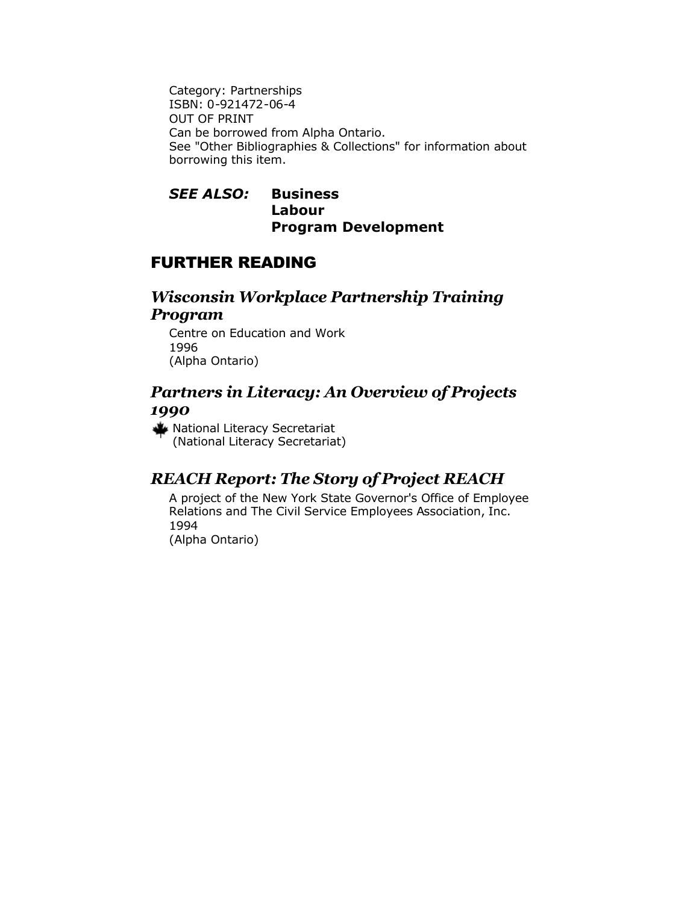Category: Partnerships ISBN: 0-921472-06-4 OUT OF PRINT Can be borrowed from Alpha Ontario. See "Other Bibliographies & Collections" for information about borrowing this item.

#### *SEE ALSO:* **Business Labour Program Development**

# FURTHER READING

# *Wisconsin Workplace Partnership Training Program*

Centre on Education and Work 1996 (Alpha Ontario)

# *Partners in Literacy: An Overview of Projects 1990*

National Literacy Secretariat (National Literacy Secretariat)

# *REACH Report: The Story of Project REACH*

A project of the New York State Governor's Office of Employee Relations and The Civil Service Employees Association, Inc. 1994 (Alpha Ontario)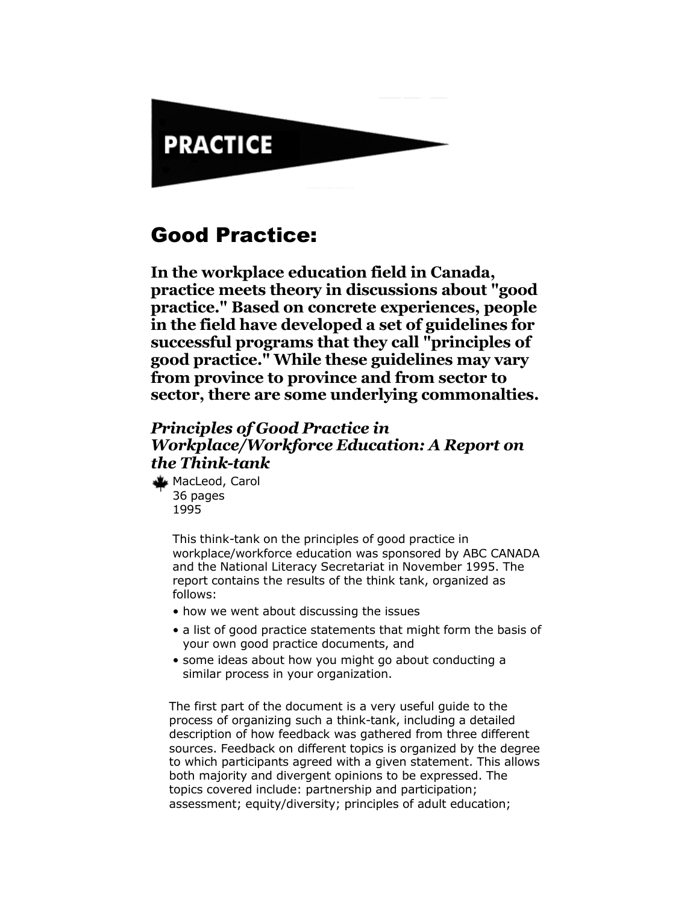# **PRACTICE**

# Good Practice:

**In the workplace education field in Canada, practice meets theory in discussions about "good practice." Based on concrete experiences, people in the field have developed a set of guidelines for successful programs that they call "principles of good practice." While these guidelines may vary from province to province and from sector to sector, there are some underlying commonalties.**

# *Principles of Good Practice in Workplace/Workforce Education: A Report on the Think-tank*

MacLeod, Carol 36 pages 1995

> This think-tank on the principles of good practice in workplace/workforce education was sponsored by ABC CANADA and the National Literacy Secretariat in November 1995. The report contains the results of the think tank, organized as follows:

- how we went about discussing the issues
- a list of good practice statements that might form the basis of your own good practice documents, and
- some ideas about how you might go about conducting a similar process in your organization.

The first part of the document is a very useful guide to the process of organizing such a think-tank, including a detailed description of how feedback was gathered from three different sources. Feedback on different topics is organized by the degree to which participants agreed with a given statement. This allows both majority and divergent opinions to be expressed. The topics covered include: partnership and participation; assessment; equity/diversity; principles of adult education;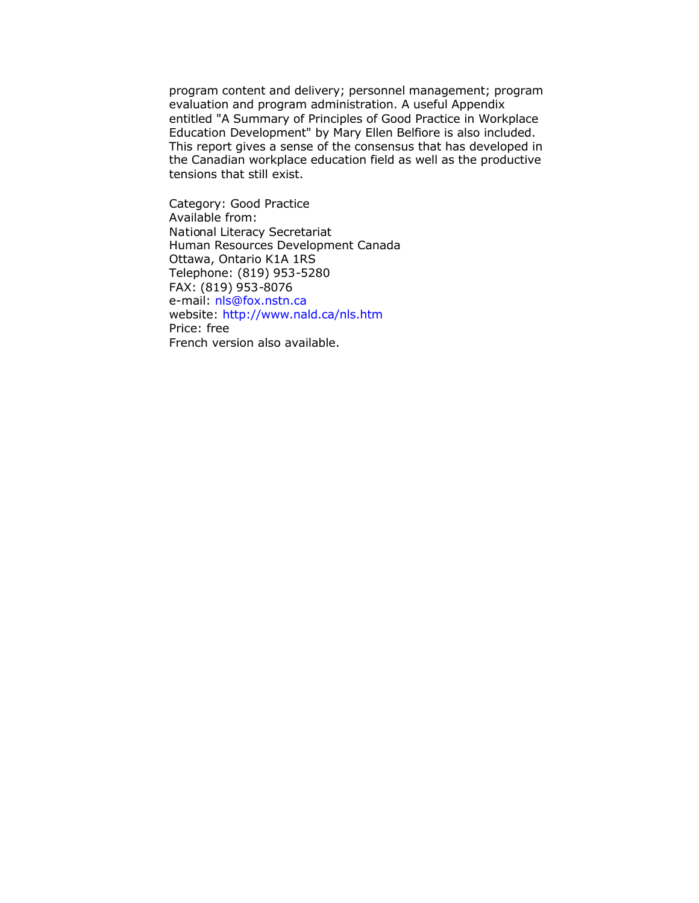program content and delivery; personnel management; program evaluation and program administration. A useful Appendix entitled "A Summary of Principles of Good Practice in Workplace Education Development" by Mary Ellen Belfiore is also included. This report gives a sense of the consensus that has developed in the Canadian workplace education field as well as the productive tensions that still exist.

Category: Good Practice Available from: National Literacy Secretariat Human Resources Development Canada Ottawa, Ontario K1A 1RS Telephone: (819) 953-5280 FAX: (819) 953-8076 e-mail: [nls@fox.nstn.ca](mailto:nls@fox.nstn.ca) website: <http://www.nald.ca/nls.htm> Price: free French version also available.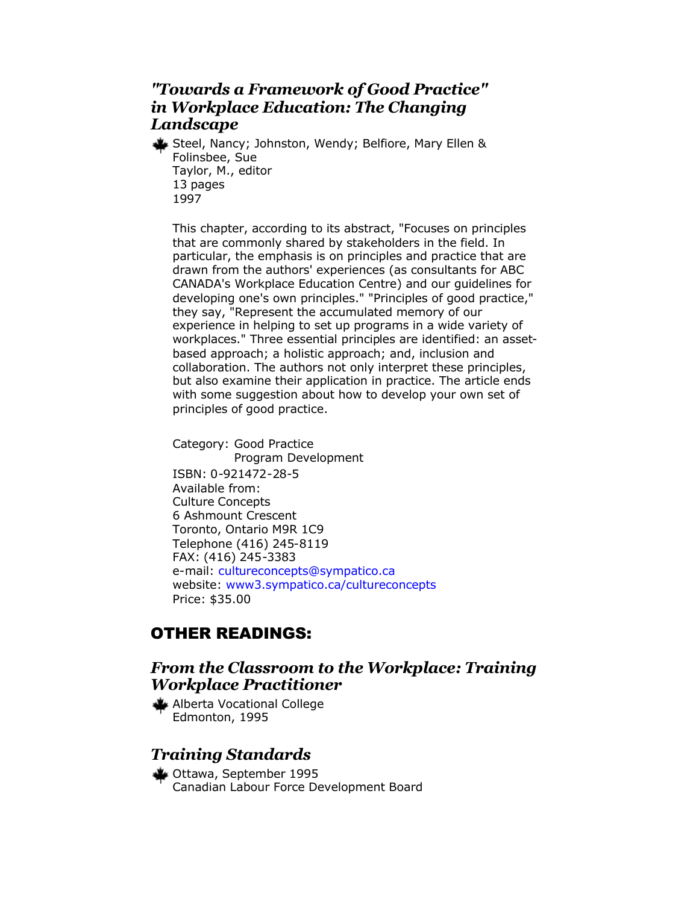# *"Towards a Framework of Good Practice" in Workplace Education: The Changing Landscape*

Steel, Nancy; Johnston, Wendy; Belfiore, Mary Ellen & Folinsbee, Sue Taylor, M., editor 13 pages 1997

This chapter, according to its abstract, "Focuses on principles that are commonly shared by stakeholders in the field. In particular, the emphasis is on principles and practice that are drawn from the authors' experiences (as consultants for ABC CANADA's Workplace Education Centre) and our guidelines for developing one's own principles." "Principles of good practice," they say, "Represent the accumulated memory of our experience in helping to set up programs in a wide variety of workplaces." Three essential principles are identified: an assetbased approach; a holistic approach; and, inclusion and collaboration. The authors not only interpret these principles, but also examine their application in practice. The article ends with some suggestion about how to develop your own set of principles of good practice.

Category: Good Practice Program Development ISBN: 0-921472-28-5 Available from: Culture Concepts 6 Ashmount Crescent Toronto, Ontario M9R 1C9 Telephone (416) 245-8119 FAX: (416) 245-3383 e-mail: [cultureconcepts@sympatico.ca](mailto:cultureconcepts@sympatico.ca) website: [www3.sympatico.ca/cultureconcepts](http://www.cultureconcepts.ca/) Price: \$35.00

# OTHER READINGS:

# *From the Classroom to the Workplace: Training Workplace Practitioner*

Alberta Vocational College Edmonton, 1995

# *Training Standards*

Ottawa, September 1995 Canadian Labour Force Development Board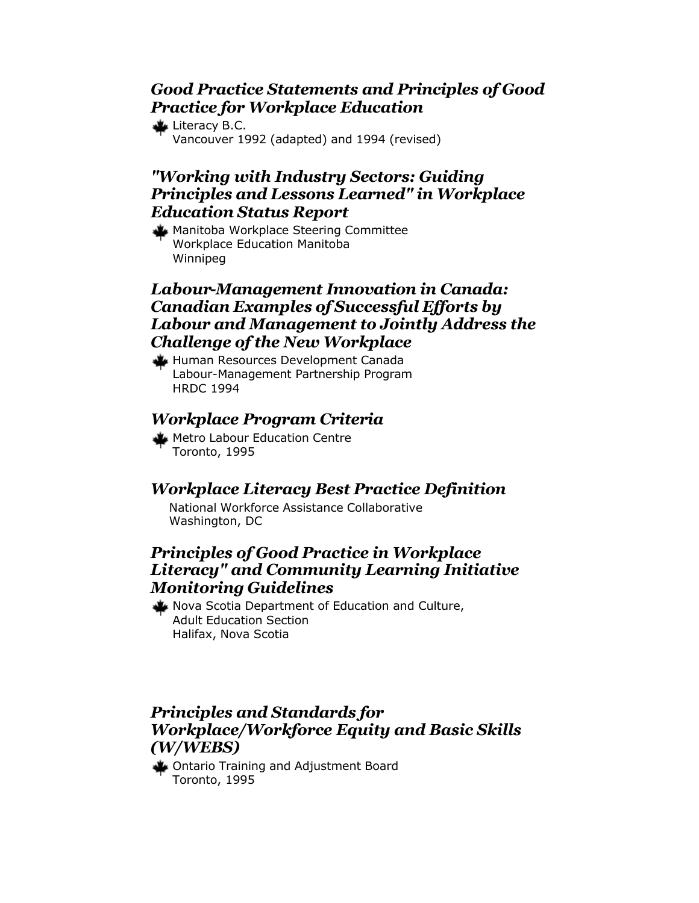# *Good Practice Statements and Principles of Good Practice for Workplace Education*

Literacy B.C. Vancouver 1992 (adapted) and 1994 (revised)

# *"Working with Industry Sectors: Guiding Principles and Lessons Learned" in Workplace Education Status Report*

Manitoba Workplace Steering Committee Workplace Education Manitoba Winnipeg

# *Labour-Management Innovation in Canada: Canadian Examples of Successful Efforts by Labour and Management to Jointly Address the Challenge of the New Workplace*

Human Resources Development Canada Labour-Management Partnership Program HRDC 1994

# *Workplace Program Criteria*

Metro Labour Education Centre Toronto, 1995

# *Workplace Literacy Best Practice Definition*

National Workforce Assistance Collaborative Washington, DC

# *Principles of Good Practice in Workplace Literacy" and Community Learning Initiative Monitoring Guidelines*

Nova Scotia Department of Education and Culture, Adult Education Section Halifax, Nova Scotia

# *Principles and Standards for Workplace/Workforce Equity and Basic Skills (W/WEBS)*

Ontario Training and Adjustment Board Toronto, 1995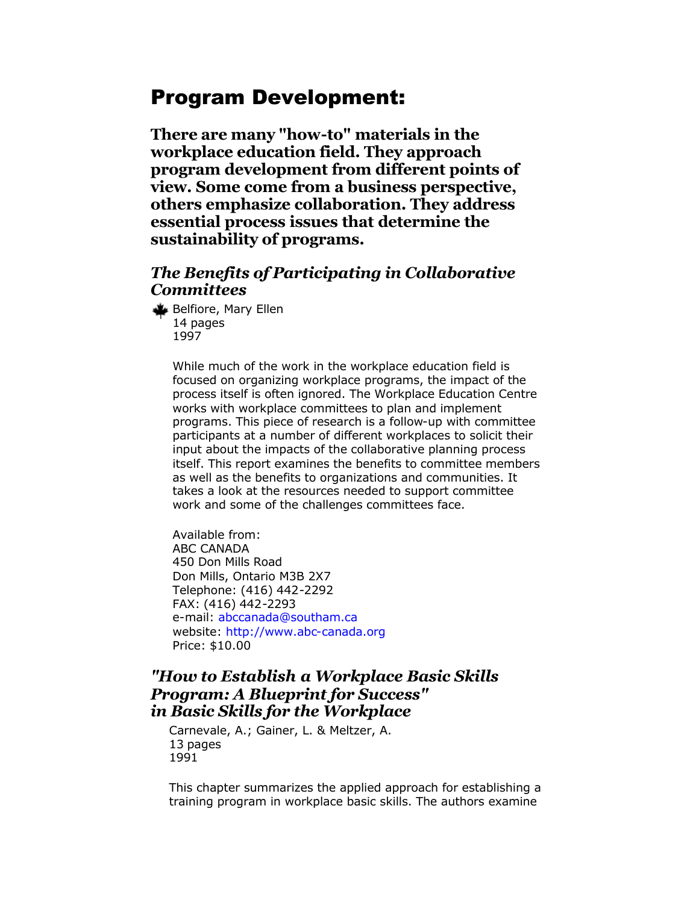# Program Development:

**There are many "how-to" materials in the workplace education field. They approach program development from different points of view. Some come from a business perspective, others emphasize collaboration. They address essential process issues that determine the sustainability of programs.**

# *The Benefits of Participating in Collaborative Committees*

Belfiore, Mary Ellen 14 pages 1997

> While much of the work in the workplace education field is focused on organizing workplace programs, the impact of the process itself is often ignored. The Workplace Education Centre works with workplace committees to plan and implement programs. This piece of research is a follow-up with committee participants at a number of different workplaces to solicit their input about the impacts of the collaborative planning process itself. This report examines the benefits to committee members as well as the benefits to organizations and communities. It takes a look at the resources needed to support committee work and some of the challenges committees face.

Available from: ABC CANADA 450 Don Mills Road Don Mills, Ontario M3B 2X7 Telephone: (416) 442-2292 FAX: (416) 442-2293 e-mail: [abccanada@southam.ca](mailto:abccanada@southam.ca) website: <http://www.abc-canada.org> Price: \$10.00

### *"How to Establish a Workplace Basic Skills Program: A Blueprint for Success" in Basic Skills for the Workplace*

Carnevale, A.; Gainer, L. & Meltzer, A. 13 pages 1991

This chapter summarizes the applied approach for establishing a training program in workplace basic skills. The authors examine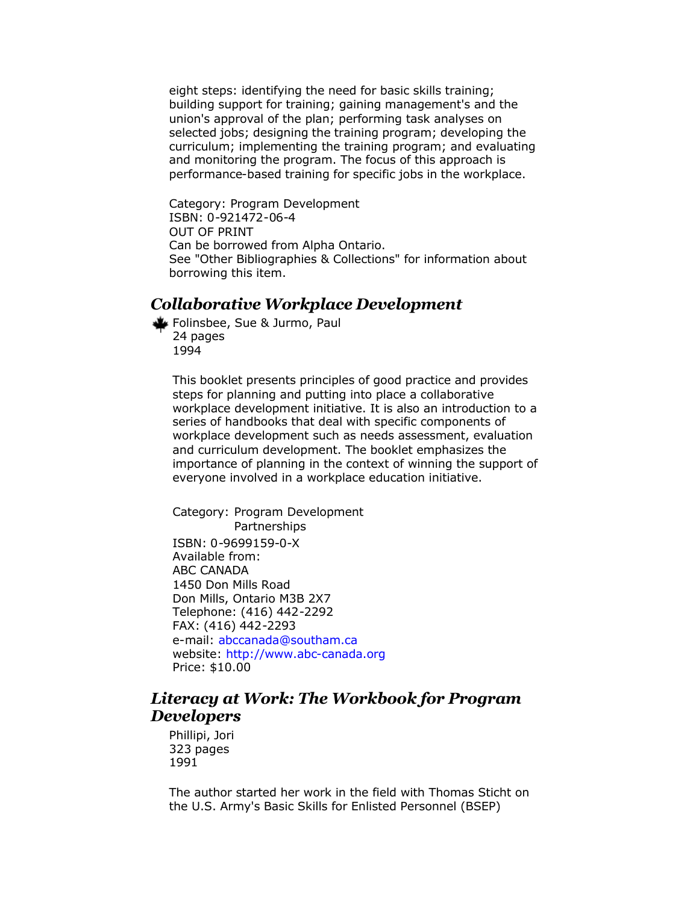eight steps: identifying the need for basic skills training; building support for training; gaining management's and the union's approval of the plan; performing task analyses on selected jobs; designing the training program; developing the curriculum; implementing the training program; and evaluating and monitoring the program. The focus of this approach is performance-based training for specific jobs in the workplace.

Category: Program Development ISBN: 0-921472-06-4 OUT OF PRINT Can be borrowed from Alpha Ontario. See "Other Bibliographies & Collections" for information about borrowing this item.

## *Collaborative Workplace Development*

Folinsbee, Sue & Jurmo, Paul 24 pages 1994

This booklet presents principles of good practice and provides steps for planning and putting into place a collaborative workplace development initiative. It is also an introduction to a series of handbooks that deal with specific components of workplace development such as needs assessment, evaluation and curriculum development. The booklet emphasizes the importance of planning in the context of winning the support of everyone involved in a workplace education initiative.

Category: Program Development Partnerships ISBN: 0-9699159-0-X Available from: ABC CANADA 1450 Don Mills Road Don Mills, Ontario M3B 2X7 Telephone: (416) 442-2292 FAX: (416) 442-2293 e-mail: [abccanada@southam.ca](mailto:abccanada@southam.ca) website: <http://www.abc-canada.org> Price: \$10.00

### *Literacy at Work: The Workbook for Program Developers*

Phillipi, Jori 323 pages 1991

The author started her work in the field with Thomas Sticht on the U.S. Army's Basic Skills for Enlisted Personnel (BSEP)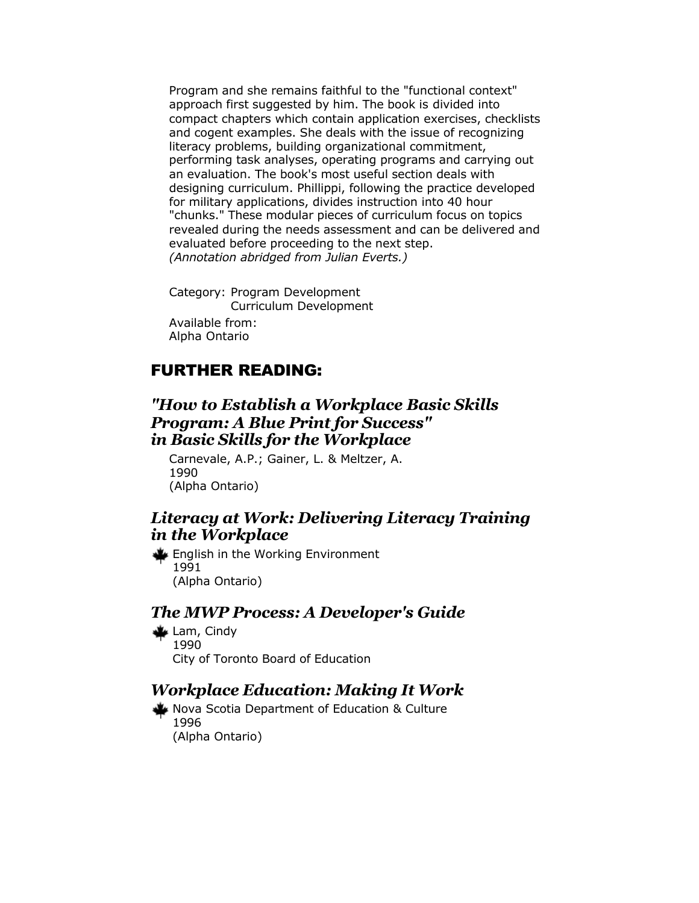Program and she remains faithful to the "functional context" approach first suggested by him. The book is divided into compact chapters which contain application exercises, checklists and cogent examples. She deals with the issue of recognizing literacy problems, building organizational commitment, performing task analyses, operating programs and carrying out an evaluation. The book's most useful section deals with designing curriculum. Phillippi, following the practice developed for military applications, divides instruction into 40 hour "chunks." These modular pieces of curriculum focus on topics revealed during the needs assessment and can be delivered and evaluated before proceeding to the next step. *(Annotation abridged from Julian Everts.)*

Category: Program Development Curriculum Development Available from: Alpha Ontario

# FURTHER READING:

### *"How to Establish a Workplace Basic Skills Program: A Blue Print for Success" in Basic Skills for the Workplace*

Carnevale, A.P.; Gainer, L. & Meltzer, A. 1990 (Alpha Ontario)

### *Literacy at Work: Delivering Literacy Training in the Workplace*

English in the Working Environment 1991 (Alpha Ontario)

#### *The MWP Process: A Developer's Guide*

Lam, Cindy 1990 City of Toronto Board of Education

### *Workplace Education: Making It Work*

Nova Scotia Department of Education & Culture 1996 (Alpha Ontario)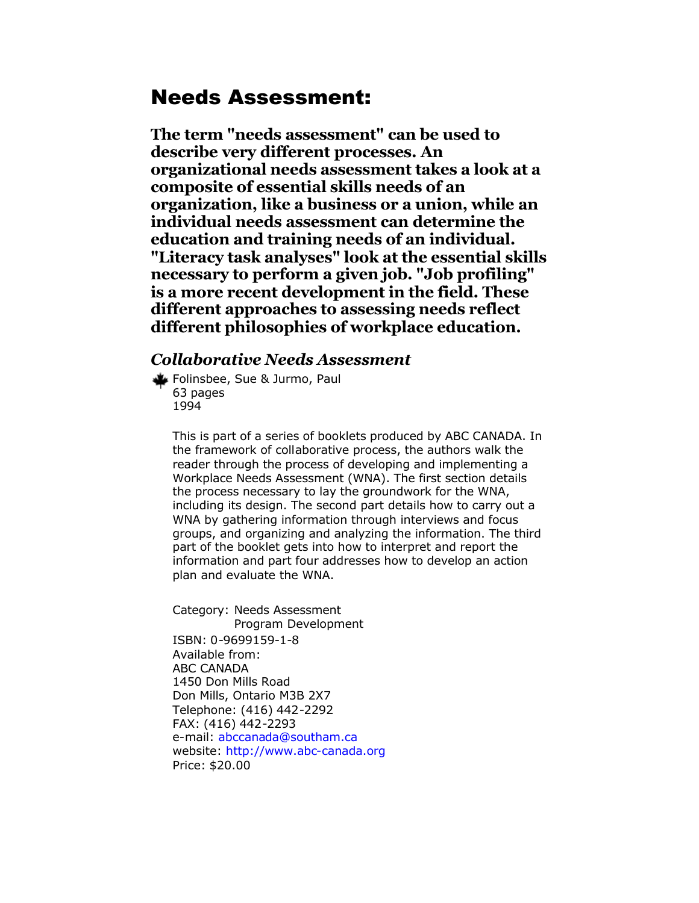# Needs Assessment:

**The term "needs assessment" can be used to describe very different processes. An organizational needs assessment takes a look at a composite of essential skills needs of an organization, like a business or a union, while an individual needs assessment can determine the education and training needs of an individual. "Literacy task analyses" look at the essential skills necessary to perform a given job. "Job profiling" is a more recent development in the field. These different approaches to assessing needs reflect different philosophies of workplace education.**

## *Collaborative Needs Assessment*

Folinsbee, Sue & Jurmo, Paul 63 pages 1994

> This is part of a series of booklets produced by ABC CANADA. In the framework of collaborative process, the authors walk the reader through the process of developing and implementing a Workplace Needs Assessment (WNA). The first section details the process necessary to lay the groundwork for the WNA, including its design. The second part details how to carry out a WNA by gathering information through interviews and focus groups, and organizing and analyzing the information. The third part of the booklet gets into how to interpret and report the information and part four addresses how to develop an action plan and evaluate the WNA.

Category: Needs Assessment Program Development ISBN: 0-9699159-1-8 Available from: ABC CANADA 1450 Don Mills Road Don Mills, Ontario M3B 2X7 Telephone: (416) 442-2292 FAX: (416) 442-2293 e-mail: [abccanada@southam.ca](mailto:abccanada@southam.ca) website: [http://www.abc-canada.org](http://www.abc-canada.org/) Price: \$20.00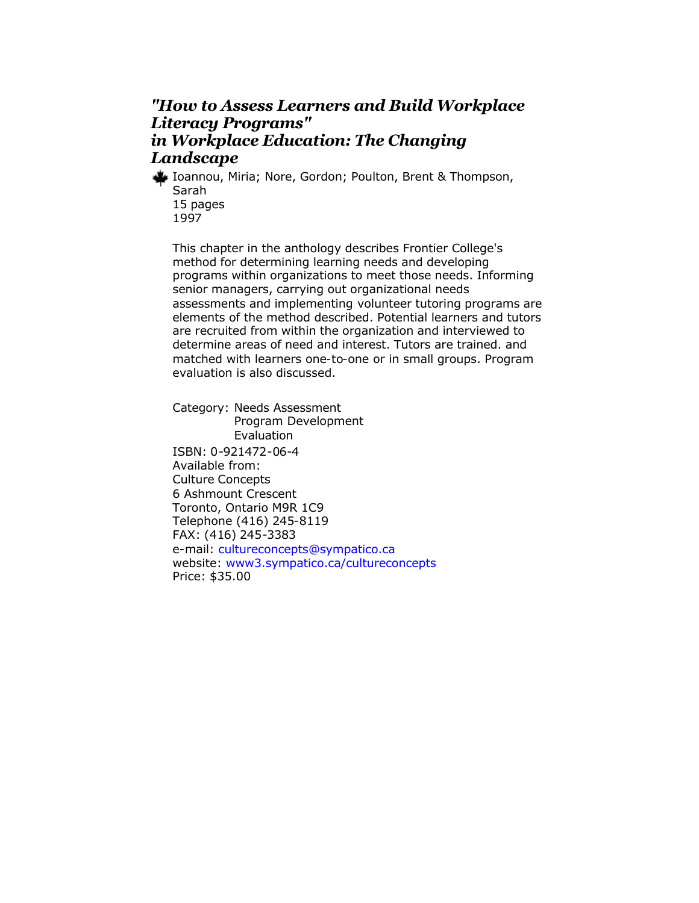# *"How to Assess Learners and Build Workplace Literacy Programs" in Workplace Education: The Changing Landscape*

Ioannou, Miria; Nore, Gordon; Poulton, Brent & Thompson, Sarah 15 pages 1997

This chapter in the anthology describes Frontier College's method for determining learning needs and developing programs within organizations to meet those needs. Informing senior managers, carrying out organizational needs assessments and implementing volunteer tutoring programs are elements of the method described. Potential learners and tutors are recruited from within the organization and interviewed to determine areas of need and interest. Tutors are trained. and matched with learners one-to-one or in small groups. Program evaluation is also discussed.

Category: Needs Assessment Program Development Evaluation ISBN: 0-921472-06-4 Available from: Culture Concepts 6 Ashmount Crescent Toronto, Ontario M9R 1C9 Telephone (416) 245-8119 FAX: (416) 245-3383 e-mail: [cultureconcepts@sympatico.ca](mailto:cultureconcepts@sympatico.ca) website: [www3.sympatico.ca/cultureconcepts](http://www.cultureconcepts.ca/) Price: \$35.00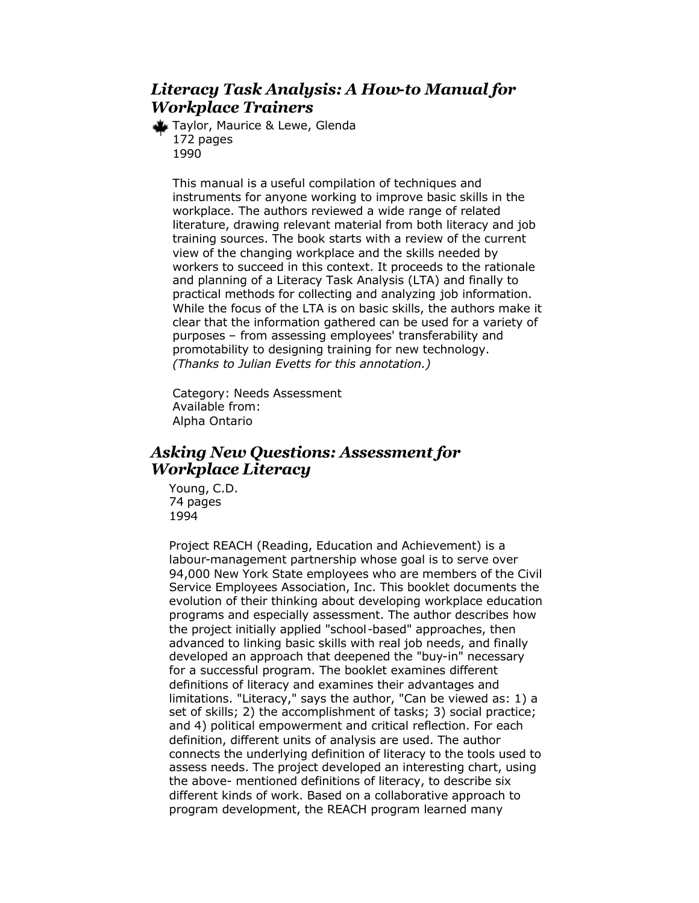# *Literacy Task Analysis: A How-to Manual for Workplace Trainers*

Taylor, Maurice & Lewe, Glenda 172 pages 1990

This manual is a useful compilation of techniques and instruments for anyone working to improve basic skills in the workplace. The authors reviewed a wide range of related literature, drawing relevant material from both literacy and job training sources. The book starts with a review of the current view of the changing workplace and the skills needed by workers to succeed in this context. It proceeds to the rationale and planning of a Literacy Task Analysis (LTA) and finally to practical methods for collecting and analyzing job information. While the focus of the LTA is on basic skills, the authors make it clear that the information gathered can be used for a variety of purposes – from assessing employees' transferability and promotability to designing training for new technology. *(Thanks to Julian Evetts for this annotation.)*

Category: Needs Assessment Available from: Alpha Ontario

# *Asking New Questions: Assessment for Workplace Literacy*

Young, C.D. 74 pages 1994

Project REACH (Reading, Education and Achievement) is a labour-management partnership whose goal is to serve over 94,000 New York State employees who are members of the Civil Service Employees Association, Inc. This booklet documents the evolution of their thinking about developing workplace education programs and especially assessment. The author describes how the project initially applied "school-based" approaches, then advanced to linking basic skills with real job needs, and finally developed an approach that deepened the "buy-in" necessary for a successful program. The booklet examines different definitions of literacy and examines their advantages and limitations. "Literacy," says the author, "Can be viewed as: 1) a set of skills; 2) the accomplishment of tasks; 3) social practice; and 4) political empowerment and critical reflection. For each definition, different units of analysis are used. The author connects the underlying definition of literacy to the tools used to assess needs. The project developed an interesting chart, using the above- mentioned definitions of literacy, to describe six different kinds of work. Based on a collaborative approach to program development, the REACH program learned many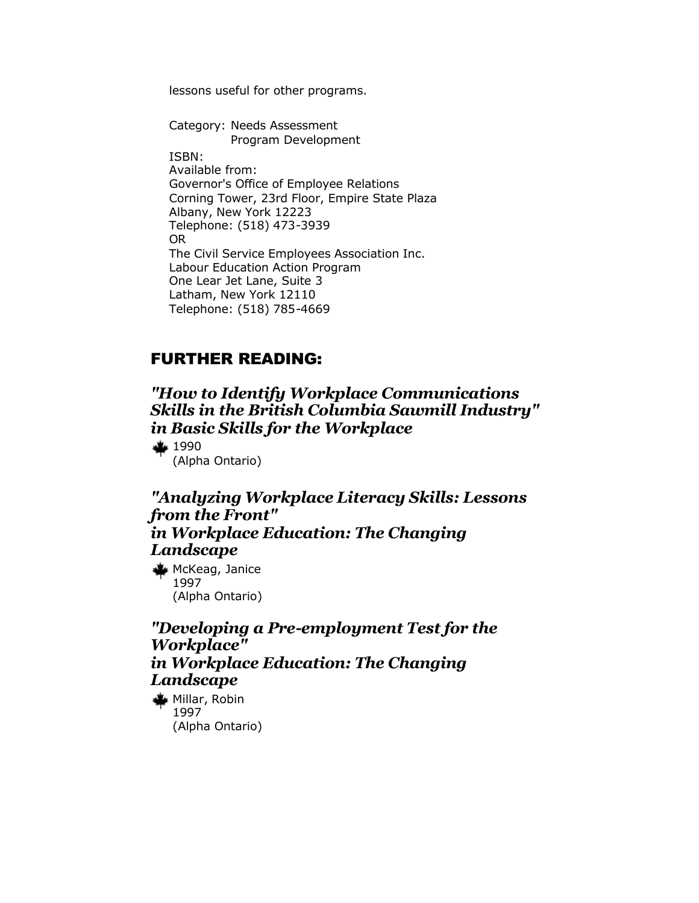lessons useful for other programs.

Category: Needs Assessment Program Development ISBN: Available from: Governor's Office of Employee Relations Corning Tower, 23rd Floor, Empire State Plaza Albany, New York 12223 Telephone: (518) 473-3939 OR The Civil Service Employees Association Inc. Labour Education Action Program One Lear Jet Lane, Suite 3 Latham, New York 12110 Telephone: (518) 785-4669

# FURTHER READING:

*"How to Identify Workplace Communications Skills in the British Columbia Sawmill Industry" in Basic Skills for the Workplace* 

 $44 1990$ 

(Alpha Ontario)

*"Analyzing Workplace Literacy Skills: Lessons from the Front" in Workplace Education: The Changing Landscape* 

McKeag, Janice 1997 (Alpha Ontario)

*"Developing a Pre-employment Test for the Workplace" in Workplace Education: The Changing Landscape* 

Millar, Robin 1997 (Alpha Ontario)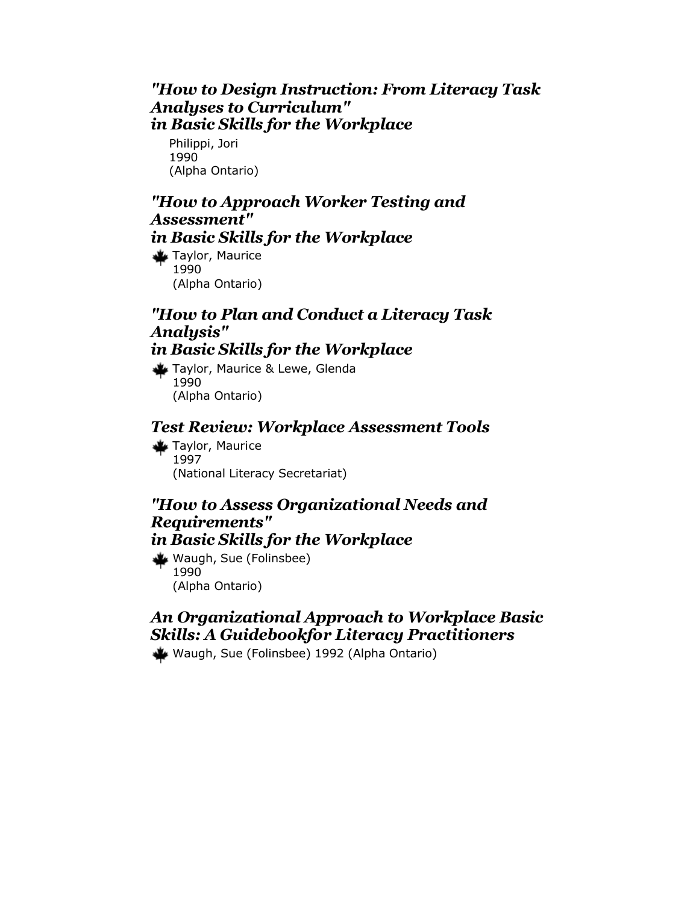### *"How to Design Instruction: From Literacy Task Analyses to Curriculum" in Basic Skills for the Workplace*

Philippi, Jori 1990 (Alpha Ontario)

# *"How to Approach Worker Testing and Assessment" in Basic Skills for the Workplace*

Taylor, Maurice 1990 (Alpha Ontario)

# *"How to Plan and Conduct a Literacy Task Analysis"*

# *in Basic Skills for the Workplace*

Taylor, Maurice & Lewe, Glenda 1990 (Alpha Ontario)

### *Test Review: Workplace Assessment Tools*

Taylor, Maurice 1997 (National Literacy Secretariat)

### *"How to Assess Organizational Needs and Requirements" in Basic Skills for the Workplace*

Waugh, Sue (Folinsbee) 1990 (Alpha Ontario)

# *An Organizational Approach to Workplace Basic Skills: A Guidebookfor Literacy Practitioners*

Waugh, Sue (Folinsbee) 1992 (Alpha Ontario)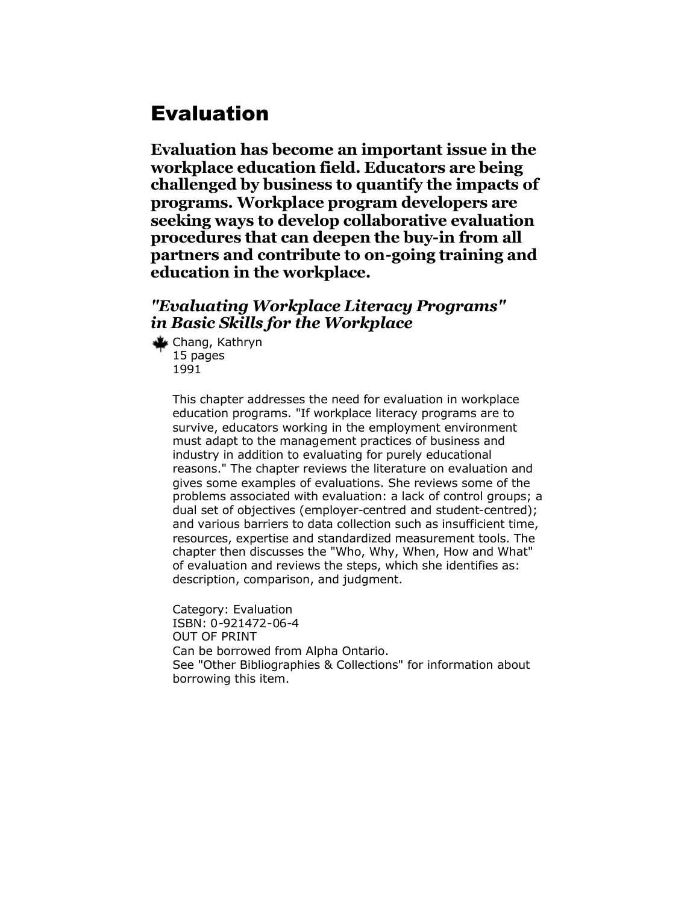# Evaluation

**Evaluation has become an important issue in the workplace education field. Educators are being challenged by business to quantify the impacts of programs. Workplace program developers are seeking ways to develop collaborative evaluation procedures that can deepen the buy-in from all partners and contribute to on-going training and education in the workplace.** 

## *"Evaluating Workplace Literacy Programs" in Basic Skills for the Workplace*

Chang, Kathryn 15 pages 1991

> This chapter addresses the need for evaluation in workplace education programs. "If workplace literacy programs are to survive, educators working in the employment environment must adapt to the management practices of business and industry in addition to evaluating for purely educational reasons." The chapter reviews the literature on evaluation and gives some examples of evaluations. She reviews some of the problems associated with evaluation: a lack of control groups; a dual set of objectives (employer-centred and student-centred); and various barriers to data collection such as insufficient time, resources, expertise and standardized measurement tools. The chapter then discusses the "Who, Why, When, How and What" of evaluation and reviews the steps, which she identifies as: description, comparison, and judgment.

Category: Evaluation ISBN: 0-921472-06-4 OUT OF PRINT Can be borrowed from Alpha Ontario. See "Other Bibliographies & Collections" for information about borrowing this item.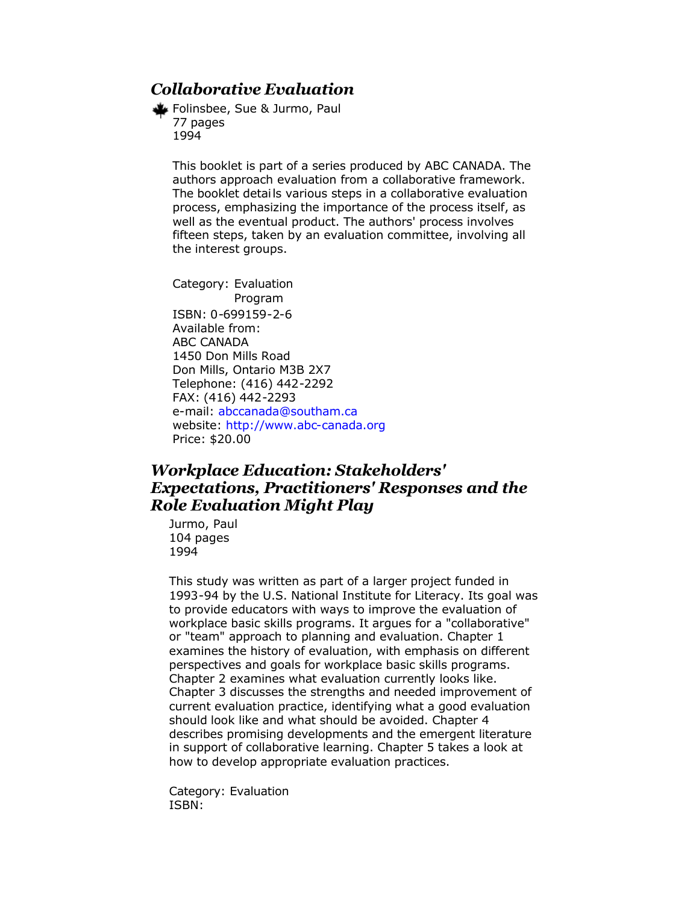# *Collaborative Evaluation*

Folinsbee, Sue & Jurmo, Paul 77 pages 1994

This booklet is part of a series produced by ABC CANADA. The authors approach evaluation from a collaborative framework. The booklet details various steps in a collaborative evaluation process, emphasizing the importance of the process itself, as well as the eventual product. The authors' process involves fifteen steps, taken by an evaluation committee, involving all the interest groups.

Category: Evaluation Program ISBN: 0-699159-2-6 Available from: ABC CANADA 1450 Don Mills Road Don Mills, Ontario M3B 2X7 Telephone: (416) 442-2292 FAX: (416) 442-2293 e-mail: [abccanada@southam.ca](mailto:abccanada@southam.ca) website: [http://www.abc-canada.org](http://www.abc-canada.org/) Price: \$20.00

# *Workplace Education: Stakeholders' Expectations, Practitioners' Responses and the Role Evaluation Might Play*

Jurmo, Paul 104 pages 1994

This study was written as part of a larger project funded in 1993-94 by the U.S. National Institute for Literacy. Its goal was to provide educators with ways to improve the evaluation of workplace basic skills programs. It argues for a "collaborative" or "team" approach to planning and evaluation. Chapter 1 examines the history of evaluation, with emphasis on different perspectives and goals for workplace basic skills programs. Chapter 2 examines what evaluation currently looks like. Chapter 3 discusses the strengths and needed improvement of current evaluation practice, identifying what a good evaluation should look like and what should be avoided. Chapter 4 describes promising developments and the emergent literature in support of collaborative learning. Chapter 5 takes a look at how to develop appropriate evaluation practices.

Category: Evaluation ISBN: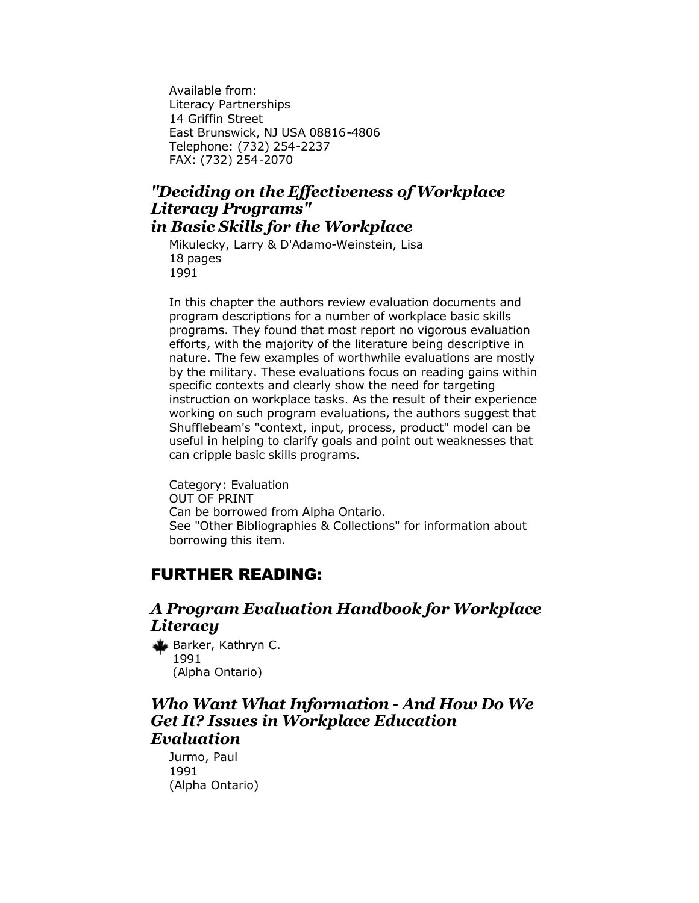Available from: Literacy Partnerships 14 Griffin Street East Brunswick, NJ USA 08816-4806 Telephone: (732) 254-2237 FAX: (732) 254-2070

#### *"Deciding on the Effectiveness of Workplace Literacy Programs" in Basic Skills for the Workplace*

Mikulecky, Larry & D'Adamo-Weinstein, Lisa 18 pages 1991

In this chapter the authors review evaluation documents and program descriptions for a number of workplace basic skills programs. They found that most report no vigorous evaluation efforts, with the majority of the literature being descriptive in nature. The few examples of worthwhile evaluations are mostly by the military. These evaluations focus on reading gains within specific contexts and clearly show the need for targeting instruction on workplace tasks. As the result of their experience working on such program evaluations, the authors suggest that Shufflebeam's "context, input, process, product" model can be useful in helping to clarify goals and point out weaknesses that can cripple basic skills programs.

Category: Evaluation OUT OF PRINT Can be borrowed from Alpha Ontario. See "Other Bibliographies & Collections" for information about borrowing this item.

#### FURTHER READING:

#### *A Program Evaluation Handbook for Workplace Literacy*

Barker, Kathryn C. 1991 (Alpha Ontario)

#### *Who Want What Information - And How Do We Get It? Issues in Workplace Education Evaluation*

Jurmo, Paul 1991 (Alpha Ontario)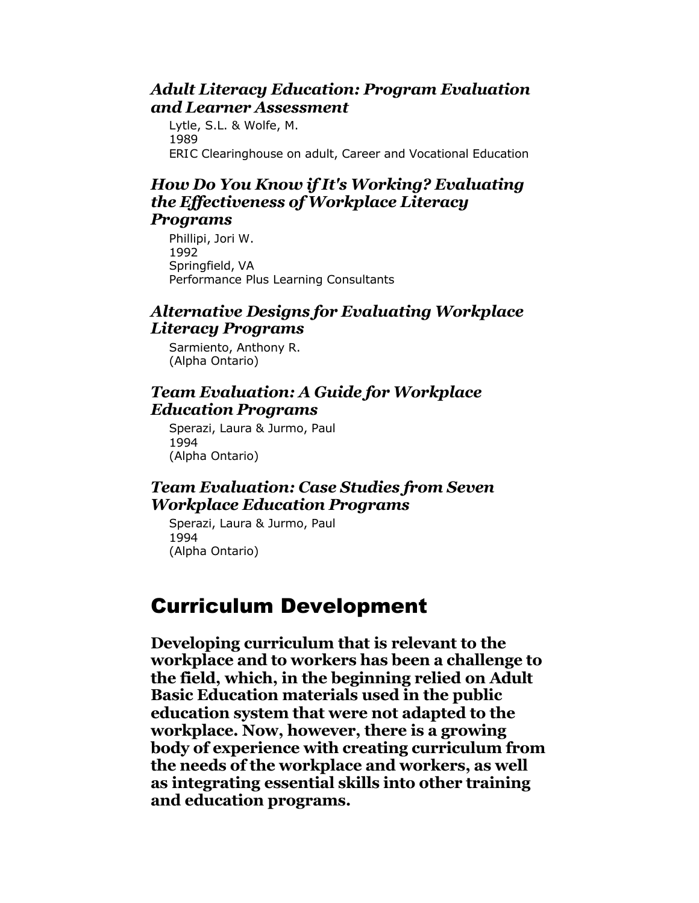### *Adult Literacy Education: Program Evaluation and Learner Assessment*

Lytle, S.L. & Wolfe, M. 1989 ERIC Clearinghouse on adult, Career and Vocational Education

#### *How Do You Know if It's Working? Evaluating the Effectiveness of Workplace Literacy Programs*

Phillipi, Jori W. 1992 Springfield, VA Performance Plus Learning Consultants

# *Alternative Designs for Evaluating Workplace Literacy Programs*

Sarmiento, Anthony R. (Alpha Ontario)

# *Team Evaluation: A Guide for Workplace Education Programs*

Sperazi, Laura & Jurmo, Paul 1994 (Alpha Ontario)

# *Team Evaluation: Case Studies from Seven Workplace Education Programs*

Sperazi, Laura & Jurmo, Paul 1994 (Alpha Ontario)

# Curriculum Development

**Developing curriculum that is relevant to the workplace and to workers has been a challenge to the field, which, in the beginning relied on Adult Basic Education materials used in the public education system that were not adapted to the workplace. Now, however, there is a growing body of experience with creating curriculum from the needs of the workplace and workers, as well as integrating essential skills into other training and education programs.**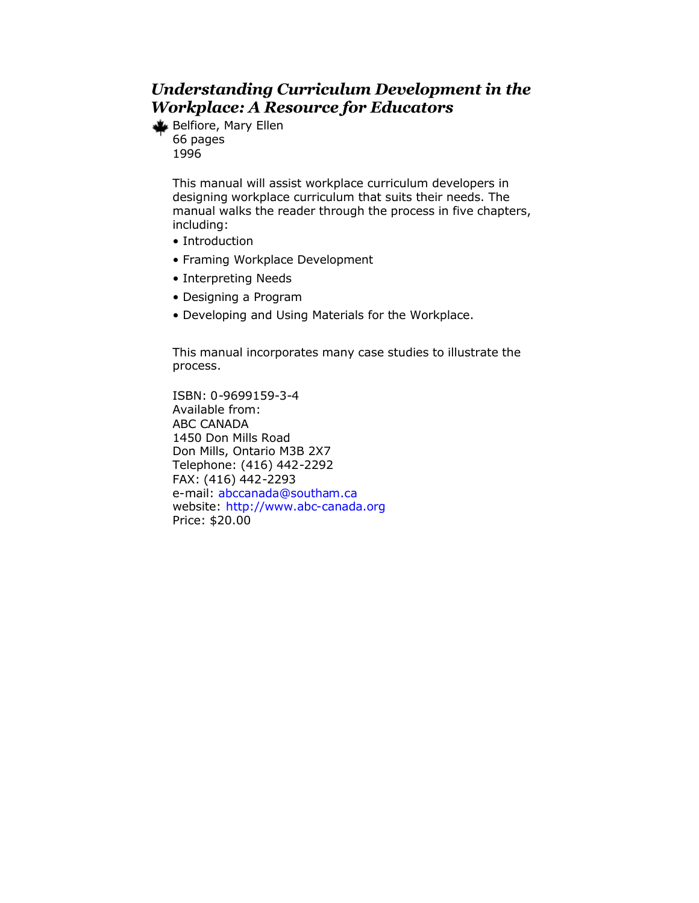# *Understanding Curriculum Development in the Workplace: A Resource for Educators*

Belfiore, Mary Ellen 66 pages 1996

> This manual will assist workplace curriculum developers in designing workplace curriculum that suits their needs. The manual walks the reader through the process in five chapters, including:

- Introduction
- Framing Workplace Development
- Interpreting Needs
- Designing a Program
- Developing and Using Materials for the Workplace.

This manual incorporates many case studies to illustrate the process.

ISBN: 0-9699159-3-4 Available from: ABC CANADA 1450 Don Mills Road Don Mills, Ontario M3B 2X7 Telephone: (416) 442-2292 FAX: (416) 442-2293 e-mail: [abccanada@southam.ca](mailto:abccanada@southam.ca) website: [http://www.abc-canada.org](http://www.abc-canada.org/) Price: \$20.00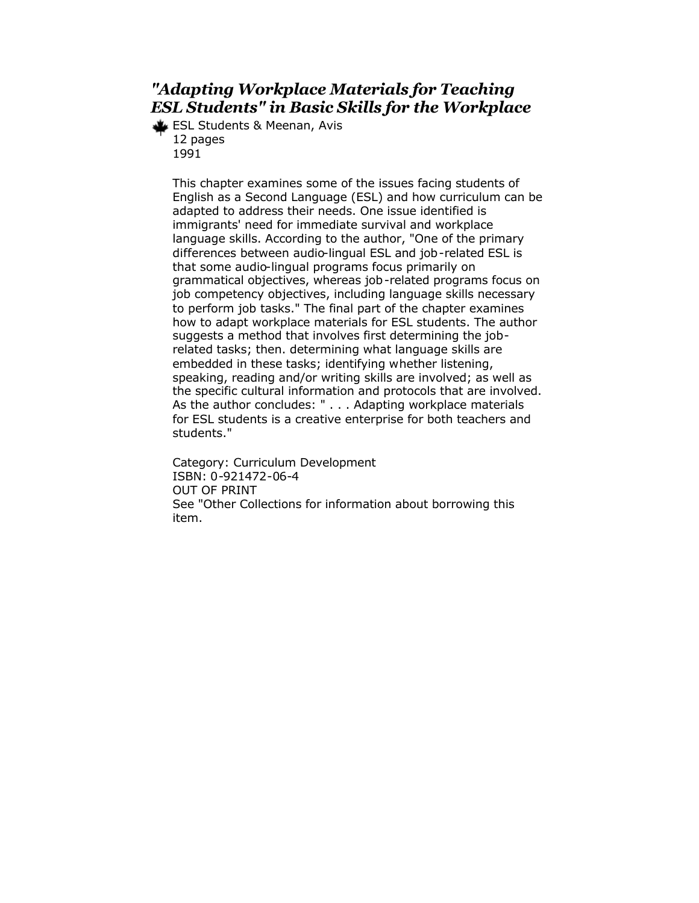# *"Adapting Workplace Materials for Teaching ESL Students" in Basic Skills for the Workplace*

ESL Students & Meenan, Avis 12 pages 1991

> This chapter examines some of the issues facing students of English as a Second Language (ESL) and how curriculum can be adapted to address their needs. One issue identified is immigrants' need for immediate survival and workplace language skills. According to the author, "One of the primary differences between audio-lingual ESL and job-related ESL is that some audio-lingual programs focus primarily on grammatical objectives, whereas job-related programs focus on job competency objectives, including language skills necessary to perform job tasks." The final part of the chapter examines how to adapt workplace materials for ESL students. The author suggests a method that involves first determining the jobrelated tasks; then. determining what language skills are embedded in these tasks; identifying whether listening, speaking, reading and/or writing skills are involved; as well as the specific cultural information and protocols that are involved. As the author concludes: " . . . Adapting workplace materials for ESL students is a creative enterprise for both teachers and students."

Category: Curriculum Development ISBN: 0-921472-06-4 OUT OF PRINT See "Other Collections for information about borrowing this item.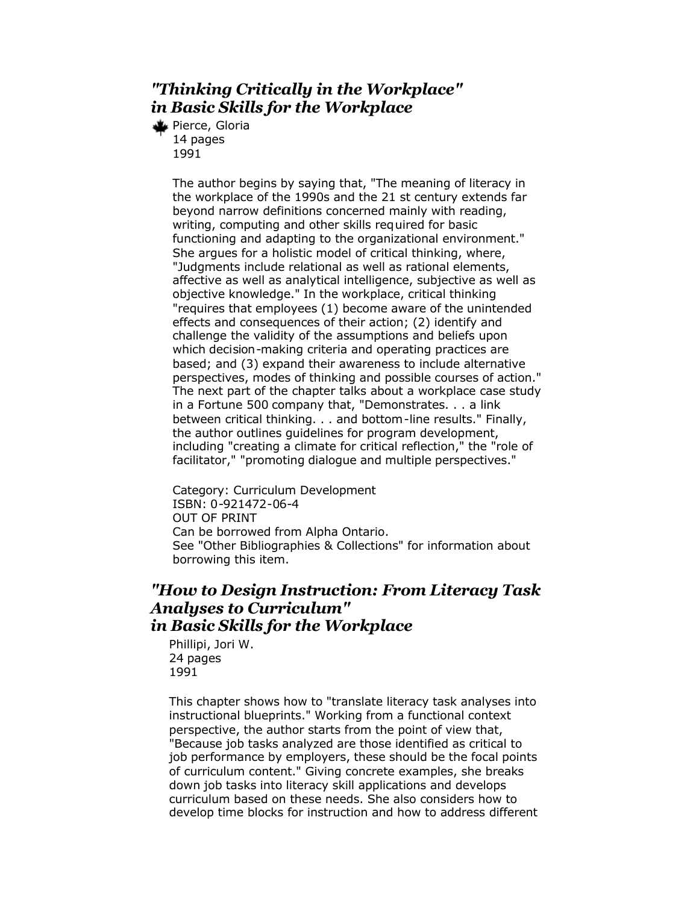# *"Thinking Critically in the Workplace" in Basic Skills for the Workplace*

Pierce, Gloria 14 pages 1991

> The author begins by saying that, "The meaning of literacy in the workplace of the 1990s and the 21 st century extends far beyond narrow definitions concerned mainly with reading, writing, computing and other skills required for basic functioning and adapting to the organizational environment." She argues for a holistic model of critical thinking, where, "Judgments include relational as well as rational elements, affective as well as analytical intelligence, subjective as well as objective knowledge." In the workplace, critical thinking "requires that employees (1) become aware of the unintended effects and consequences of their action; (2) identify and challenge the validity of the assumptions and beliefs upon which decision-making criteria and operating practices are based; and (3) expand their awareness to include alternative perspectives, modes of thinking and possible courses of action." The next part of the chapter talks about a workplace case study in a Fortune 500 company that, "Demonstrates. . . a link between critical thinking. . . and bottom-line results." Finally, the author outlines guidelines for program development, including "creating a climate for critical reflection," the "role of facilitator," "promoting dialogue and multiple perspectives."

Category: Curriculum Development ISBN: 0-921472-06-4 OUT OF PRINT Can be borrowed from Alpha Ontario. See "Other Bibliographies & Collections" for information about borrowing this item.

#### *"How to Design Instruction: From Literacy Task Analyses to Curriculum" in Basic Skills for the Workplace*

Phillipi, Jori W. 24 pages 1991

This chapter shows how to "translate literacy task analyses into instructional blueprints." Working from a functional context perspective, the author starts from the point of view that, "Because job tasks analyzed are those identified as critical to job performance by employers, these should be the focal points of curriculum content." Giving concrete examples, she breaks down job tasks into literacy skill applications and develops curriculum based on these needs. She also considers how to develop time blocks for instruction and how to address different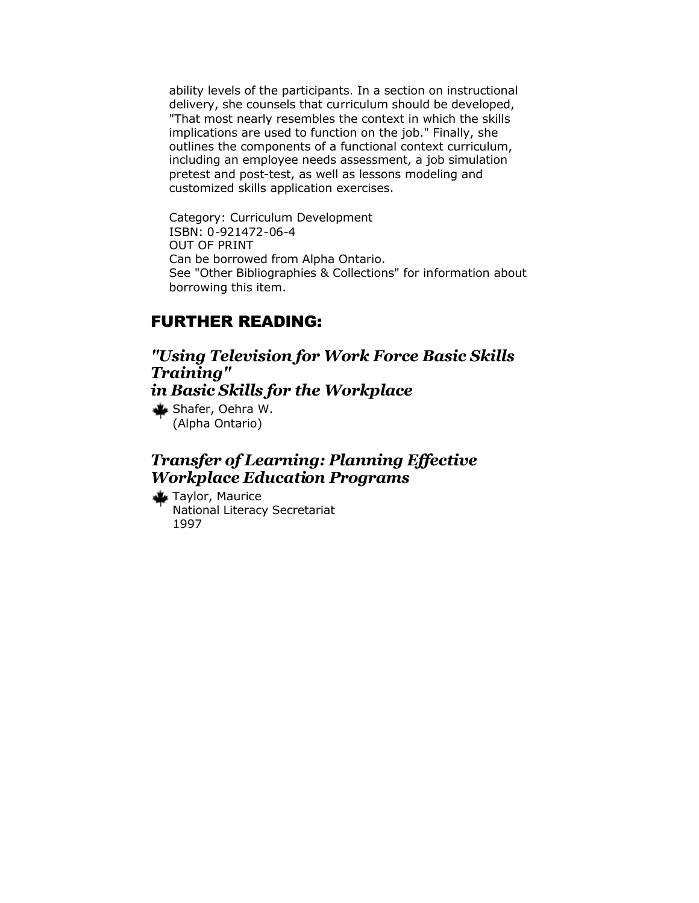ability levels of the participants. In a section on instructional delivery, she counsels that curriculum should be developed, "That most nearly resembles the context in which the skills implications are used to function on the job." Finally, she outlines the components of a functional context curriculum, including an employee needs assessment, a job simulation pretest and post-test, as well as lessons modeling and customized skills application exercises.

Category: Curriculum Development ISBN: 0-921472-06-4 OUT OF PRINT Can be borrowed from Alpha Ontario. See "Other Bibliographies & Collections" for information about borrowing this item.

#### FURTHER READING:

*"Using Television for Work Force Basic Skills Training" in Basic Skills for the Workplace*  Shafer, Oehra W. (Alpha Ontario)

#### *Transfer of Learning: Planning Effective Workplace Education Programs*

Taylor, Maurice National Literacy Secretariat 1997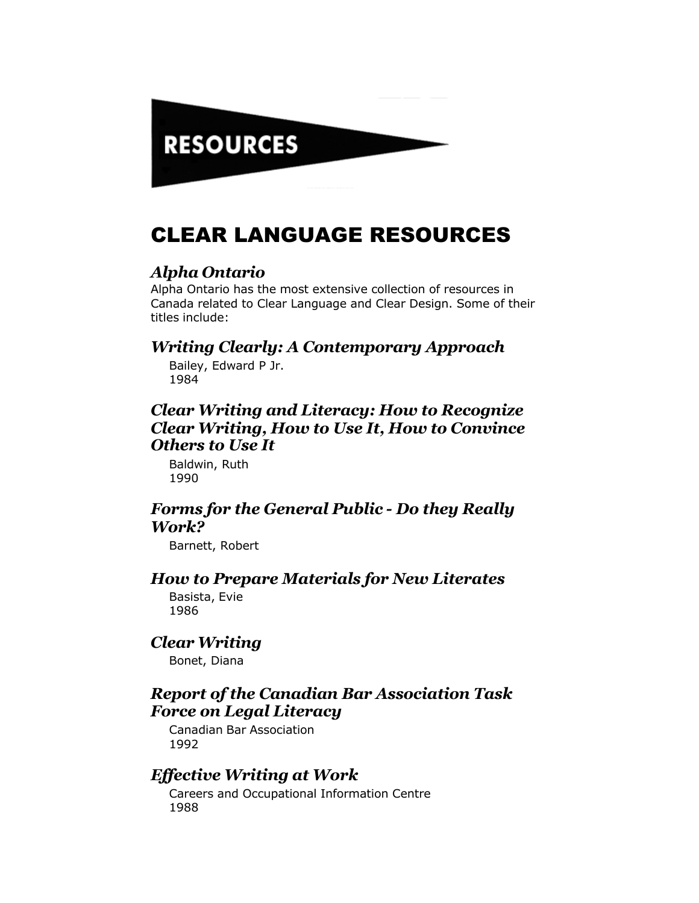# **RESOURCES**

# CLEAR LANGUAGE RESOURCES

#### *Alpha Ontario*

Alpha Ontario has the most extensive collection of resources in Canada related to Clear Language and Clear Design. Some of their titles include:

# *Writing Clearly: A Contemporary Approach*

Bailey, Edward P Jr. 1984

# *Clear Writing and Literacy: How to Recognize Clear Writing, How to Use It, How to Convince Others to Use It*

Baldwin, Ruth 1990

#### *Forms for the General Public - Do they Really Work?*

Barnett, Robert

### *How to Prepare Materials for New Literates*

Basista, Evie 1986

# *Clear Writing*

Bonet, Diana

#### *Report of the Canadian Bar Association Task Force on Legal Literacy*

Canadian Bar Association 1992

#### *Effective Writing at Work*

Careers and Occupational Information Centre 1988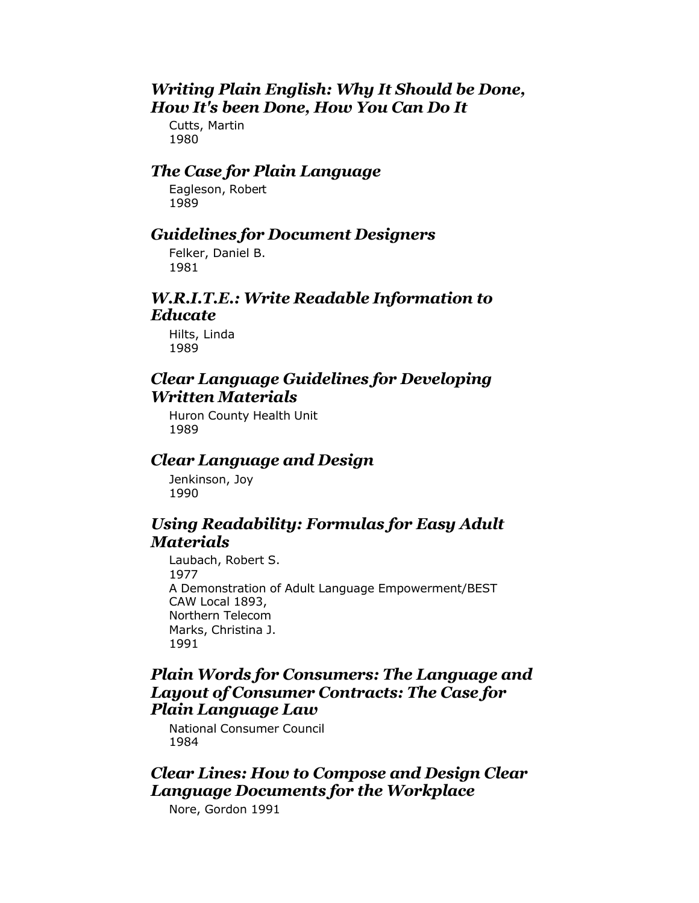#### *Writing Plain English: Why It Should be Done, How It's been Done, How You Can Do It*

Cutts, Martin 1980

# *The Case for Plain Language*

Eagleson, Robert 1989

# *Guidelines for Document Designers*

Felker, Daniel B. 1981

#### *W.R.I.T.E.: Write Readable Information to Educate*

Hilts, Linda 1989

#### *Clear Language Guidelines for Developing Written Materials*

Huron County Health Unit 1989

# *Clear Language and Design*

Jenkinson, Joy 1990

#### *Using Readability: Formulas for Easy Adult Materials*

Laubach, Robert S. 1977 A Demonstration of Adult Language Empowerment/BEST CAW Local 1893, Northern Telecom Marks, Christina J. 1991

# *Plain Words for Consumers: The Language and Layout of Consumer Contracts: The Case for Plain Language Law*

National Consumer Council 1984

#### *Clear Lines: How to Compose and Design Clear Language Documents for the Workplace*

Nore, Gordon 1991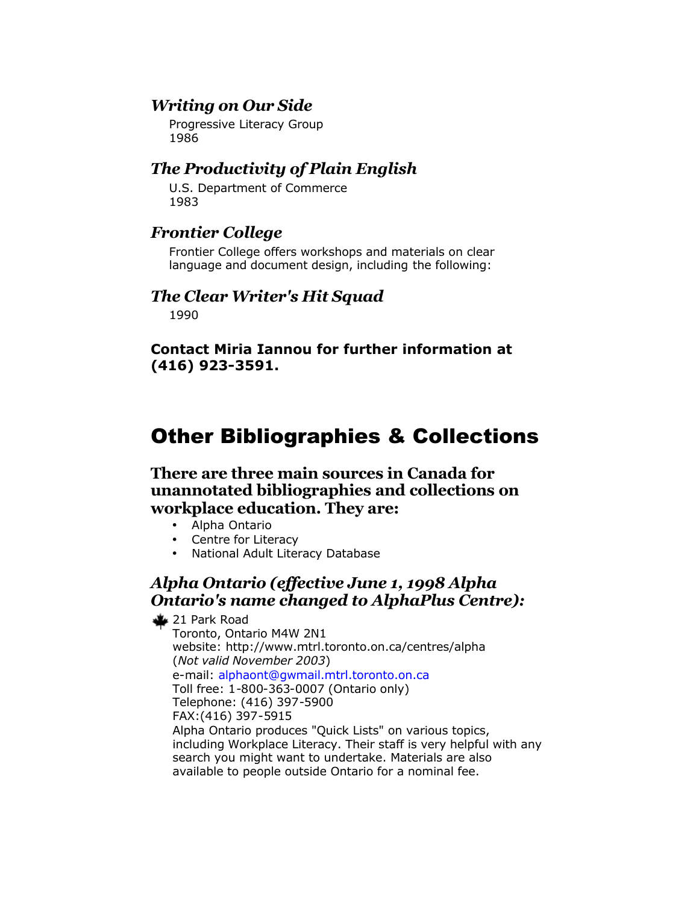# *Writing on Our Side*

Progressive Literacy Group 1986

#### *The Productivity of Plain English*

U.S. Department of Commerce 1983

#### *Frontier College*

Frontier College offers workshops and materials on clear language and document design, including the following:

#### *The Clear Writer's Hit Squad*

1990

**Contact Miria Iannou for further information at (416) 923-3591.**

# Other Bibliographies & Collections

**There are three main sources in Canada for unannotated bibliographies and collections on workplace education. They are:**

- Alpha Ontario
- Centre for Literacy
- National Adult Literacy Database

# *Alpha Ontario (effective June 1, 1998 Alpha Ontario's name changed to AlphaPlus Centre):*

**₹21 Park Road** 

Toronto, Ontario M4W 2N1 website: http://www.mtrl.toronto.on.ca/centres/alpha (*Not valid November 2003*) e-mail: [alphaont@gwmail.mtrl.toronto.on.ca](mailto:alphaont@gwmail.mtrl.toronto.on.ca) Toll free: 1-800-363-0007 (Ontario only) Telephone: (416) 397-5900 FAX:(416) 397-5915 Alpha Ontario produces "Quick Lists" on various topics, including Workplace Literacy. Their staff is very helpful with any search you might want to undertake. Materials are also available to people outside Ontario for a nominal fee.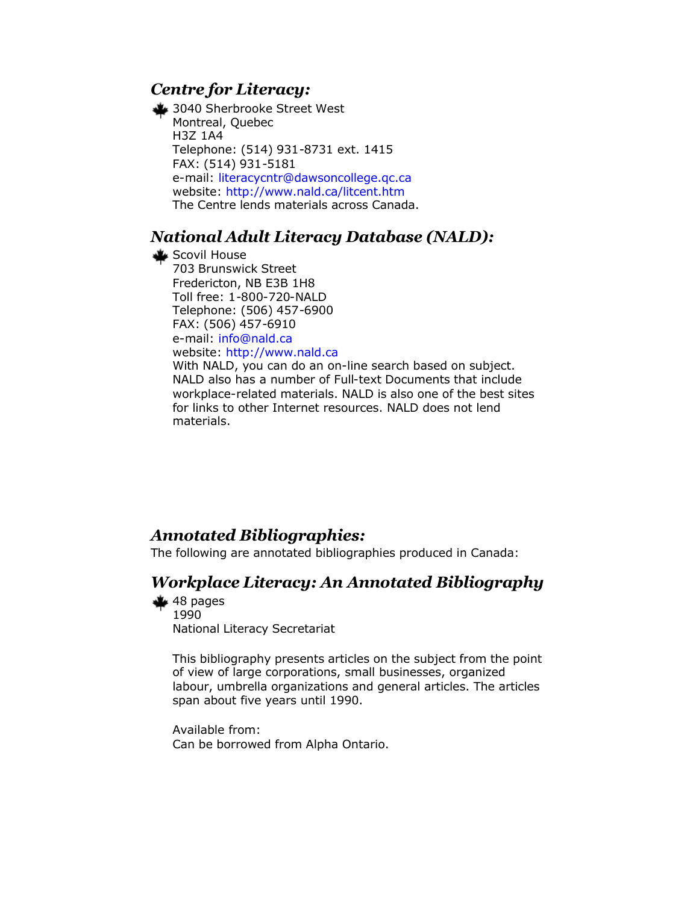# *Centre for Literacy:*

3040 Sherbrooke Street West Montreal, Quebec H3Z 1A4 Telephone: (514) 931-8731 ext. 1415 FAX: (514) 931-5181 e-mail: [literacycntr@dawsoncollege.qc.ca](mailto:literacycntr@dawsoncollege.qc.ca) website: <http://www.nald.ca/litcent.htm> The Centre lends materials across Canada.

# *National Adult Literacy Database (NALD):*

Scovil House 703 Brunswick Street Fredericton, NB E3B 1H8 Toll free: 1-800-720-NALD Telephone: (506) 457-6900 FAX: (506) 457-6910 e-mail: [info@nald.ca](mailto:info@nald.ca) website: <http://www.nald.ca> With NALD, you can do an on-line search based on subject. NALD also has a number of Full-text Documents that include workplace-related materials. NALD is also one of the best sites for links to other Internet resources. NALD does not lend materials.

# *Annotated Bibliographies:*

The following are annotated bibliographies produced in Canada:

# *Workplace Literacy: An Annotated Bibliography*

 $48$  pages 1990 National Literacy Secretariat

> This bibliography presents articles on the subject from the point of view of large corporations, small businesses, organized labour, umbrella organizations and general articles. The articles span about five years until 1990.

Available from: Can be borrowed from Alpha Ontario.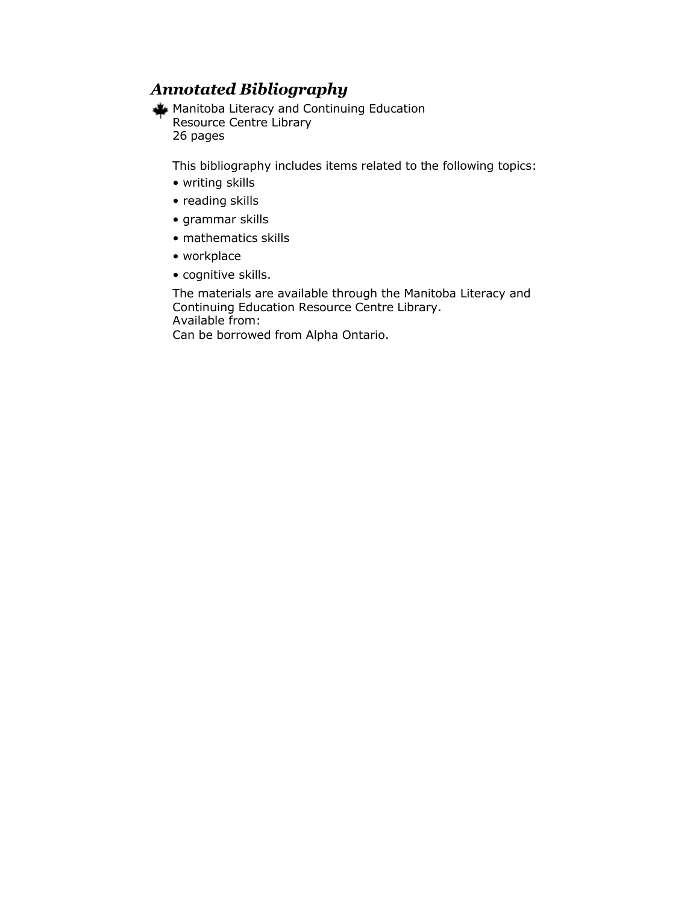# *Annotated Bibliography*

Manitoba Literacy and Continuing Education Resource Centre Library 26 pages

This bibliography includes items related to the following topics:

- writing skills
- reading skills
- grammar skills
- mathematics skills
- workplace
- cognitive skills.

The materials are available through the Manitoba Literacy and Continuing Education Resource Centre Library. Available from:

Can be borrowed from Alpha Ontario.